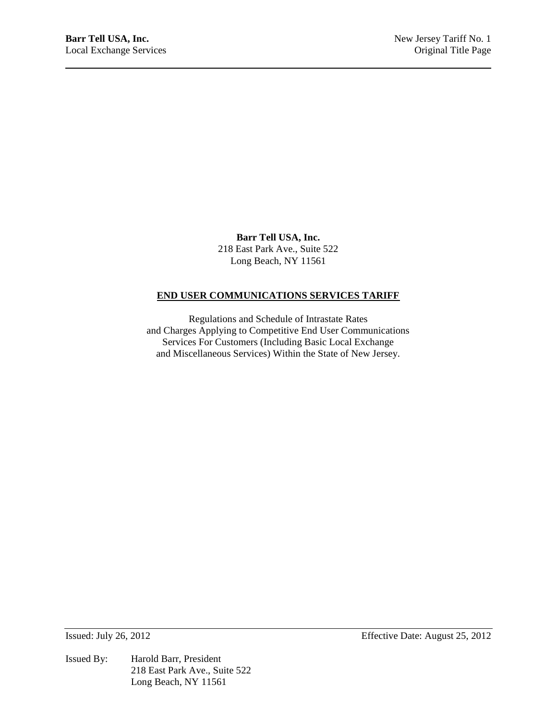**Barr Tell USA, Inc.** 218 East Park Ave., Suite 522 Long Beach, NY 11561

# **END USER COMMUNICATIONS SERVICES TARIFF**

Regulations and Schedule of Intrastate Rates and Charges Applying to Competitive End User Communications Services For Customers (Including Basic Local Exchange and Miscellaneous Services) Within the State of New Jersey.

Issued By: Harold Barr, President 218 East Park Ave., Suite 522 Long Beach, NY 11561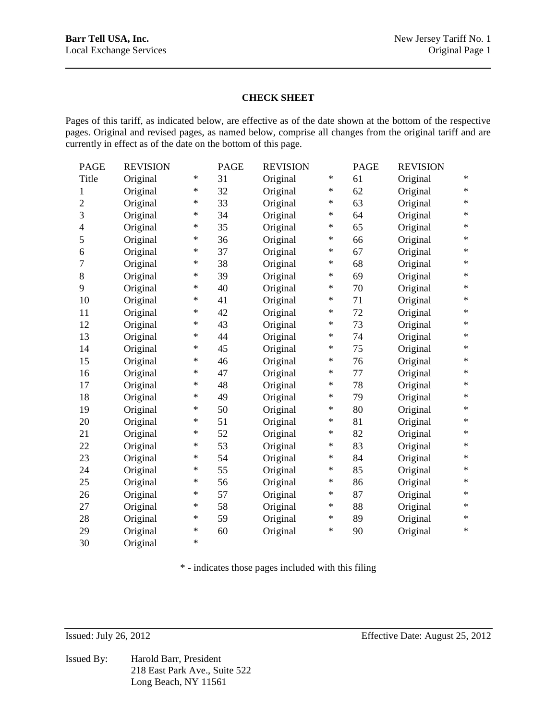### **CHECK SHEET**

Pages of this tariff, as indicated below, are effective as of the date shown at the bottom of the respective pages. Original and revised pages, as named below, comprise all changes from the original tariff and are currently in effect as of the date on the bottom of this page.

| <b>PAGE</b>      | <b>REVISION</b> |           | <b>PAGE</b> | <b>REVISION</b> |        | <b>PAGE</b> | <b>REVISION</b> |        |
|------------------|-----------------|-----------|-------------|-----------------|--------|-------------|-----------------|--------|
| Title            | Original        | $\ast$    | 31          | Original        | $\ast$ | 61          | Original        | $\ast$ |
| $\,1$            | Original        | $\ast$    | 32          | Original        | $\ast$ | 62          | Original        | $\ast$ |
| $\sqrt{2}$       | Original        | $\ast$    | 33          | Original        | $\ast$ | 63          | Original        | $\ast$ |
| 3                | Original        | $^{\ast}$ | 34          | Original        | $\ast$ | 64          | Original        | $\ast$ |
| $\overline{4}$   | Original        | $\ast$    | 35          | Original        | $\ast$ | 65          | Original        | $\ast$ |
| 5                | Original        | $\ast$    | 36          | Original        | $\ast$ | 66          | Original        | $\ast$ |
| 6                | Original        | $^{\ast}$ | 37          | Original        | $\ast$ | 67          | Original        | $\ast$ |
| $\boldsymbol{7}$ | Original        | $\ast$    | 38          | Original        | $\ast$ | 68          | Original        | $\ast$ |
| $8\,$            | Original        | $\ast$    | 39          | Original        | $\ast$ | 69          | Original        | $\ast$ |
| 9                | Original        | $\ast$    | 40          | Original        | $\ast$ | 70          | Original        | $\ast$ |
| 10               | Original        | $\ast$    | 41          | Original        | $\ast$ | 71          | Original        | $\ast$ |
| 11               | Original        | $\ast$    | 42          | Original        | $\ast$ | 72          | Original        | $\ast$ |
| 12               | Original        | $^{\ast}$ | 43          | Original        | $\ast$ | 73          | Original        | $\ast$ |
| 13               | Original        | $\ast$    | 44          | Original        | $\ast$ | 74          | Original        | $\ast$ |
| 14               | Original        | $\ast$    | 45          | Original        | $\ast$ | 75          | Original        | $\ast$ |
| 15               | Original        | $\ast$    | 46          | Original        | $\ast$ | 76          | Original        | $\ast$ |
| 16               | Original        | $\ast$    | 47          | Original        | $\ast$ | 77          | Original        | $\ast$ |
| 17               | Original        | $^{\ast}$ | 48          | Original        | $\ast$ | 78          | Original        | $\ast$ |
| 18               | Original        | $\ast$    | 49          | Original        | $\ast$ | 79          | Original        | $\ast$ |
| 19               | Original        | $\ast$    | 50          | Original        | $\ast$ | 80          | Original        | $\ast$ |
| 20               | Original        | ∗         | 51          | Original        | $\ast$ | 81          | Original        | $\ast$ |
| 21               | Original        | $\ast$    | 52          | Original        | $\ast$ | 82          | Original        | $\ast$ |
| 22               | Original        | $\ast$    | 53          | Original        | $\ast$ | 83          | Original        | $\ast$ |
| 23               | Original        | ∗         | 54          | Original        | $\ast$ | 84          | Original        | $\ast$ |
| 24               | Original        | $\ast$    | 55          | Original        | $\ast$ | 85          | Original        | $\ast$ |
| 25               | Original        | ∗         | 56          | Original        | $\ast$ | 86          | Original        | $\ast$ |
| 26               | Original        | $^{\ast}$ | 57          | Original        | $\ast$ | 87          | Original        | $\ast$ |
| 27               | Original        | $\ast$    | 58          | Original        | $\ast$ | 88          | Original        | $\ast$ |
| 28               | Original        | $\ast$    | 59          | Original        | $\ast$ | 89          | Original        | $\ast$ |
| 29               | Original        | $\ast$    | 60          | Original        | $\ast$ | 90          | Original        | $\ast$ |
| 30               | Original        | $\ast$    |             |                 |        |             |                 |        |

\* - indicates those pages included with this filing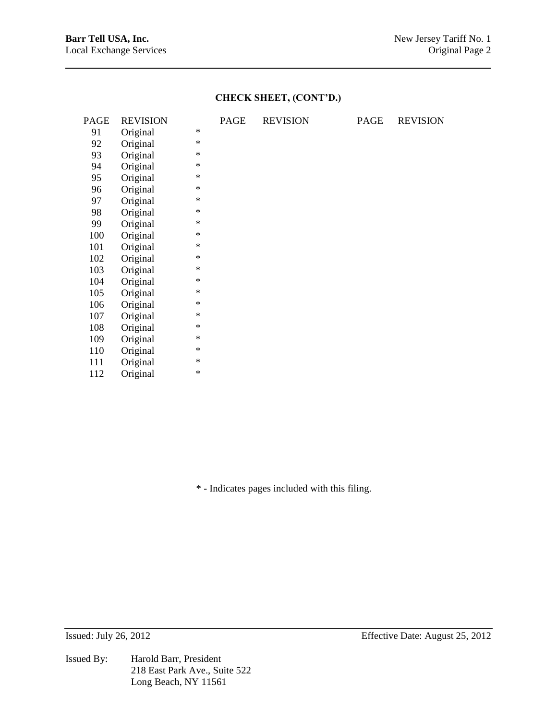# **CHECK SHEET, (CONT'D.)**

| PAGE | <b>REVISION</b> |        | PAGE | <b>REVISION</b> | PAGE | <b>REVISION</b> |
|------|-----------------|--------|------|-----------------|------|-----------------|
| 91   | Original        | $\ast$ |      |                 |      |                 |
| 92   | Original        | $\ast$ |      |                 |      |                 |
| 93   | Original        | $\ast$ |      |                 |      |                 |
| 94   | Original        | $\ast$ |      |                 |      |                 |
| 95   | Original        | $\ast$ |      |                 |      |                 |
| 96   | Original        | $\ast$ |      |                 |      |                 |
| 97   | Original        | $\ast$ |      |                 |      |                 |
| 98   | Original        | $\ast$ |      |                 |      |                 |
| 99   | Original        | $\ast$ |      |                 |      |                 |
| 100  | Original        | $\ast$ |      |                 |      |                 |
| 101  | Original        | $\ast$ |      |                 |      |                 |
| 102  | Original        | $\ast$ |      |                 |      |                 |
| 103  | Original        | $\ast$ |      |                 |      |                 |
| 104  | Original        | $\ast$ |      |                 |      |                 |
| 105  | Original        | $\ast$ |      |                 |      |                 |
| 106  | Original        | $\ast$ |      |                 |      |                 |
| 107  | Original        | $\ast$ |      |                 |      |                 |
| 108  | Original        | $\ast$ |      |                 |      |                 |
| 109  | Original        | $\ast$ |      |                 |      |                 |
| 110  | Original        | $\ast$ |      |                 |      |                 |
| 111  | Original        | $\ast$ |      |                 |      |                 |
| 112  | Original        | $\ast$ |      |                 |      |                 |

\* - Indicates pages included with this filing.

Issued By: Harold Barr, President 218 East Park Ave., Suite 522 Long Beach, NY 11561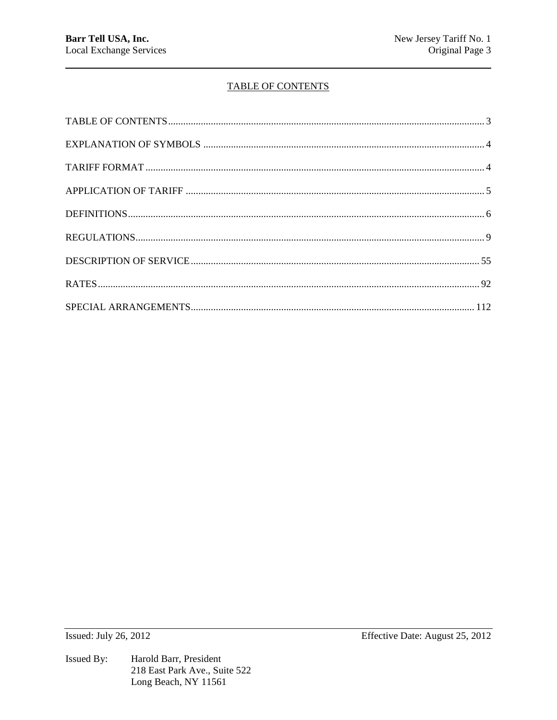# **TABLE OF CONTENTS**

**Issued: July 26, 2012**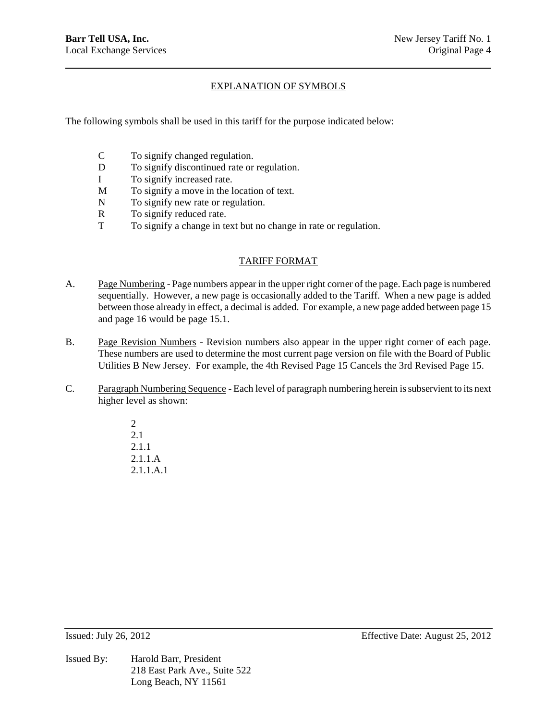# EXPLANATION OF SYMBOLS

The following symbols shall be used in this tariff for the purpose indicated below:

- C To signify changed regulation.
- D To signify discontinued rate or regulation.
- I To signify increased rate.
- M To signify a move in the location of text.
- N To signify new rate or regulation.
- R To signify reduced rate.
- T To signify a change in text but no change in rate or regulation.

# TARIFF FORMAT

- A. Page Numbering Page numbers appear in the upper right corner of the page. Each page is numbered sequentially. However, a new page is occasionally added to the Tariff. When a new page is added between those already in effect, a decimal is added. For example, a new page added between page 15 and page 16 would be page 15.1.
- B. Page Revision Numbers Revision numbers also appear in the upper right corner of each page. These numbers are used to determine the most current page version on file with the Board of Public Utilities B New Jersey. For example, the 4th Revised Page 15 Cancels the 3rd Revised Page 15.
- C. Paragraph Numbering Sequence Each level of paragraph numbering herein is subservient to its next higher level as shown:

2 2.1 2.1.1 2.1.1.A 2.1.1.A.1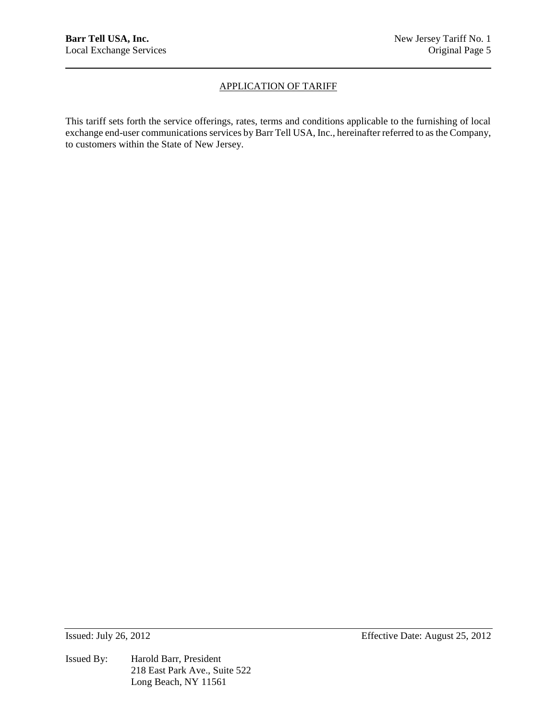# APPLICATION OF TARIFF

This tariff sets forth the service offerings, rates, terms and conditions applicable to the furnishing of local exchange end-user communications services by Barr Tell USA, Inc., hereinafter referred to as the Company, to customers within the State of New Jersey.

Issued By: Harold Barr, President 218 East Park Ave., Suite 522 Long Beach, NY 11561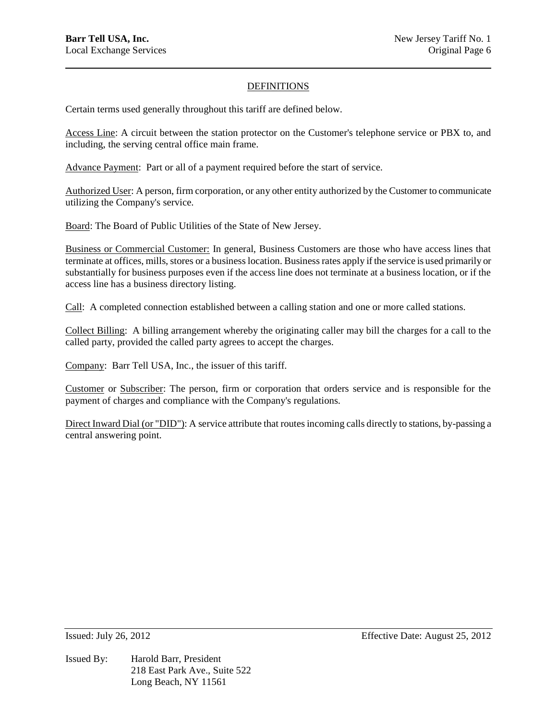# DEFINITIONS

Certain terms used generally throughout this tariff are defined below.

Access Line: A circuit between the station protector on the Customer's telephone service or PBX to, and including, the serving central office main frame.

Advance Payment: Part or all of a payment required before the start of service.

Authorized User: A person, firm corporation, or any other entity authorized by the Customer to communicate utilizing the Company's service.

Board: The Board of Public Utilities of the State of New Jersey.

Business or Commercial Customer: In general, Business Customers are those who have access lines that terminate at offices, mills, stores or a business location. Business rates apply if the service is used primarily or substantially for business purposes even if the access line does not terminate at a business location, or if the access line has a business directory listing.

Call: A completed connection established between a calling station and one or more called stations.

Collect Billing: A billing arrangement whereby the originating caller may bill the charges for a call to the called party, provided the called party agrees to accept the charges.

Company: Barr Tell USA, Inc., the issuer of this tariff.

Customer or Subscriber: The person, firm or corporation that orders service and is responsible for the payment of charges and compliance with the Company's regulations.

Direct Inward Dial (or "DID"): A service attribute that routes incoming calls directly to stations, by-passing a central answering point.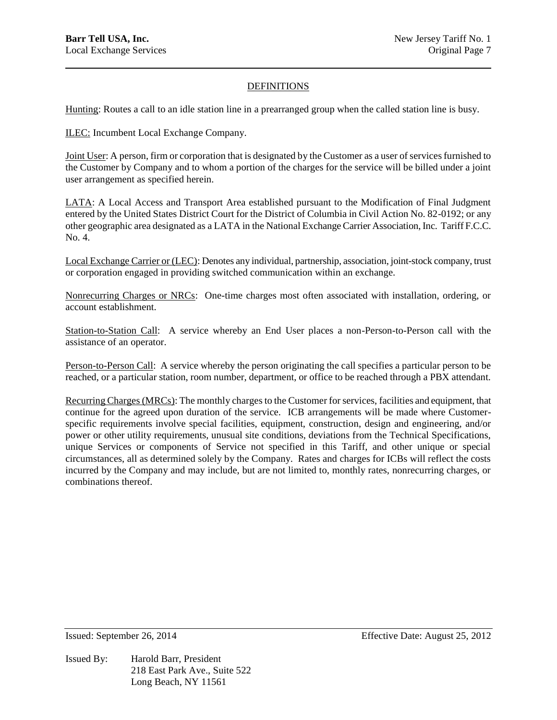# DEFINITIONS

Hunting: Routes a call to an idle station line in a prearranged group when the called station line is busy.

ILEC: Incumbent Local Exchange Company.

Joint User: A person, firm or corporation that is designated by the Customer as a user of services furnished to the Customer by Company and to whom a portion of the charges for the service will be billed under a joint user arrangement as specified herein.

LATA: A Local Access and Transport Area established pursuant to the Modification of Final Judgment entered by the United States District Court for the District of Columbia in Civil Action No. 82-0192; or any other geographic area designated as a LATA in the National Exchange Carrier Association, Inc. Tariff F.C.C. No. 4.

Local Exchange Carrier or (LEC): Denotes any individual, partnership, association, joint-stock company, trust or corporation engaged in providing switched communication within an exchange.

Nonrecurring Charges or NRCs: One-time charges most often associated with installation, ordering, or account establishment.

Station-to-Station Call: A service whereby an End User places a non-Person-to-Person call with the assistance of an operator.

Person-to-Person Call: A service whereby the person originating the call specifies a particular person to be reached, or a particular station, room number, department, or office to be reached through a PBX attendant.

Recurring Charges (MRCs): The monthly charges to the Customer for services, facilities and equipment, that continue for the agreed upon duration of the service. ICB arrangements will be made where Customerspecific requirements involve special facilities, equipment, construction, design and engineering, and/or power or other utility requirements, unusual site conditions, deviations from the Technical Specifications, unique Services or components of Service not specified in this Tariff, and other unique or special circumstances, all as determined solely by the Company. Rates and charges for ICBs will reflect the costs incurred by the Company and may include, but are not limited to, monthly rates, nonrecurring charges, or combinations thereof.

Issued By: Harold Barr, President 218 East Park Ave., Suite 522 Long Beach, NY 11561

Issued: September 26, 2014 Effective Date: August 25, 2012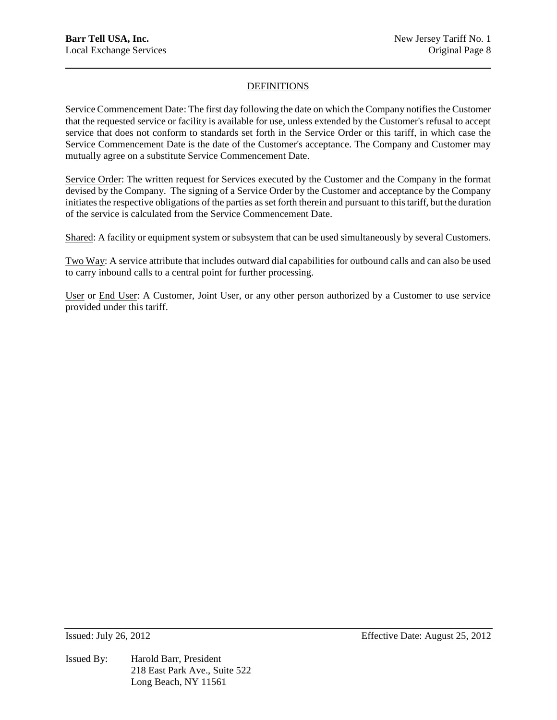# DEFINITIONS

Service Commencement Date: The first day following the date on which the Company notifies the Customer that the requested service or facility is available for use, unless extended by the Customer's refusal to accept service that does not conform to standards set forth in the Service Order or this tariff, in which case the Service Commencement Date is the date of the Customer's acceptance. The Company and Customer may mutually agree on a substitute Service Commencement Date.

Service Order: The written request for Services executed by the Customer and the Company in the format devised by the Company. The signing of a Service Order by the Customer and acceptance by the Company initiates the respective obligations of the parties as set forth therein and pursuant to this tariff, but the duration of the service is calculated from the Service Commencement Date.

Shared: A facility or equipment system or subsystem that can be used simultaneously by several Customers.

Two Way: A service attribute that includes outward dial capabilities for outbound calls and can also be used to carry inbound calls to a central point for further processing.

User or End User: A Customer, Joint User, or any other person authorized by a Customer to use service provided under this tariff.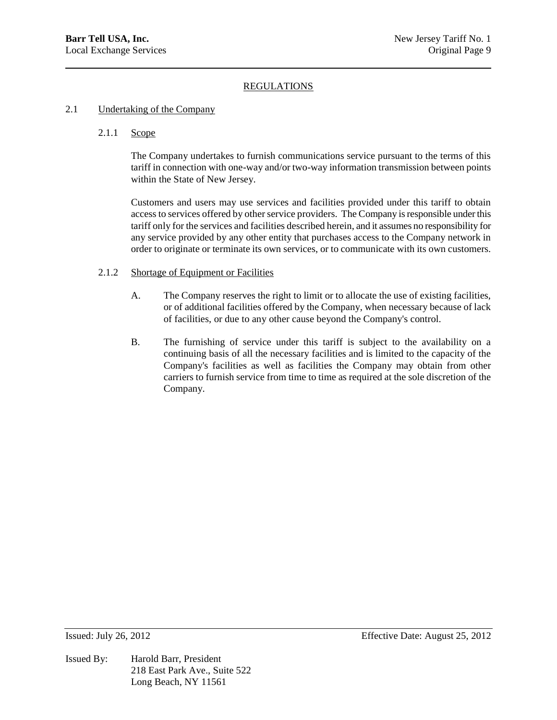### 2.1 Undertaking of the Company

### 2.1.1 Scope

The Company undertakes to furnish communications service pursuant to the terms of this tariff in connection with one-way and/or two-way information transmission between points within the State of New Jersey.

Customers and users may use services and facilities provided under this tariff to obtain access to services offered by other service providers. The Company is responsible under this tariff only for the services and facilities described herein, and it assumes no responsibility for any service provided by any other entity that purchases access to the Company network in order to originate or terminate its own services, or to communicate with its own customers.

#### 2.1.2 Shortage of Equipment or Facilities

- A. The Company reserves the right to limit or to allocate the use of existing facilities, or of additional facilities offered by the Company, when necessary because of lack of facilities, or due to any other cause beyond the Company's control.
- B. The furnishing of service under this tariff is subject to the availability on a continuing basis of all the necessary facilities and is limited to the capacity of the Company's facilities as well as facilities the Company may obtain from other carriers to furnish service from time to time as required at the sole discretion of the Company.

Issued By: Harold Barr, President 218 East Park Ave., Suite 522 Long Beach, NY 11561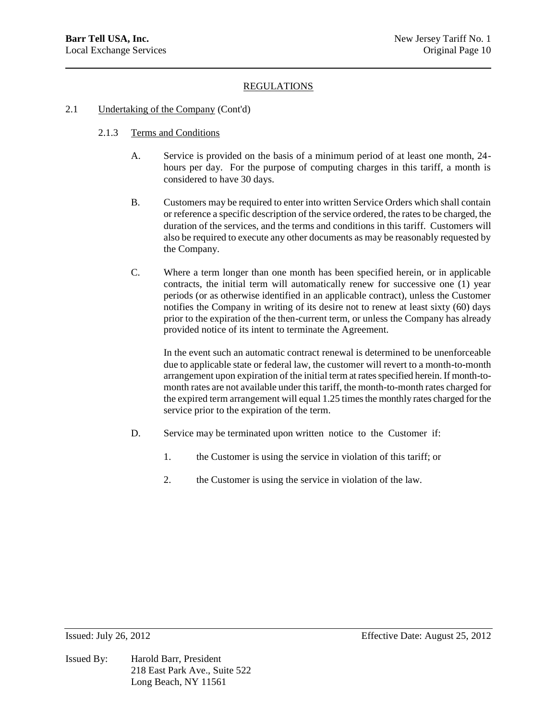### 2.1 Undertaking of the Company (Cont'd)

### 2.1.3 Terms and Conditions

- A. Service is provided on the basis of a minimum period of at least one month, 24 hours per day. For the purpose of computing charges in this tariff, a month is considered to have 30 days.
- B. Customers may be required to enter into written Service Orders which shall contain or reference a specific description of the service ordered, the rates to be charged, the duration of the services, and the terms and conditions in this tariff. Customers will also be required to execute any other documents as may be reasonably requested by the Company.
- C. Where a term longer than one month has been specified herein, or in applicable contracts, the initial term will automatically renew for successive one (1) year periods (or as otherwise identified in an applicable contract), unless the Customer notifies the Company in writing of its desire not to renew at least sixty (60) days prior to the expiration of the then-current term, or unless the Company has already provided notice of its intent to terminate the Agreement.

In the event such an automatic contract renewal is determined to be unenforceable due to applicable state or federal law, the customer will revert to a month-to-month arrangement upon expiration of the initial term at rates specified herein. If month-tomonth rates are not available under this tariff, the month-to-month rates charged for the expired term arrangement will equal 1.25 times the monthly rates charged for the service prior to the expiration of the term.

- D. Service may be terminated upon written notice to the Customer if:
	- 1. the Customer is using the service in violation of this tariff; or
	- 2. the Customer is using the service in violation of the law.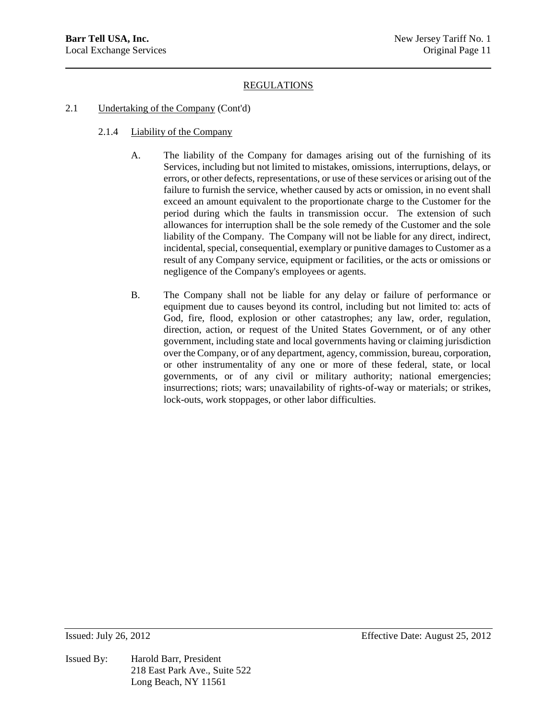### 2.1 Undertaking of the Company (Cont'd)

- 2.1.4 Liability of the Company
	- A. The liability of the Company for damages arising out of the furnishing of its Services, including but not limited to mistakes, omissions, interruptions, delays, or errors, or other defects, representations, or use of these services or arising out of the failure to furnish the service, whether caused by acts or omission, in no event shall exceed an amount equivalent to the proportionate charge to the Customer for the period during which the faults in transmission occur. The extension of such allowances for interruption shall be the sole remedy of the Customer and the sole liability of the Company. The Company will not be liable for any direct, indirect, incidental, special, consequential, exemplary or punitive damages to Customer as a result of any Company service, equipment or facilities, or the acts or omissions or negligence of the Company's employees or agents.
	- B. The Company shall not be liable for any delay or failure of performance or equipment due to causes beyond its control, including but not limited to: acts of God, fire, flood, explosion or other catastrophes; any law, order, regulation, direction, action, or request of the United States Government, or of any other government, including state and local governments having or claiming jurisdiction over the Company, or of any department, agency, commission, bureau, corporation, or other instrumentality of any one or more of these federal, state, or local governments, or of any civil or military authority; national emergencies; insurrections; riots; wars; unavailability of rights-of-way or materials; or strikes, lock-outs, work stoppages, or other labor difficulties.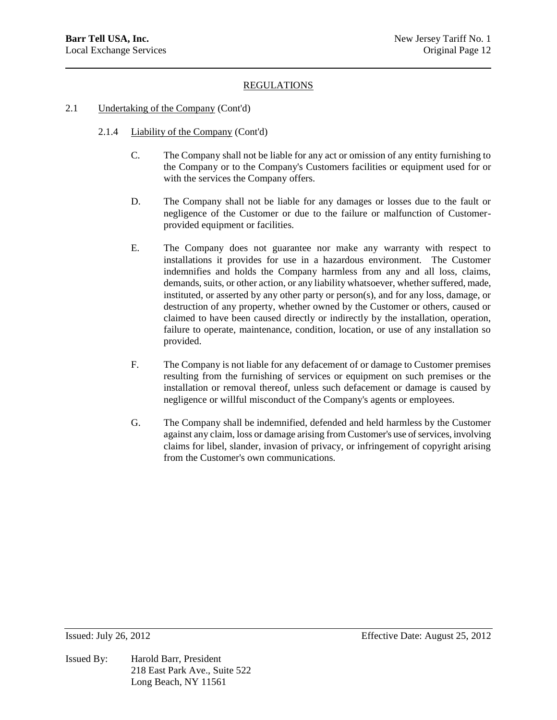#### 2.1 Undertaking of the Company (Cont'd)

- 2.1.4 Liability of the Company (Cont'd)
	- C. The Company shall not be liable for any act or omission of any entity furnishing to the Company or to the Company's Customers facilities or equipment used for or with the services the Company offers.
	- D. The Company shall not be liable for any damages or losses due to the fault or negligence of the Customer or due to the failure or malfunction of Customerprovided equipment or facilities.
	- E. The Company does not guarantee nor make any warranty with respect to installations it provides for use in a hazardous environment. The Customer indemnifies and holds the Company harmless from any and all loss, claims, demands, suits, or other action, or any liability whatsoever, whether suffered, made, instituted, or asserted by any other party or person(s), and for any loss, damage, or destruction of any property, whether owned by the Customer or others, caused or claimed to have been caused directly or indirectly by the installation, operation, failure to operate, maintenance, condition, location, or use of any installation so provided.
	- F. The Company is not liable for any defacement of or damage to Customer premises resulting from the furnishing of services or equipment on such premises or the installation or removal thereof, unless such defacement or damage is caused by negligence or willful misconduct of the Company's agents or employees.
	- G. The Company shall be indemnified, defended and held harmless by the Customer against any claim, loss or damage arising from Customer's use of services, involving claims for libel, slander, invasion of privacy, or infringement of copyright arising from the Customer's own communications.

Issued By: Harold Barr, President 218 East Park Ave., Suite 522 Long Beach, NY 11561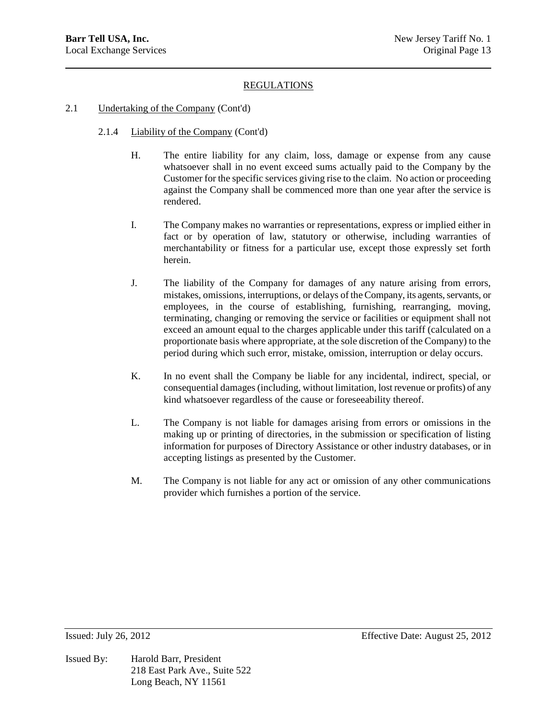#### 2.1 Undertaking of the Company (Cont'd)

- 2.1.4 Liability of the Company (Cont'd)
	- H. The entire liability for any claim, loss, damage or expense from any cause whatsoever shall in no event exceed sums actually paid to the Company by the Customer for the specific services giving rise to the claim. No action or proceeding against the Company shall be commenced more than one year after the service is rendered.
	- I. The Company makes no warranties or representations, express or implied either in fact or by operation of law, statutory or otherwise, including warranties of merchantability or fitness for a particular use, except those expressly set forth herein.
	- J. The liability of the Company for damages of any nature arising from errors, mistakes, omissions, interruptions, or delays of the Company, its agents, servants, or employees, in the course of establishing, furnishing, rearranging, moving, terminating, changing or removing the service or facilities or equipment shall not exceed an amount equal to the charges applicable under this tariff (calculated on a proportionate basis where appropriate, at the sole discretion of the Company) to the period during which such error, mistake, omission, interruption or delay occurs.
	- K. In no event shall the Company be liable for any incidental, indirect, special, or consequential damages (including, without limitation, lost revenue or profits) of any kind whatsoever regardless of the cause or foreseeability thereof.
	- L. The Company is not liable for damages arising from errors or omissions in the making up or printing of directories, in the submission or specification of listing information for purposes of Directory Assistance or other industry databases, or in accepting listings as presented by the Customer.
	- M. The Company is not liable for any act or omission of any other communications provider which furnishes a portion of the service.

Issued By: Harold Barr, President 218 East Park Ave., Suite 522 Long Beach, NY 11561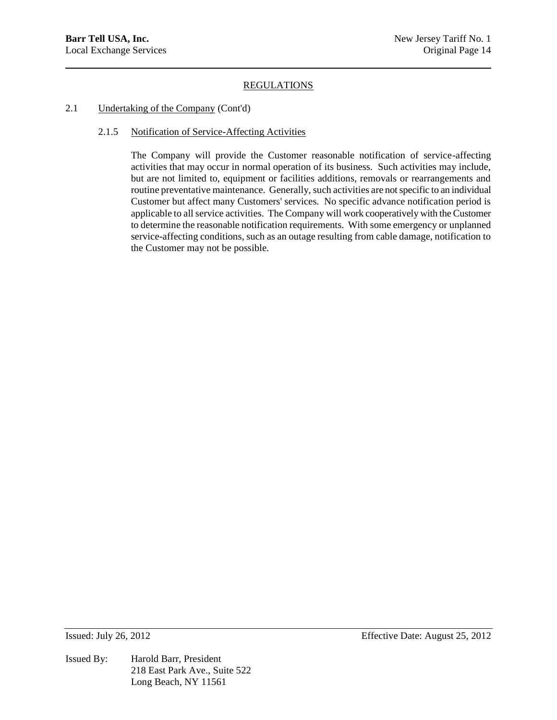### 2.1 Undertaking of the Company (Cont'd)

### 2.1.5 Notification of Service-Affecting Activities

The Company will provide the Customer reasonable notification of service-affecting activities that may occur in normal operation of its business. Such activities may include, but are not limited to, equipment or facilities additions, removals or rearrangements and routine preventative maintenance. Generally, such activities are not specific to an individual Customer but affect many Customers' services. No specific advance notification period is applicable to all service activities. The Company will work cooperatively with the Customer to determine the reasonable notification requirements. With some emergency or unplanned service-affecting conditions, such as an outage resulting from cable damage, notification to the Customer may not be possible.

Issued By: Harold Barr, President 218 East Park Ave., Suite 522 Long Beach, NY 11561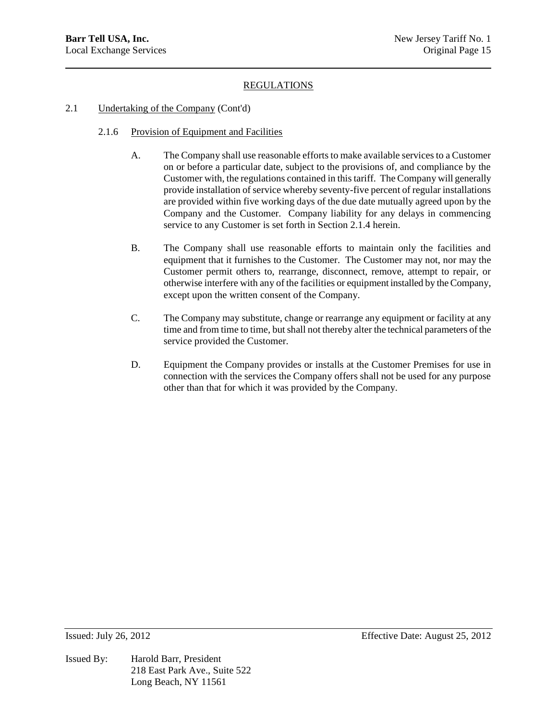- 2.1 Undertaking of the Company (Cont'd)
	- 2.1.6 Provision of Equipment and Facilities
		- A. The Company shall use reasonable efforts to make available services to a Customer on or before a particular date, subject to the provisions of, and compliance by the Customer with, the regulations contained in this tariff. The Company will generally provide installation of service whereby seventy-five percent of regular installations are provided within five working days of the due date mutually agreed upon by the Company and the Customer. Company liability for any delays in commencing service to any Customer is set forth in Section 2.1.4 herein.
		- B. The Company shall use reasonable efforts to maintain only the facilities and equipment that it furnishes to the Customer. The Customer may not, nor may the Customer permit others to, rearrange, disconnect, remove, attempt to repair, or otherwise interfere with any of the facilities or equipment installed by the Company, except upon the written consent of the Company.
		- C. The Company may substitute, change or rearrange any equipment or facility at any time and from time to time, but shall not thereby alter the technical parameters of the service provided the Customer.
		- D. Equipment the Company provides or installs at the Customer Premises for use in connection with the services the Company offers shall not be used for any purpose other than that for which it was provided by the Company.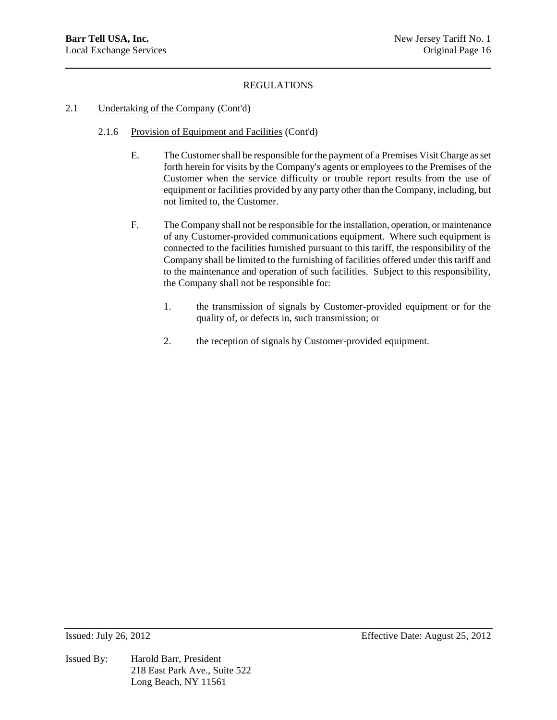### 2.1 Undertaking of the Company (Cont'd)

- 2.1.6 Provision of Equipment and Facilities (Cont'd)
	- E. The Customer shall be responsible for the payment of a Premises Visit Charge as set forth herein for visits by the Company's agents or employees to the Premises of the Customer when the service difficulty or trouble report results from the use of equipment or facilities provided by any party other than the Company, including, but not limited to, the Customer.
	- F. The Company shall not be responsible for the installation, operation, or maintenance of any Customer-provided communications equipment. Where such equipment is connected to the facilities furnished pursuant to this tariff, the responsibility of the Company shall be limited to the furnishing of facilities offered under this tariff and to the maintenance and operation of such facilities. Subject to this responsibility, the Company shall not be responsible for:
		- 1. the transmission of signals by Customer-provided equipment or for the quality of, or defects in, such transmission; or
		- 2. the reception of signals by Customer-provided equipment.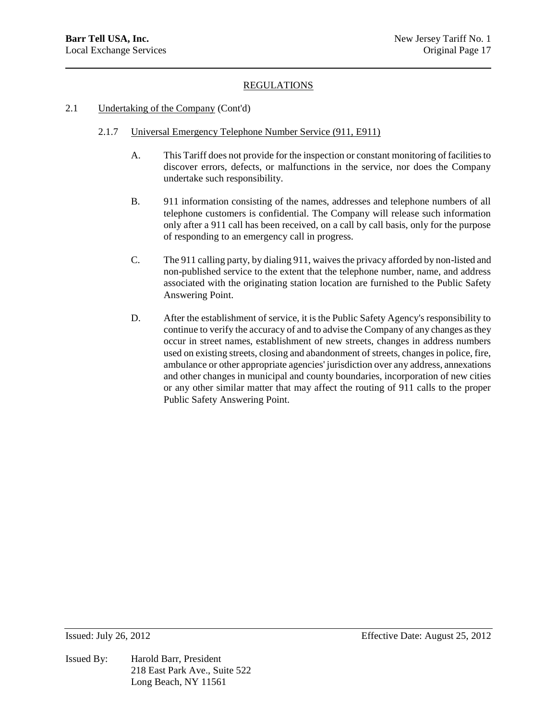#### 2.1 Undertaking of the Company (Cont'd)

- 2.1.7 Universal Emergency Telephone Number Service (911, E911)
	- A. This Tariff does not provide for the inspection or constant monitoring of facilities to discover errors, defects, or malfunctions in the service, nor does the Company undertake such responsibility.
	- B. 911 information consisting of the names, addresses and telephone numbers of all telephone customers is confidential. The Company will release such information only after a 911 call has been received, on a call by call basis, only for the purpose of responding to an emergency call in progress.
	- C. The 911 calling party, by dialing 911, waives the privacy afforded by non-listed and non-published service to the extent that the telephone number, name, and address associated with the originating station location are furnished to the Public Safety Answering Point.
	- D. After the establishment of service, it is the Public Safety Agency's responsibility to continue to verify the accuracy of and to advise the Company of any changes as they occur in street names, establishment of new streets, changes in address numbers used on existing streets, closing and abandonment of streets, changes in police, fire, ambulance or other appropriate agencies' jurisdiction over any address, annexations and other changes in municipal and county boundaries, incorporation of new cities or any other similar matter that may affect the routing of 911 calls to the proper Public Safety Answering Point.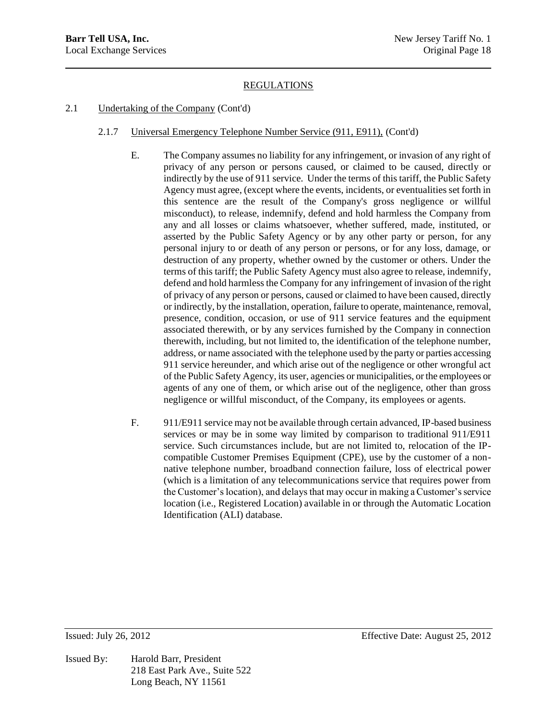# 2.1 Undertaking of the Company (Cont'd)

- 2.1.7 Universal Emergency Telephone Number Service (911, E911), (Cont'd)
	- E. The Company assumes no liability for any infringement, or invasion of any right of privacy of any person or persons caused, or claimed to be caused, directly or indirectly by the use of 911 service. Under the terms of this tariff, the Public Safety Agency must agree, (except where the events, incidents, or eventualities set forth in this sentence are the result of the Company's gross negligence or willful misconduct), to release, indemnify, defend and hold harmless the Company from any and all losses or claims whatsoever, whether suffered, made, instituted, or asserted by the Public Safety Agency or by any other party or person, for any personal injury to or death of any person or persons, or for any loss, damage, or destruction of any property, whether owned by the customer or others. Under the terms of this tariff; the Public Safety Agency must also agree to release, indemnify, defend and hold harmless the Company for any infringement of invasion of the right of privacy of any person or persons, caused or claimed to have been caused, directly or indirectly, by the installation, operation, failure to operate, maintenance, removal, presence, condition, occasion, or use of 911 service features and the equipment associated therewith, or by any services furnished by the Company in connection therewith, including, but not limited to, the identification of the telephone number, address, or name associated with the telephone used by the party or parties accessing 911 service hereunder, and which arise out of the negligence or other wrongful act of the Public Safety Agency, its user, agencies or municipalities, or the employees or agents of any one of them, or which arise out of the negligence, other than gross negligence or willful misconduct, of the Company, its employees or agents.
	- F. 911/E911 service may not be available through certain advanced, IP-based business services or may be in some way limited by comparison to traditional 911/E911 service. Such circumstances include, but are not limited to, relocation of the IPcompatible Customer Premises Equipment (CPE), use by the customer of a nonnative telephone number, broadband connection failure, loss of electrical power (which is a limitation of any telecommunications service that requires power from the Customer's location), and delays that may occur in making a Customer's service location (i.e., Registered Location) available in or through the Automatic Location Identification (ALI) database.

Issued By: Harold Barr, President 218 East Park Ave., Suite 522 Long Beach, NY 11561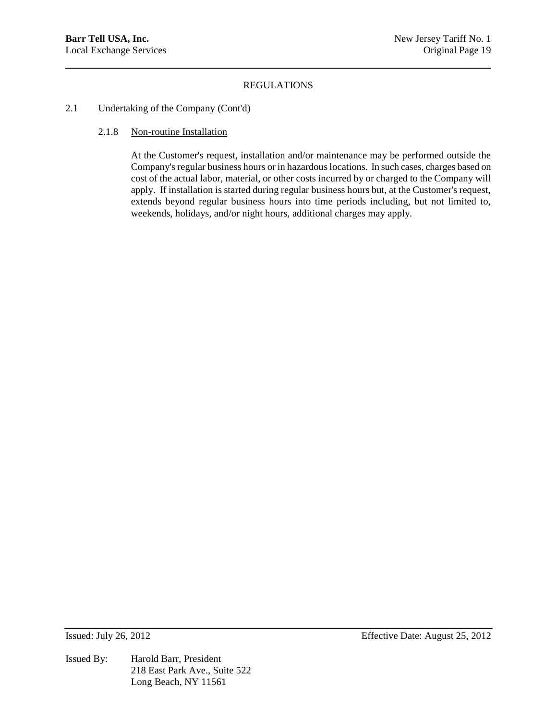### 2.1 Undertaking of the Company (Cont'd)

#### 2.1.8 Non-routine Installation

At the Customer's request, installation and/or maintenance may be performed outside the Company's regular business hours or in hazardous locations. In such cases, charges based on cost of the actual labor, material, or other costs incurred by or charged to the Company will apply. If installation is started during regular business hours but, at the Customer's request, extends beyond regular business hours into time periods including, but not limited to, weekends, holidays, and/or night hours, additional charges may apply.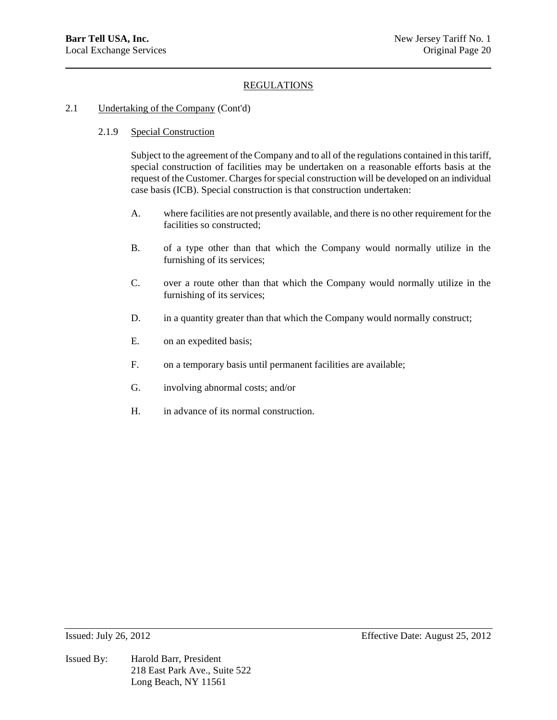### 2.1 Undertaking of the Company (Cont'd)

### 2.1.9 Special Construction

Subject to the agreement of the Company and to all of the regulations contained in this tariff, special construction of facilities may be undertaken on a reasonable efforts basis at the request of the Customer. Charges for special construction will be developed on an individual case basis (ICB). Special construction is that construction undertaken:

- A. where facilities are not presently available, and there is no other requirement for the facilities so constructed;
- B. of a type other than that which the Company would normally utilize in the furnishing of its services;
- C. over a route other than that which the Company would normally utilize in the furnishing of its services;
- D. in a quantity greater than that which the Company would normally construct;
- E. on an expedited basis;
- F. on a temporary basis until permanent facilities are available;
- G. involving abnormal costs; and/or
- H. in advance of its normal construction.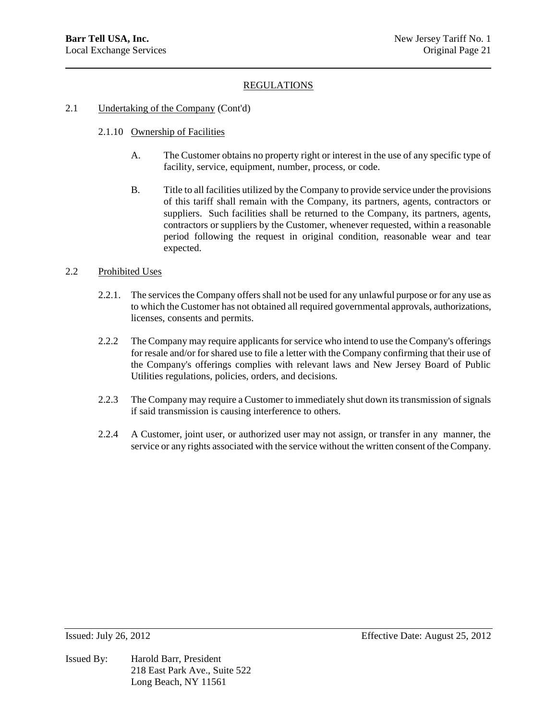### 2.1 Undertaking of the Company (Cont'd)

- 2.1.10 Ownership of Facilities
	- A. The Customer obtains no property right or interest in the use of any specific type of facility, service, equipment, number, process, or code.
	- B. Title to all facilities utilized by the Company to provide service under the provisions of this tariff shall remain with the Company, its partners, agents, contractors or suppliers. Such facilities shall be returned to the Company, its partners, agents, contractors or suppliers by the Customer, whenever requested, within a reasonable period following the request in original condition, reasonable wear and tear expected.

### 2.2 Prohibited Uses

- 2.2.1. The services the Company offers shall not be used for any unlawful purpose or for any use as to which the Customer has not obtained all required governmental approvals, authorizations, licenses, consents and permits.
- 2.2.2 The Company may require applicants for service who intend to use the Company's offerings for resale and/or for shared use to file a letter with the Company confirming that their use of the Company's offerings complies with relevant laws and New Jersey Board of Public Utilities regulations, policies, orders, and decisions.
- 2.2.3 The Company may require a Customer to immediately shut down its transmission of signals if said transmission is causing interference to others.
- 2.2.4 A Customer, joint user, or authorized user may not assign, or transfer in any manner, the service or any rights associated with the service without the written consent of the Company.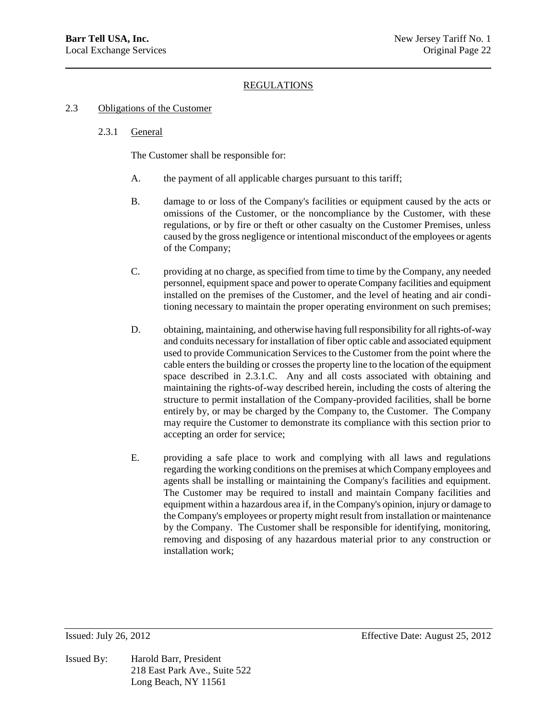#### 2.3 Obligations of the Customer

#### 2.3.1 General

The Customer shall be responsible for:

- A. the payment of all applicable charges pursuant to this tariff;
- B. damage to or loss of the Company's facilities or equipment caused by the acts or omissions of the Customer, or the noncompliance by the Customer, with these regulations, or by fire or theft or other casualty on the Customer Premises, unless caused by the gross negligence or intentional misconduct of the employees or agents of the Company;
- C. providing at no charge, as specified from time to time by the Company, any needed personnel, equipment space and power to operate Company facilities and equipment installed on the premises of the Customer, and the level of heating and air conditioning necessary to maintain the proper operating environment on such premises;
- D. obtaining, maintaining, and otherwise having full responsibility for all rights-of-way and conduits necessary for installation of fiber optic cable and associated equipment used to provide Communication Services to the Customer from the point where the cable enters the building or crosses the property line to the location of the equipment space described in 2.3.1.C. Any and all costs associated with obtaining and maintaining the rights-of-way described herein, including the costs of altering the structure to permit installation of the Company-provided facilities, shall be borne entirely by, or may be charged by the Company to, the Customer. The Company may require the Customer to demonstrate its compliance with this section prior to accepting an order for service;
- E. providing a safe place to work and complying with all laws and regulations regarding the working conditions on the premises at which Company employees and agents shall be installing or maintaining the Company's facilities and equipment. The Customer may be required to install and maintain Company facilities and equipment within a hazardous area if, in the Company's opinion, injury or damage to the Company's employees or property might result from installation or maintenance by the Company. The Customer shall be responsible for identifying, monitoring, removing and disposing of any hazardous material prior to any construction or installation work;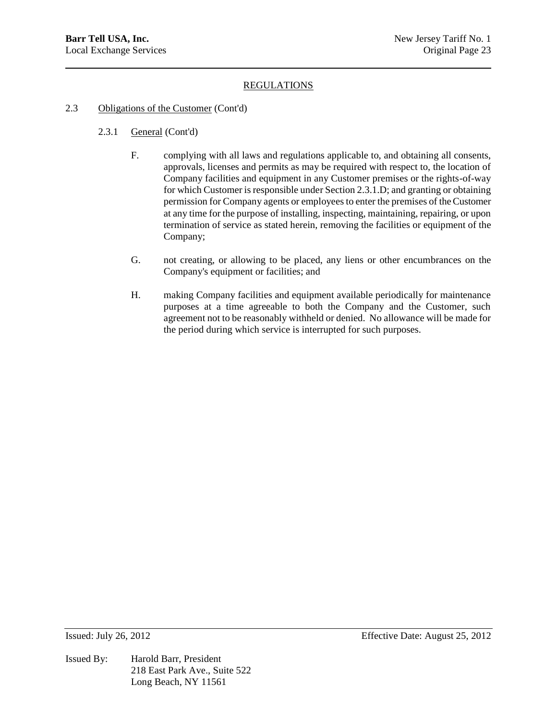- 2.3 Obligations of the Customer (Cont'd)
	- 2.3.1 General (Cont'd)
		- F. complying with all laws and regulations applicable to, and obtaining all consents, approvals, licenses and permits as may be required with respect to, the location of Company facilities and equipment in any Customer premises or the rights-of-way for which Customer is responsible under Section 2.3.1.D; and granting or obtaining permission for Company agents or employees to enter the premises of the Customer at any time for the purpose of installing, inspecting, maintaining, repairing, or upon termination of service as stated herein, removing the facilities or equipment of the Company;
		- G. not creating, or allowing to be placed, any liens or other encumbrances on the Company's equipment or facilities; and
		- H. making Company facilities and equipment available periodically for maintenance purposes at a time agreeable to both the Company and the Customer, such agreement not to be reasonably withheld or denied. No allowance will be made for the period during which service is interrupted for such purposes.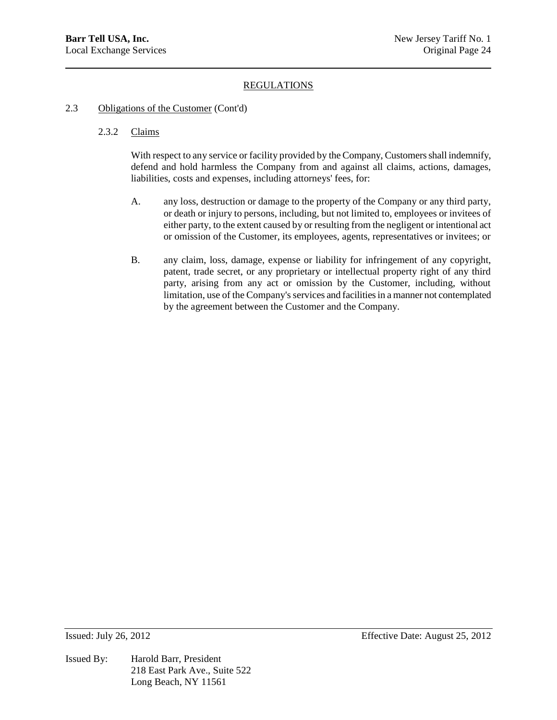### 2.3 Obligations of the Customer (Cont'd)

### 2.3.2 Claims

With respect to any service or facility provided by the Company, Customers shall indemnify, defend and hold harmless the Company from and against all claims, actions, damages, liabilities, costs and expenses, including attorneys' fees, for:

- A. any loss, destruction or damage to the property of the Company or any third party, or death or injury to persons, including, but not limited to, employees or invitees of either party, to the extent caused by or resulting from the negligent or intentional act or omission of the Customer, its employees, agents, representatives or invitees; or
- B. any claim, loss, damage, expense or liability for infringement of any copyright, patent, trade secret, or any proprietary or intellectual property right of any third party, arising from any act or omission by the Customer, including, without limitation, use of the Company's services and facilities in a manner not contemplated by the agreement between the Customer and the Company.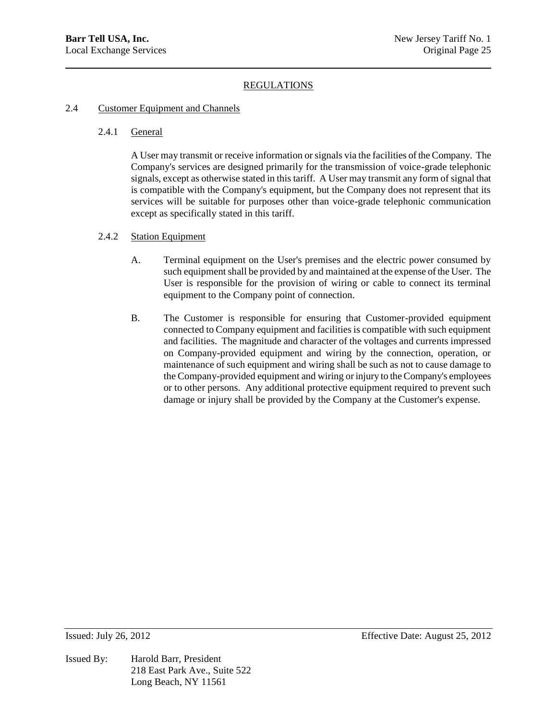### 2.4 Customer Equipment and Channels

#### 2.4.1 General

A User may transmit or receive information or signals via the facilities of the Company. The Company's services are designed primarily for the transmission of voice-grade telephonic signals, except as otherwise stated in this tariff. A User may transmit any form of signal that is compatible with the Company's equipment, but the Company does not represent that its services will be suitable for purposes other than voice-grade telephonic communication except as specifically stated in this tariff.

### 2.4.2 Station Equipment

- A. Terminal equipment on the User's premises and the electric power consumed by such equipment shall be provided by and maintained at the expense of the User. The User is responsible for the provision of wiring or cable to connect its terminal equipment to the Company point of connection.
- B. The Customer is responsible for ensuring that Customer-provided equipment connected to Company equipment and facilities is compatible with such equipment and facilities. The magnitude and character of the voltages and currents impressed on Company-provided equipment and wiring by the connection, operation, or maintenance of such equipment and wiring shall be such as not to cause damage to the Company-provided equipment and wiring or injury to the Company's employees or to other persons. Any additional protective equipment required to prevent such damage or injury shall be provided by the Company at the Customer's expense.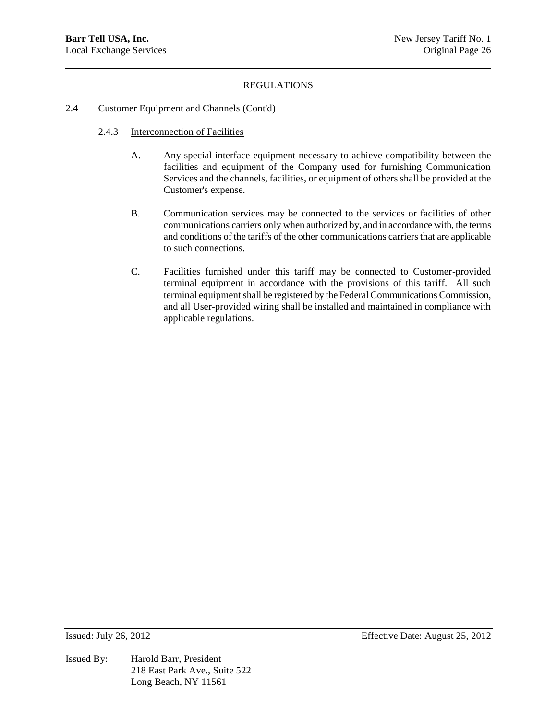### 2.4 Customer Equipment and Channels (Cont'd)

- 2.4.3 Interconnection of Facilities
	- A. Any special interface equipment necessary to achieve compatibility between the facilities and equipment of the Company used for furnishing Communication Services and the channels, facilities, or equipment of others shall be provided at the Customer's expense.
	- B. Communication services may be connected to the services or facilities of other communications carriers only when authorized by, and in accordance with, the terms and conditions of the tariffs of the other communications carriers that are applicable to such connections.
	- C. Facilities furnished under this tariff may be connected to Customer-provided terminal equipment in accordance with the provisions of this tariff. All such terminal equipment shall be registered by the Federal Communications Commission, and all User-provided wiring shall be installed and maintained in compliance with applicable regulations.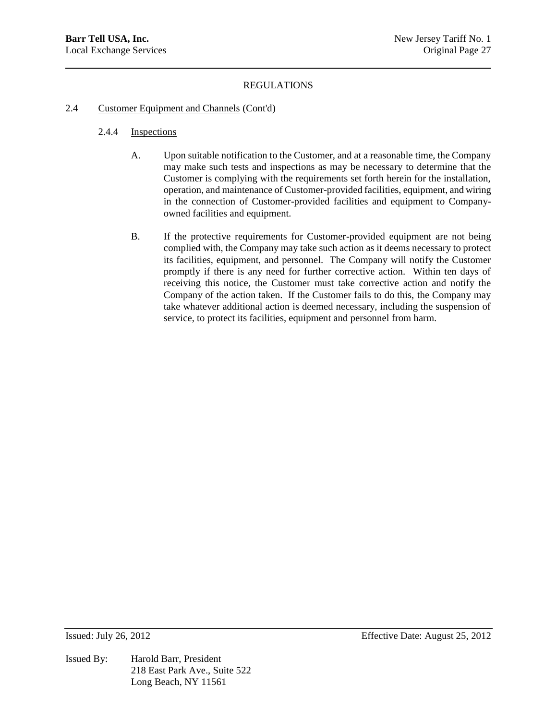### 2.4 Customer Equipment and Channels (Cont'd)

- 2.4.4 Inspections
	- A. Upon suitable notification to the Customer, and at a reasonable time, the Company may make such tests and inspections as may be necessary to determine that the Customer is complying with the requirements set forth herein for the installation, operation, and maintenance of Customer-provided facilities, equipment, and wiring in the connection of Customer-provided facilities and equipment to Companyowned facilities and equipment.
	- B. If the protective requirements for Customer-provided equipment are not being complied with, the Company may take such action as it deems necessary to protect its facilities, equipment, and personnel. The Company will notify the Customer promptly if there is any need for further corrective action. Within ten days of receiving this notice, the Customer must take corrective action and notify the Company of the action taken. If the Customer fails to do this, the Company may take whatever additional action is deemed necessary, including the suspension of service, to protect its facilities, equipment and personnel from harm.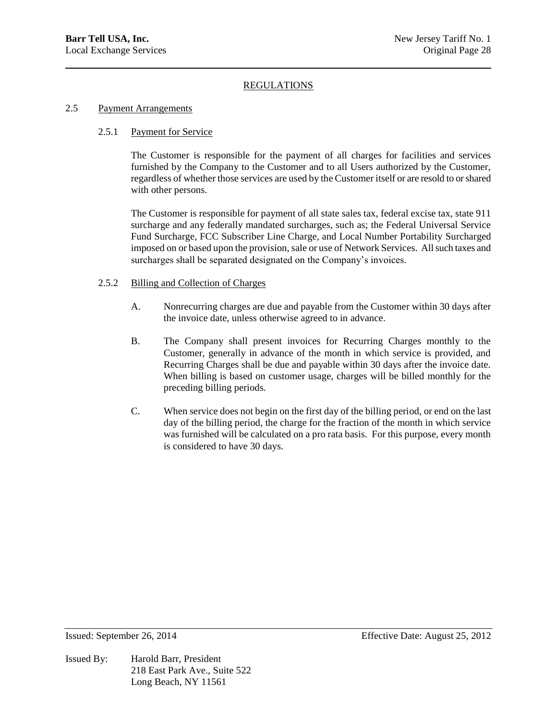### 2.5 Payment Arrangements

### 2.5.1 Payment for Service

The Customer is responsible for the payment of all charges for facilities and services furnished by the Company to the Customer and to all Users authorized by the Customer, regardless of whether those services are used by the Customer itself or are resold to or shared with other persons.

The Customer is responsible for payment of all state sales tax, federal excise tax, state 911 surcharge and any federally mandated surcharges, such as; the Federal Universal Service Fund Surcharge, FCC Subscriber Line Charge, and Local Number Portability Surcharged imposed on or based upon the provision, sale or use of Network Services. All such taxes and surcharges shall be separated designated on the Company's invoices.

### 2.5.2 Billing and Collection of Charges

- A. Nonrecurring charges are due and payable from the Customer within 30 days after the invoice date, unless otherwise agreed to in advance.
- B. The Company shall present invoices for Recurring Charges monthly to the Customer, generally in advance of the month in which service is provided, and Recurring Charges shall be due and payable within 30 days after the invoice date. When billing is based on customer usage, charges will be billed monthly for the preceding billing periods.
- C. When service does not begin on the first day of the billing period, or end on the last day of the billing period, the charge for the fraction of the month in which service was furnished will be calculated on a pro rata basis. For this purpose, every month is considered to have 30 days.

Issued By: Harold Barr, President 218 East Park Ave., Suite 522 Long Beach, NY 11561

Issued: September 26, 2014 Effective Date: August 25, 2012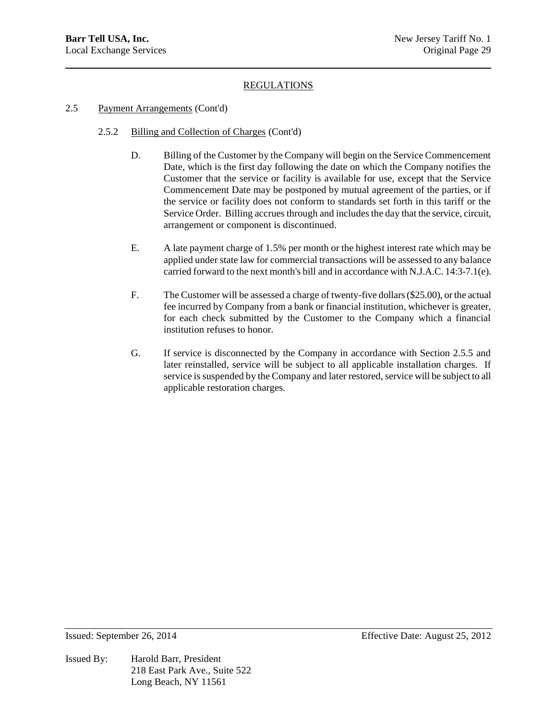# 2.5 Payment Arrangements (Cont'd)

- 2.5.2 Billing and Collection of Charges (Cont'd)
	- D. Billing of the Customer by the Company will begin on the Service Commencement Date, which is the first day following the date on which the Company notifies the Customer that the service or facility is available for use, except that the Service Commencement Date may be postponed by mutual agreement of the parties, or if the service or facility does not conform to standards set forth in this tariff or the Service Order. Billing accrues through and includes the day that the service, circuit, arrangement or component is discontinued.
	- E. A late payment charge of 1.5% per month or the highest interest rate which may be applied under state law for commercial transactions will be assessed to any balance carried forward to the next month's bill and in accordance with N.J.A.C. 14:3-7.1(e).
	- F. The Customer will be assessed a charge of twenty-five dollars (\$25.00), or the actual fee incurred by Company from a bank or financial institution, whichever is greater, for each check submitted by the Customer to the Company which a financial institution refuses to honor.
	- G. If service is disconnected by the Company in accordance with Section 2.5.5 and later reinstalled, service will be subject to all applicable installation charges. If service is suspended by the Company and later restored, service will be subject to all applicable restoration charges.

Issued By: Harold Barr, President 218 East Park Ave., Suite 522 Long Beach, NY 11561

Issued: September 26, 2014 Effective Date: August 25, 2012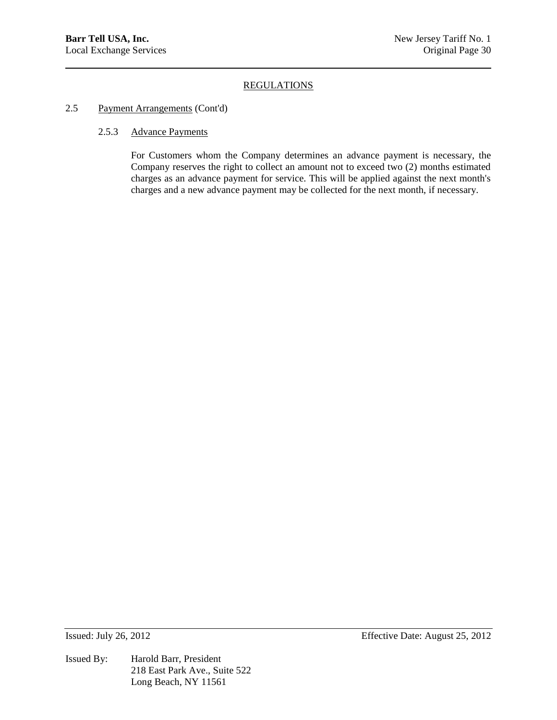### 2.5 Payment Arrangements (Cont'd)

### 2.5.3 Advance Payments

For Customers whom the Company determines an advance payment is necessary, the Company reserves the right to collect an amount not to exceed two (2) months estimated charges as an advance payment for service. This will be applied against the next month's charges and a new advance payment may be collected for the next month, if necessary.

Issued By: Harold Barr, President 218 East Park Ave., Suite 522 Long Beach, NY 11561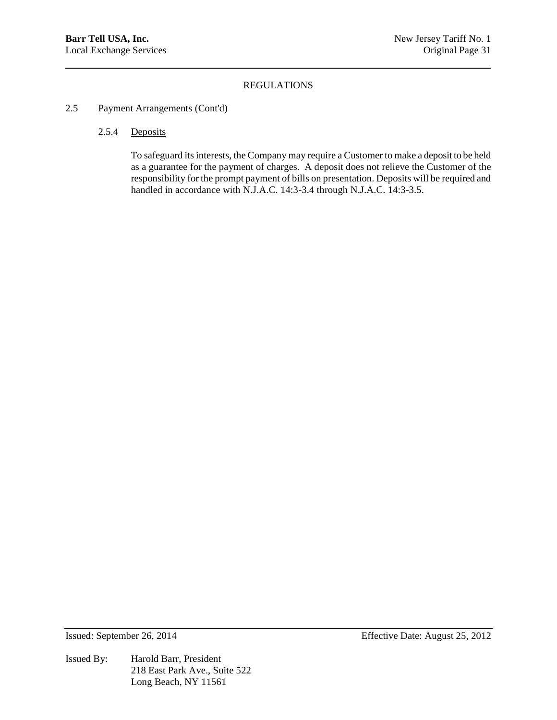## 2.5 Payment Arrangements (Cont'd)

# 2.5.4 Deposits

To safeguard its interests, the Company may require a Customer to make a deposit to be held as a guarantee for the payment of charges. A deposit does not relieve the Customer of the responsibility for the prompt payment of bills on presentation. Deposits will be required and handled in accordance with N.J.A.C. 14:3-3.4 through N.J.A.C. 14:3-3.5.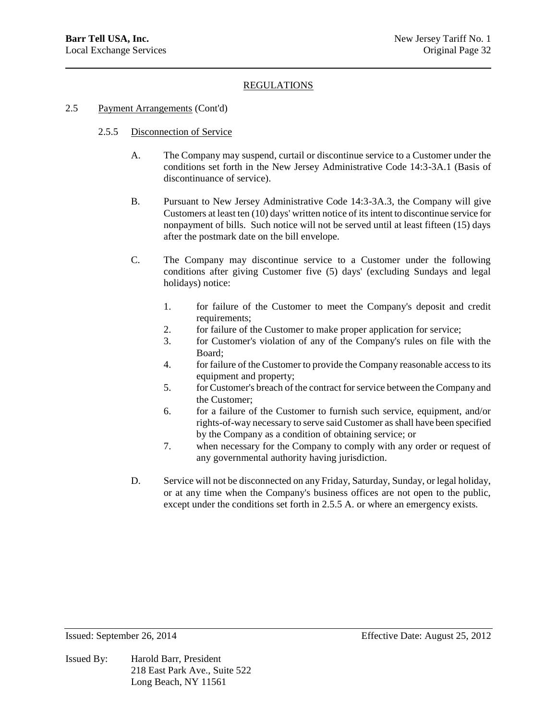### 2.5 Payment Arrangements (Cont'd)

### 2.5.5 Disconnection of Service

- A. The Company may suspend, curtail or discontinue service to a Customer under the conditions set forth in the New Jersey Administrative Code 14:3-3A.1 (Basis of discontinuance of service).
- B. Pursuant to New Jersey Administrative Code 14:3-3A.3, the Company will give Customers at least ten (10) days' written notice of its intent to discontinue service for nonpayment of bills. Such notice will not be served until at least fifteen (15) days after the postmark date on the bill envelope.
- C. The Company may discontinue service to a Customer under the following conditions after giving Customer five (5) days' (excluding Sundays and legal holidays) notice:
	- 1. for failure of the Customer to meet the Company's deposit and credit requirements;
	- 2. for failure of the Customer to make proper application for service;
	- 3. for Customer's violation of any of the Company's rules on file with the Board;
	- 4. for failure of the Customer to provide the Company reasonable access to its equipment and property;
	- 5. for Customer's breach of the contract for service between the Company and the Customer;
	- 6. for a failure of the Customer to furnish such service, equipment, and/or rights-of-way necessary to serve said Customer as shall have been specified by the Company as a condition of obtaining service; or
	- 7. when necessary for the Company to comply with any order or request of any governmental authority having jurisdiction.
- D. Service will not be disconnected on any Friday, Saturday, Sunday, or legal holiday, or at any time when the Company's business offices are not open to the public, except under the conditions set forth in 2.5.5 A. or where an emergency exists.

Issued By: Harold Barr, President 218 East Park Ave., Suite 522 Long Beach, NY 11561

Issued: September 26, 2014 Effective Date: August 25, 2012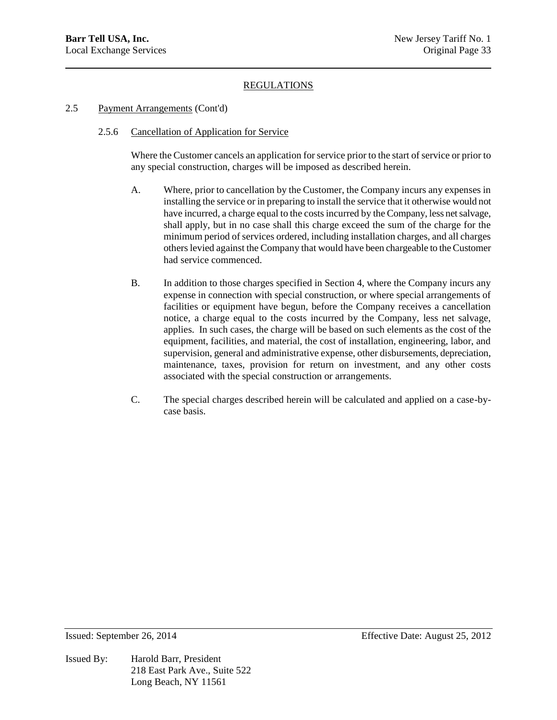### 2.5 Payment Arrangements (Cont'd)

### 2.5.6 Cancellation of Application for Service

Where the Customer cancels an application for service prior to the start of service or prior to any special construction, charges will be imposed as described herein.

- A. Where, prior to cancellation by the Customer, the Company incurs any expenses in installing the service or in preparing to install the service that it otherwise would not have incurred, a charge equal to the costs incurred by the Company, less net salvage, shall apply, but in no case shall this charge exceed the sum of the charge for the minimum period of services ordered, including installation charges, and all charges others levied against the Company that would have been chargeable to the Customer had service commenced.
- B. In addition to those charges specified in Section 4, where the Company incurs any expense in connection with special construction, or where special arrangements of facilities or equipment have begun, before the Company receives a cancellation notice, a charge equal to the costs incurred by the Company, less net salvage, applies. In such cases, the charge will be based on such elements as the cost of the equipment, facilities, and material, the cost of installation, engineering, labor, and supervision, general and administrative expense, other disbursements, depreciation, maintenance, taxes, provision for return on investment, and any other costs associated with the special construction or arrangements.
- C. The special charges described herein will be calculated and applied on a case-bycase basis.

Issued By: Harold Barr, President 218 East Park Ave., Suite 522 Long Beach, NY 11561

Issued: September 26, 2014 Effective Date: August 25, 2012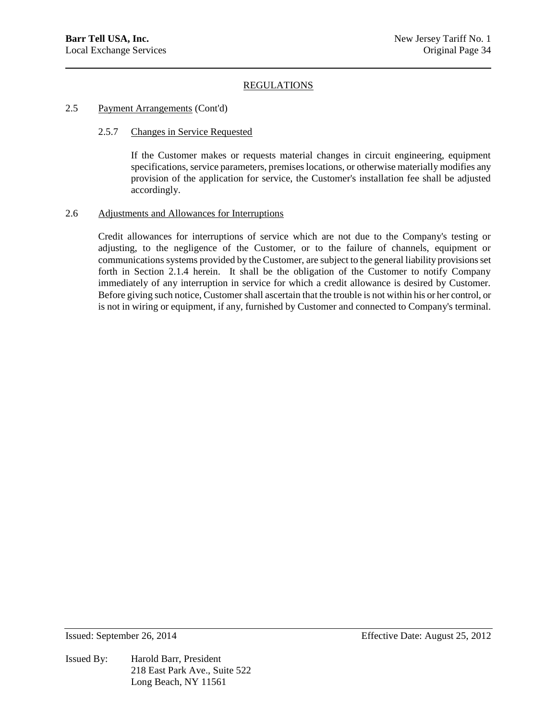### 2.5 Payment Arrangements (Cont'd)

### 2.5.7 Changes in Service Requested

If the Customer makes or requests material changes in circuit engineering, equipment specifications, service parameters, premises locations, or otherwise materially modifies any provision of the application for service, the Customer's installation fee shall be adjusted accordingly.

### 2.6 Adjustments and Allowances for Interruptions

Credit allowances for interruptions of service which are not due to the Company's testing or adjusting, to the negligence of the Customer, or to the failure of channels, equipment or communications systems provided by the Customer, are subject to the general liability provisions set forth in Section 2.1.4 herein. It shall be the obligation of the Customer to notify Company immediately of any interruption in service for which a credit allowance is desired by Customer. Before giving such notice, Customer shall ascertain that the trouble is not within his or her control, or is not in wiring or equipment, if any, furnished by Customer and connected to Company's terminal.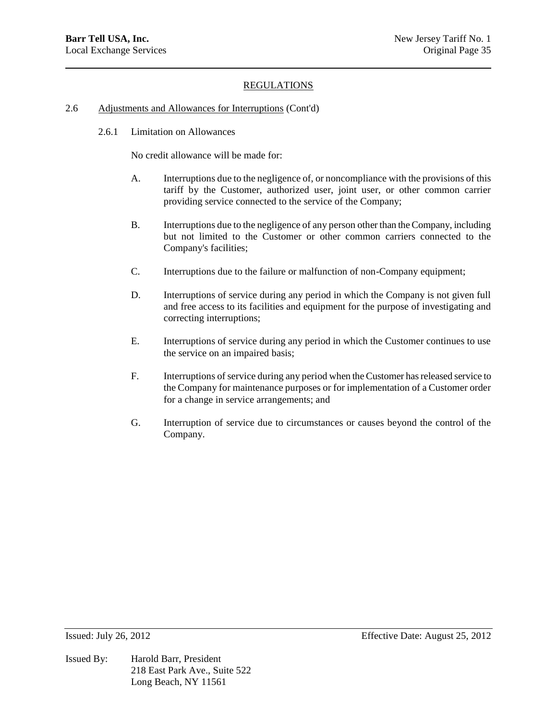#### 2.6 Adjustments and Allowances for Interruptions (Cont'd)

2.6.1 Limitation on Allowances

No credit allowance will be made for:

- A. Interruptions due to the negligence of, or noncompliance with the provisions of this tariff by the Customer, authorized user, joint user, or other common carrier providing service connected to the service of the Company;
- B. Interruptions due to the negligence of any person other than the Company, including but not limited to the Customer or other common carriers connected to the Company's facilities;
- C. Interruptions due to the failure or malfunction of non-Company equipment;
- D. Interruptions of service during any period in which the Company is not given full and free access to its facilities and equipment for the purpose of investigating and correcting interruptions;
- E. Interruptions of service during any period in which the Customer continues to use the service on an impaired basis;
- F. Interruptions of service during any period when the Customer has released service to the Company for maintenance purposes or for implementation of a Customer order for a change in service arrangements; and
- G. Interruption of service due to circumstances or causes beyond the control of the Company.

Issued By: Harold Barr, President 218 East Park Ave., Suite 522 Long Beach, NY 11561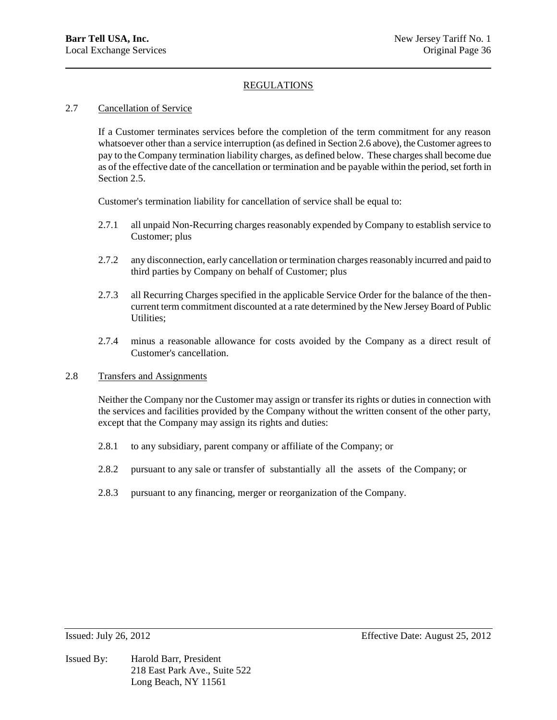### 2.7 Cancellation of Service

If a Customer terminates services before the completion of the term commitment for any reason whatsoever other than a service interruption (as defined in Section 2.6 above), the Customer agrees to pay to the Company termination liability charges, as defined below. These charges shall become due as of the effective date of the cancellation or termination and be payable within the period, set forth in Section 2.5.

Customer's termination liability for cancellation of service shall be equal to:

- 2.7.1 all unpaid Non-Recurring charges reasonably expended by Company to establish service to Customer; plus
- 2.7.2 any disconnection, early cancellation or termination charges reasonably incurred and paid to third parties by Company on behalf of Customer; plus
- 2.7.3 all Recurring Charges specified in the applicable Service Order for the balance of the thencurrent term commitment discounted at a rate determined by the New Jersey Board of Public Utilities;
- 2.7.4 minus a reasonable allowance for costs avoided by the Company as a direct result of Customer's cancellation.

### 2.8 Transfers and Assignments

Neither the Company nor the Customer may assign or transfer its rights or duties in connection with the services and facilities provided by the Company without the written consent of the other party, except that the Company may assign its rights and duties:

- 2.8.1 to any subsidiary, parent company or affiliate of the Company; or
- 2.8.2 pursuant to any sale or transfer of substantially all the assets of the Company; or
- 2.8.3 pursuant to any financing, merger or reorganization of the Company.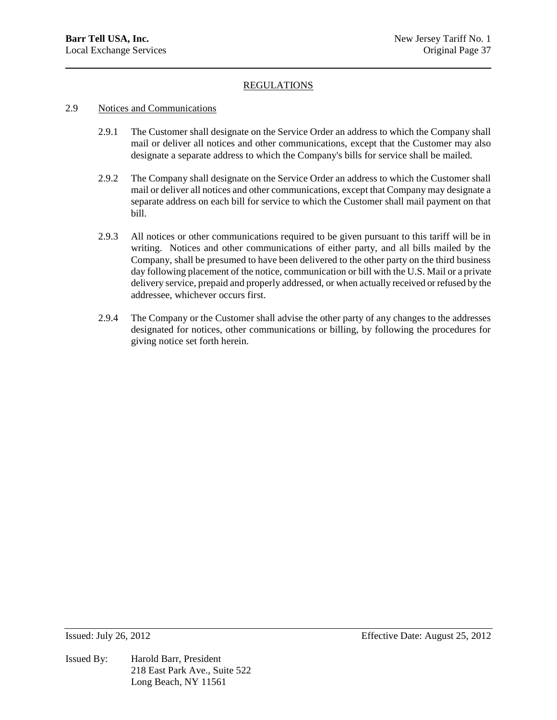### 2.9 Notices and Communications

- 2.9.1 The Customer shall designate on the Service Order an address to which the Company shall mail or deliver all notices and other communications, except that the Customer may also designate a separate address to which the Company's bills for service shall be mailed.
- 2.9.2 The Company shall designate on the Service Order an address to which the Customer shall mail or deliver all notices and other communications, except that Company may designate a separate address on each bill for service to which the Customer shall mail payment on that bill.
- 2.9.3 All notices or other communications required to be given pursuant to this tariff will be in writing. Notices and other communications of either party, and all bills mailed by the Company, shall be presumed to have been delivered to the other party on the third business day following placement of the notice, communication or bill with the U.S. Mail or a private delivery service, prepaid and properly addressed, or when actually received or refused by the addressee, whichever occurs first.
- 2.9.4 The Company or the Customer shall advise the other party of any changes to the addresses designated for notices, other communications or billing, by following the procedures for giving notice set forth herein.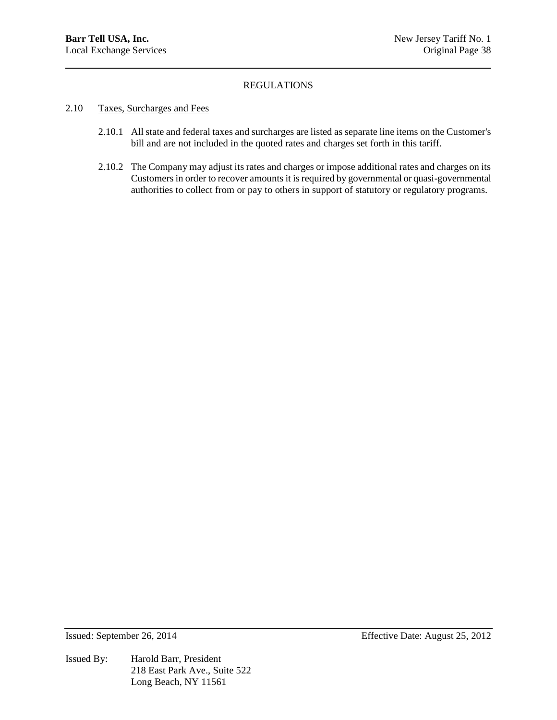- 2.10 Taxes, Surcharges and Fees
	- 2.10.1 All state and federal taxes and surcharges are listed as separate line items on the Customer's bill and are not included in the quoted rates and charges set forth in this tariff.
	- 2.10.2 The Company may adjust its rates and charges or impose additional rates and charges on its Customers in order to recover amounts it is required by governmental or quasi-governmental authorities to collect from or pay to others in support of statutory or regulatory programs.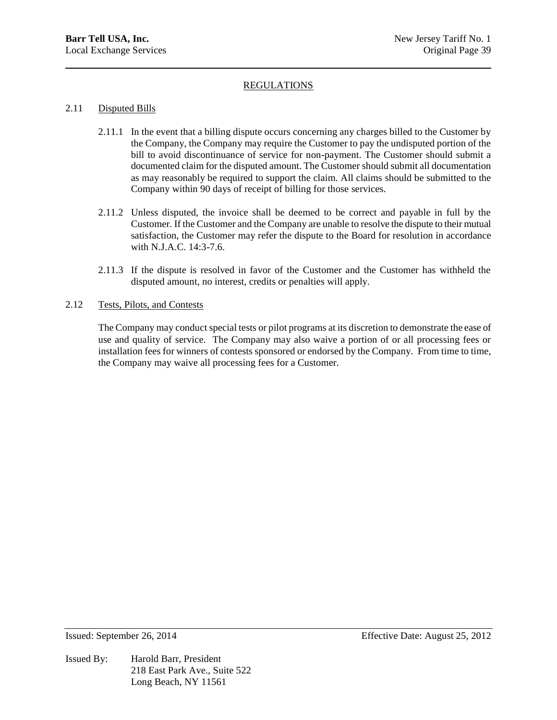### 2.11 Disputed Bills

- 2.11.1 In the event that a billing dispute occurs concerning any charges billed to the Customer by the Company, the Company may require the Customer to pay the undisputed portion of the bill to avoid discontinuance of service for non-payment. The Customer should submit a documented claim for the disputed amount. The Customer should submit all documentation as may reasonably be required to support the claim. All claims should be submitted to the Company within 90 days of receipt of billing for those services.
- 2.11.2 Unless disputed, the invoice shall be deemed to be correct and payable in full by the Customer. If the Customer and the Company are unable to resolve the dispute to their mutual satisfaction, the Customer may refer the dispute to the Board for resolution in accordance with N.J.A.C. 14:3-7.6.
- 2.11.3 If the dispute is resolved in favor of the Customer and the Customer has withheld the disputed amount, no interest, credits or penalties will apply.

### 2.12 Tests, Pilots, and Contests

The Company may conduct special tests or pilot programs at its discretion to demonstrate the ease of use and quality of service. The Company may also waive a portion of or all processing fees or installation fees for winners of contests sponsored or endorsed by the Company. From time to time, the Company may waive all processing fees for a Customer.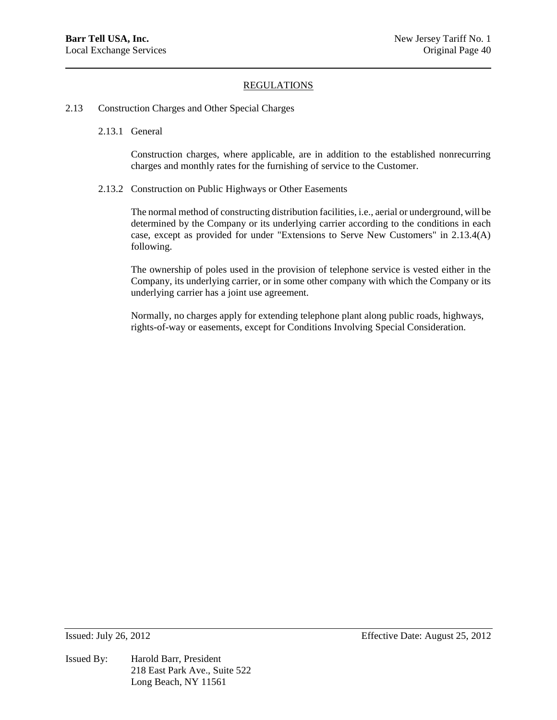- 2.13 Construction Charges and Other Special Charges
	- 2.13.1 General

Construction charges, where applicable, are in addition to the established nonrecurring charges and monthly rates for the furnishing of service to the Customer.

2.13.2 Construction on Public Highways or Other Easements

The normal method of constructing distribution facilities, i.e., aerial or underground, will be determined by the Company or its underlying carrier according to the conditions in each case, except as provided for under "Extensions to Serve New Customers" in 2.13.4(A) following.

The ownership of poles used in the provision of telephone service is vested either in the Company, its underlying carrier, or in some other company with which the Company or its underlying carrier has a joint use agreement.

Normally, no charges apply for extending telephone plant along public roads, highways, rights-of-way or easements, except for Conditions Involving Special Consideration.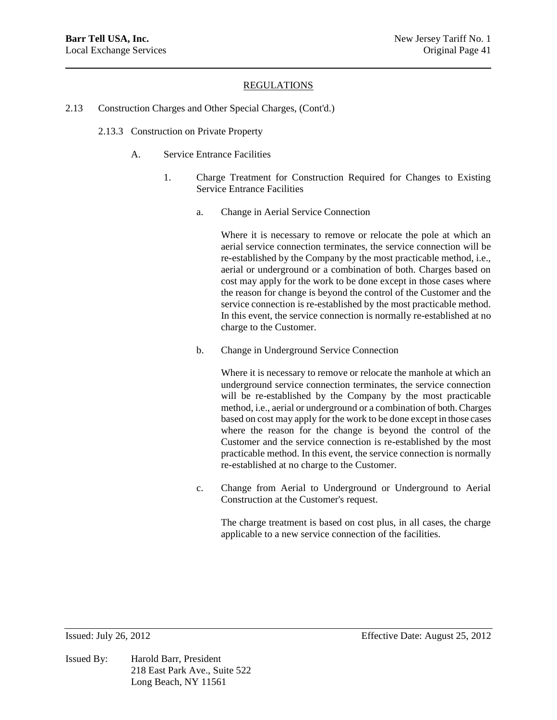- 2.13 Construction Charges and Other Special Charges, (Cont'd.)
	- 2.13.3 Construction on Private Property
		- A. Service Entrance Facilities
			- 1. Charge Treatment for Construction Required for Changes to Existing Service Entrance Facilities
				- a. Change in Aerial Service Connection

Where it is necessary to remove or relocate the pole at which an aerial service connection terminates, the service connection will be re-established by the Company by the most practicable method, i.e., aerial or underground or a combination of both. Charges based on cost may apply for the work to be done except in those cases where the reason for change is beyond the control of the Customer and the service connection is re-established by the most practicable method. In this event, the service connection is normally re-established at no charge to the Customer.

b. Change in Underground Service Connection

Where it is necessary to remove or relocate the manhole at which an underground service connection terminates, the service connection will be re-established by the Company by the most practicable method, i.e., aerial or underground or a combination of both. Charges based on cost may apply for the work to be done except in those cases where the reason for the change is beyond the control of the Customer and the service connection is re-established by the most practicable method. In this event, the service connection is normally re-established at no charge to the Customer.

c. Change from Aerial to Underground or Underground to Aerial Construction at the Customer's request.

The charge treatment is based on cost plus, in all cases, the charge applicable to a new service connection of the facilities.

Issued By: Harold Barr, President 218 East Park Ave., Suite 522 Long Beach, NY 11561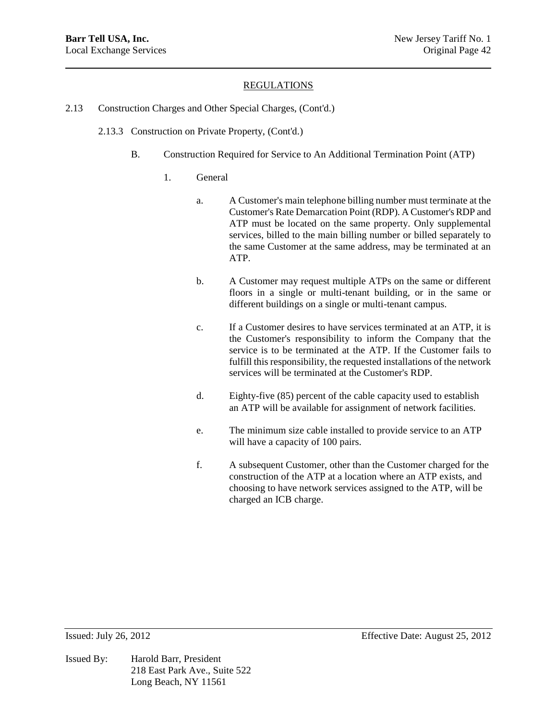- 2.13 Construction Charges and Other Special Charges, (Cont'd.)
	- 2.13.3 Construction on Private Property, (Cont'd.)
		- B. Construction Required for Service to An Additional Termination Point (ATP)
			- 1. General
				- a. A Customer's main telephone billing number must terminate at the Customer's Rate Demarcation Point (RDP). A Customer's RDP and ATP must be located on the same property. Only supplemental services, billed to the main billing number or billed separately to the same Customer at the same address, may be terminated at an ATP.
				- b. A Customer may request multiple ATPs on the same or different floors in a single or multi-tenant building, or in the same or different buildings on a single or multi-tenant campus.
				- c. If a Customer desires to have services terminated at an ATP, it is the Customer's responsibility to inform the Company that the service is to be terminated at the ATP. If the Customer fails to fulfill this responsibility, the requested installations of the network services will be terminated at the Customer's RDP.
				- d. Eighty-five (85) percent of the cable capacity used to establish an ATP will be available for assignment of network facilities.
				- e. The minimum size cable installed to provide service to an ATP will have a capacity of 100 pairs.
				- f. A subsequent Customer, other than the Customer charged for the construction of the ATP at a location where an ATP exists, and choosing to have network services assigned to the ATP, will be charged an ICB charge.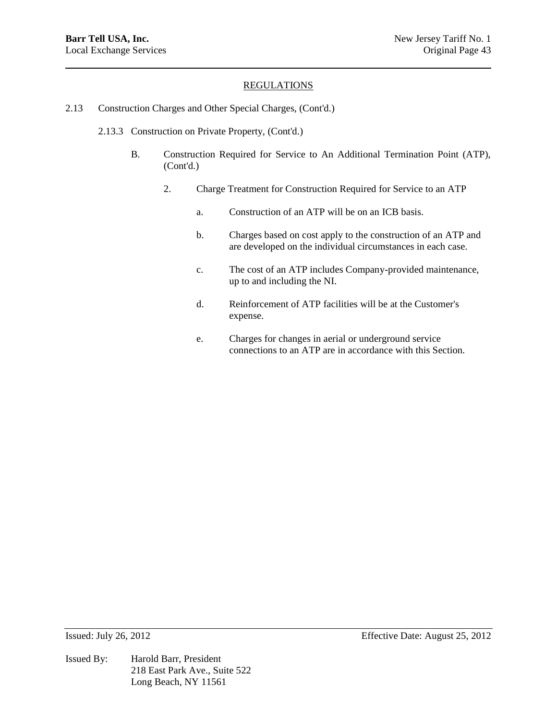- 2.13 Construction Charges and Other Special Charges, (Cont'd.)
	- 2.13.3 Construction on Private Property, (Cont'd.)
		- B. Construction Required for Service to An Additional Termination Point (ATP), (Cont'd.)
			- 2. Charge Treatment for Construction Required for Service to an ATP
				- a. Construction of an ATP will be on an ICB basis.
				- b. Charges based on cost apply to the construction of an ATP and are developed on the individual circumstances in each case.
				- c. The cost of an ATP includes Company-provided maintenance, up to and including the NI.
				- d. Reinforcement of ATP facilities will be at the Customer's expense.
				- e. Charges for changes in aerial or underground service connections to an ATP are in accordance with this Section.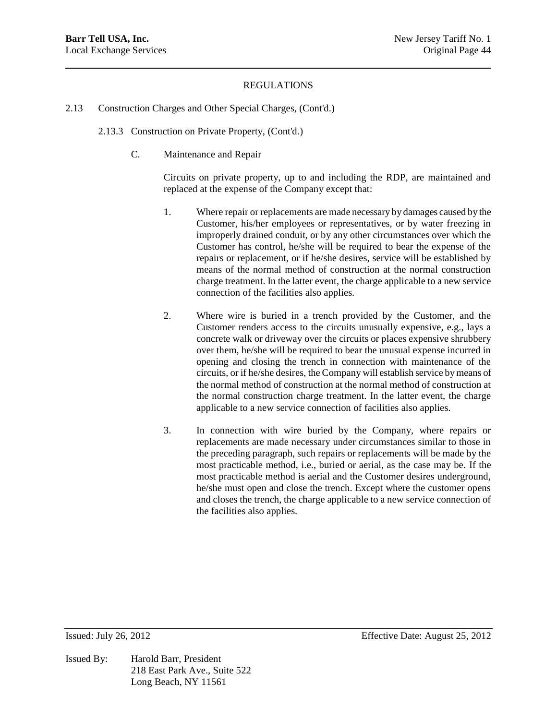- 2.13 Construction Charges and Other Special Charges, (Cont'd.)
	- 2.13.3 Construction on Private Property, (Cont'd.)
		- C. Maintenance and Repair

Circuits on private property, up to and including the RDP, are maintained and replaced at the expense of the Company except that:

- 1. Where repair or replacements are made necessary by damages caused by the Customer, his/her employees or representatives, or by water freezing in improperly drained conduit, or by any other circumstances over which the Customer has control, he/she will be required to bear the expense of the repairs or replacement, or if he/she desires, service will be established by means of the normal method of construction at the normal construction charge treatment. In the latter event, the charge applicable to a new service connection of the facilities also applies.
- 2. Where wire is buried in a trench provided by the Customer, and the Customer renders access to the circuits unusually expensive, e.g., lays a concrete walk or driveway over the circuits or places expensive shrubbery over them, he/she will be required to bear the unusual expense incurred in opening and closing the trench in connection with maintenance of the circuits, or if he/she desires, the Company will establish service by means of the normal method of construction at the normal method of construction at the normal construction charge treatment. In the latter event, the charge applicable to a new service connection of facilities also applies.
- 3. In connection with wire buried by the Company, where repairs or replacements are made necessary under circumstances similar to those in the preceding paragraph, such repairs or replacements will be made by the most practicable method, i.e., buried or aerial, as the case may be. If the most practicable method is aerial and the Customer desires underground, he/she must open and close the trench. Except where the customer opens and closes the trench, the charge applicable to a new service connection of the facilities also applies.

Issued By: Harold Barr, President 218 East Park Ave., Suite 522 Long Beach, NY 11561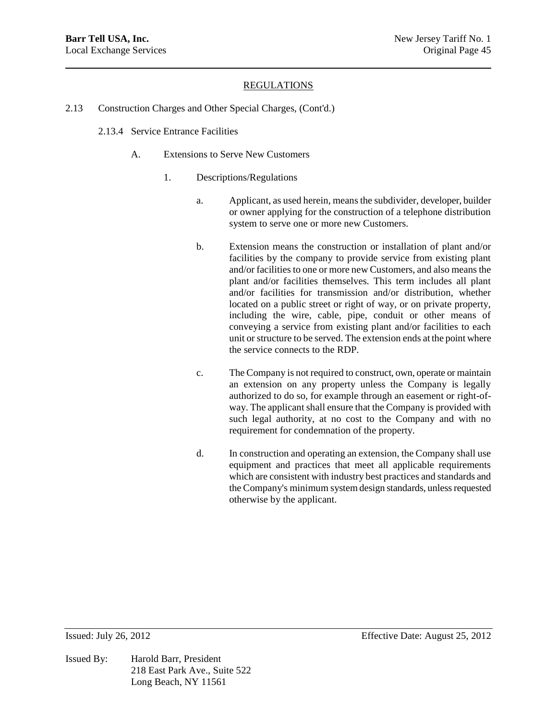- 2.13 Construction Charges and Other Special Charges, (Cont'd.)
	- 2.13.4 Service Entrance Facilities
		- A. Extensions to Serve New Customers
			- 1. Descriptions/Regulations
				- a. Applicant, as used herein, means the subdivider, developer, builder or owner applying for the construction of a telephone distribution system to serve one or more new Customers.
				- b. Extension means the construction or installation of plant and/or facilities by the company to provide service from existing plant and/or facilities to one or more new Customers, and also means the plant and/or facilities themselves. This term includes all plant and/or facilities for transmission and/or distribution, whether located on a public street or right of way, or on private property, including the wire, cable, pipe, conduit or other means of conveying a service from existing plant and/or facilities to each unit or structure to be served. The extension ends at the point where the service connects to the RDP.
				- c. The Company is not required to construct, own, operate or maintain an extension on any property unless the Company is legally authorized to do so, for example through an easement or right-ofway. The applicant shall ensure that the Company is provided with such legal authority, at no cost to the Company and with no requirement for condemnation of the property.
				- d. In construction and operating an extension, the Company shall use equipment and practices that meet all applicable requirements which are consistent with industry best practices and standards and the Company's minimum system design standards, unless requested otherwise by the applicant.

Issued By: Harold Barr, President 218 East Park Ave., Suite 522 Long Beach, NY 11561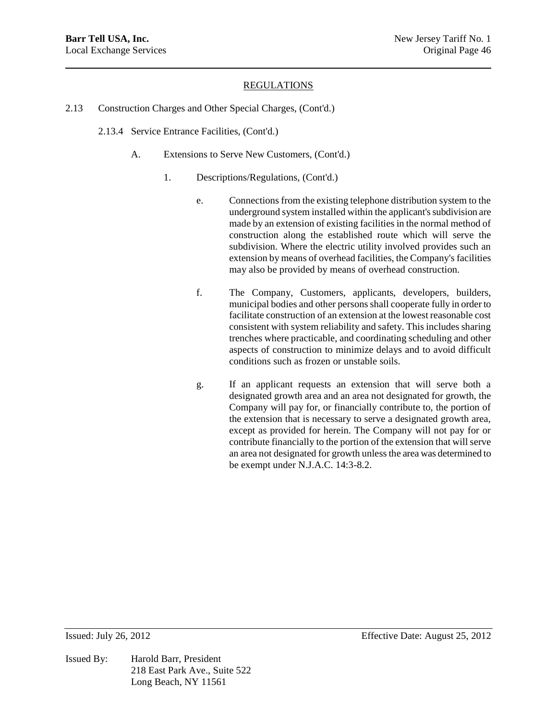- 2.13 Construction Charges and Other Special Charges, (Cont'd.)
	- 2.13.4 Service Entrance Facilities, (Cont'd.)
		- A. Extensions to Serve New Customers, (Cont'd.)
			- 1. Descriptions/Regulations, (Cont'd.)
				- e. Connections from the existing telephone distribution system to the underground system installed within the applicant's subdivision are made by an extension of existing facilities in the normal method of construction along the established route which will serve the subdivision. Where the electric utility involved provides such an extension by means of overhead facilities, the Company's facilities may also be provided by means of overhead construction.
				- f. The Company, Customers, applicants, developers, builders, municipal bodies and other persons shall cooperate fully in order to facilitate construction of an extension at the lowest reasonable cost consistent with system reliability and safety. This includes sharing trenches where practicable, and coordinating scheduling and other aspects of construction to minimize delays and to avoid difficult conditions such as frozen or unstable soils.
				- g. If an applicant requests an extension that will serve both a designated growth area and an area not designated for growth, the Company will pay for, or financially contribute to, the portion of the extension that is necessary to serve a designated growth area, except as provided for herein. The Company will not pay for or contribute financially to the portion of the extension that will serve an area not designated for growth unless the area was determined to be exempt under N.J.A.C. 14:3-8.2.

Issued By: Harold Barr, President 218 East Park Ave., Suite 522 Long Beach, NY 11561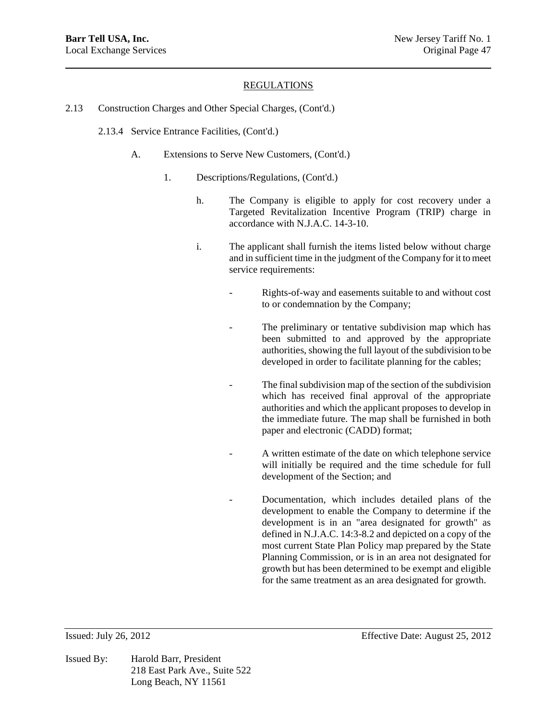- 2.13 Construction Charges and Other Special Charges, (Cont'd.)
	- 2.13.4 Service Entrance Facilities, (Cont'd.)
		- A. Extensions to Serve New Customers, (Cont'd.)
			- 1. Descriptions/Regulations, (Cont'd.)
				- h. The Company is eligible to apply for cost recovery under a Targeted Revitalization Incentive Program (TRIP) charge in accordance with N.J.A.C. 14-3-10.
				- i. The applicant shall furnish the items listed below without charge and in sufficient time in the judgment of the Company for it to meet service requirements:
					- Rights-of-way and easements suitable to and without cost to or condemnation by the Company;
					- The preliminary or tentative subdivision map which has been submitted to and approved by the appropriate authorities, showing the full layout of the subdivision to be developed in order to facilitate planning for the cables;
					- The final subdivision map of the section of the subdivision which has received final approval of the appropriate authorities and which the applicant proposes to develop in the immediate future. The map shall be furnished in both paper and electronic (CADD) format;
					- A written estimate of the date on which telephone service will initially be required and the time schedule for full development of the Section; and
						- Documentation, which includes detailed plans of the development to enable the Company to determine if the development is in an "area designated for growth" as defined in N.J.A.C. 14:3-8.2 and depicted on a copy of the most current State Plan Policy map prepared by the State Planning Commission, or is in an area not designated for growth but has been determined to be exempt and eligible for the same treatment as an area designated for growth.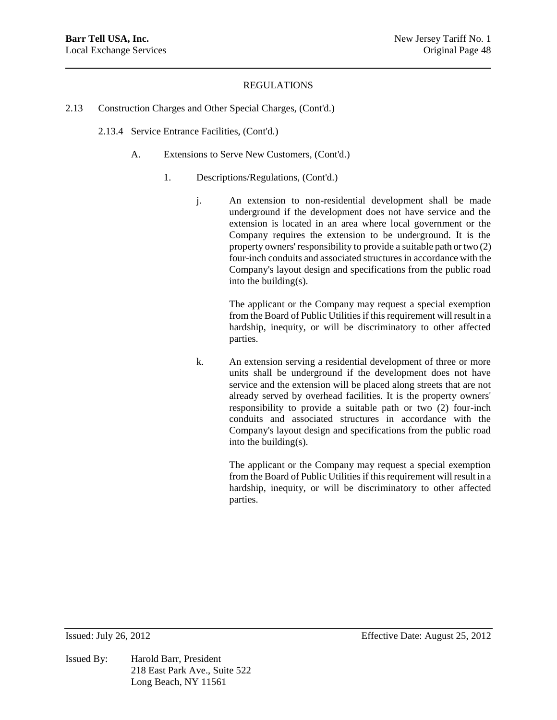- 2.13 Construction Charges and Other Special Charges, (Cont'd.)
	- 2.13.4 Service Entrance Facilities, (Cont'd.)
		- A. Extensions to Serve New Customers, (Cont'd.)
			- 1. Descriptions/Regulations, (Cont'd.)
				- j. An extension to non-residential development shall be made underground if the development does not have service and the extension is located in an area where local government or the Company requires the extension to be underground. It is the property owners' responsibility to provide a suitable path or two (2) four-inch conduits and associated structures in accordance with the Company's layout design and specifications from the public road into the building(s).

The applicant or the Company may request a special exemption from the Board of Public Utilities if this requirement will result in a hardship, inequity, or will be discriminatory to other affected parties.

k. An extension serving a residential development of three or more units shall be underground if the development does not have service and the extension will be placed along streets that are not already served by overhead facilities. It is the property owners' responsibility to provide a suitable path or two (2) four-inch conduits and associated structures in accordance with the Company's layout design and specifications from the public road into the building(s).

> The applicant or the Company may request a special exemption from the Board of Public Utilities if this requirement will result in a hardship, inequity, or will be discriminatory to other affected parties.

Issued By: Harold Barr, President 218 East Park Ave., Suite 522 Long Beach, NY 11561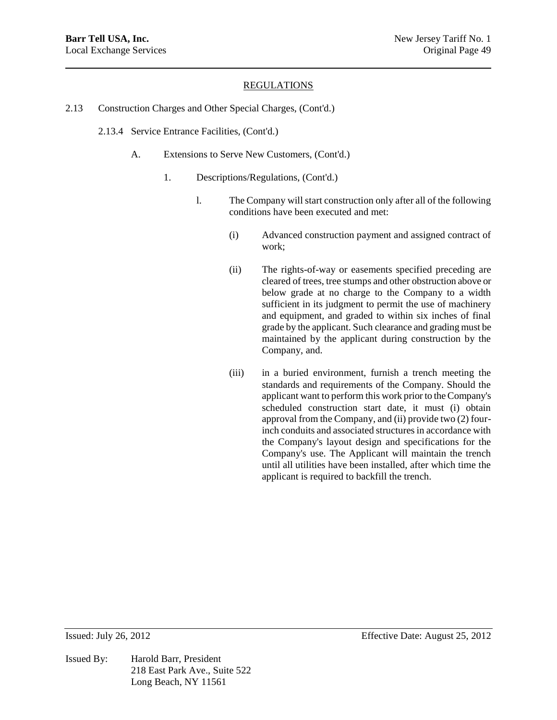- 2.13 Construction Charges and Other Special Charges, (Cont'd.)
	- 2.13.4 Service Entrance Facilities, (Cont'd.)
		- A. Extensions to Serve New Customers, (Cont'd.)
			- 1. Descriptions/Regulations, (Cont'd.)
				- l. The Company will start construction only after all of the following conditions have been executed and met:
					- (i) Advanced construction payment and assigned contract of work;
					- (ii) The rights-of-way or easements specified preceding are cleared of trees, tree stumps and other obstruction above or below grade at no charge to the Company to a width sufficient in its judgment to permit the use of machinery and equipment, and graded to within six inches of final grade by the applicant. Such clearance and grading must be maintained by the applicant during construction by the Company, and.
					- (iii) in a buried environment, furnish a trench meeting the standards and requirements of the Company. Should the applicant want to perform this work prior to the Company's scheduled construction start date, it must (i) obtain approval from the Company, and (ii) provide two (2) fourinch conduits and associated structures in accordance with the Company's layout design and specifications for the Company's use. The Applicant will maintain the trench until all utilities have been installed, after which time the applicant is required to backfill the trench.

Issued By: Harold Barr, President 218 East Park Ave., Suite 522 Long Beach, NY 11561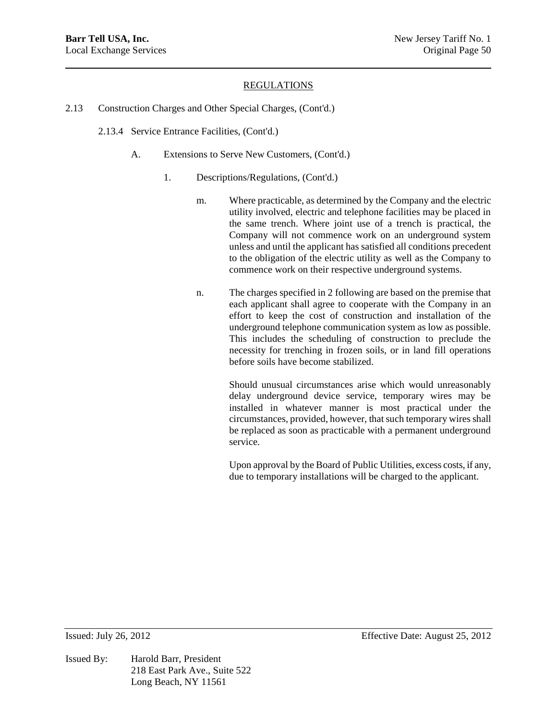- 2.13 Construction Charges and Other Special Charges, (Cont'd.)
	- 2.13.4 Service Entrance Facilities, (Cont'd.)
		- A. Extensions to Serve New Customers, (Cont'd.)
			- 1. Descriptions/Regulations, (Cont'd.)
				- m. Where practicable, as determined by the Company and the electric utility involved, electric and telephone facilities may be placed in the same trench. Where joint use of a trench is practical, the Company will not commence work on an underground system unless and until the applicant has satisfied all conditions precedent to the obligation of the electric utility as well as the Company to commence work on their respective underground systems.
				- n. The charges specified in 2 following are based on the premise that each applicant shall agree to cooperate with the Company in an effort to keep the cost of construction and installation of the underground telephone communication system as low as possible. This includes the scheduling of construction to preclude the necessity for trenching in frozen soils, or in land fill operations before soils have become stabilized.

Should unusual circumstances arise which would unreasonably delay underground device service, temporary wires may be installed in whatever manner is most practical under the circumstances, provided, however, that such temporary wires shall be replaced as soon as practicable with a permanent underground service.

Upon approval by the Board of Public Utilities, excess costs, if any, due to temporary installations will be charged to the applicant.

Issued By: Harold Barr, President 218 East Park Ave., Suite 522 Long Beach, NY 11561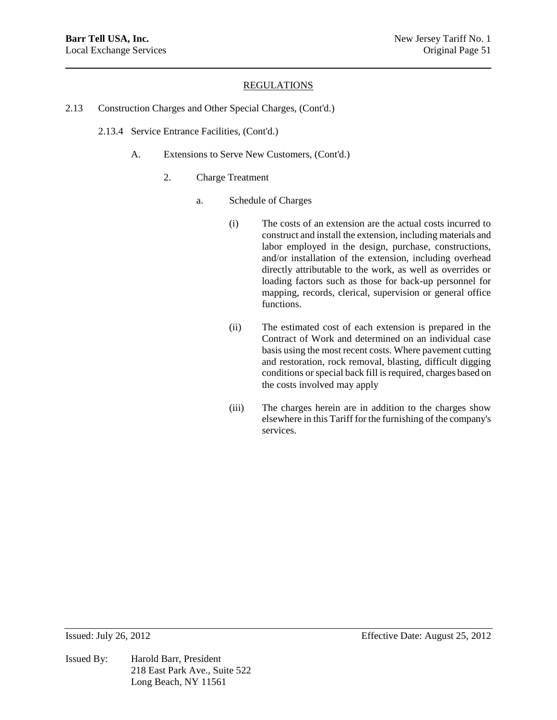- 2.13 Construction Charges and Other Special Charges, (Cont'd.)
	- 2.13.4 Service Entrance Facilities, (Cont'd.)
		- A. Extensions to Serve New Customers, (Cont'd.)
			- 2. Charge Treatment
				- a. Schedule of Charges
					- (i) The costs of an extension are the actual costs incurred to construct and install the extension, including materials and labor employed in the design, purchase, constructions, and/or installation of the extension, including overhead directly attributable to the work, as well as overrides or loading factors such as those for back-up personnel for mapping, records, clerical, supervision or general office functions.
					- (ii) The estimated cost of each extension is prepared in the Contract of Work and determined on an individual case basis using the most recent costs. Where pavement cutting and restoration, rock removal, blasting, difficult digging conditions or special back fill is required, charges based on the costs involved may apply
					- (iii) The charges herein are in addition to the charges show elsewhere in this Tariff for the furnishing of the company's services.

Issued By: Harold Barr, President 218 East Park Ave., Suite 522 Long Beach, NY 11561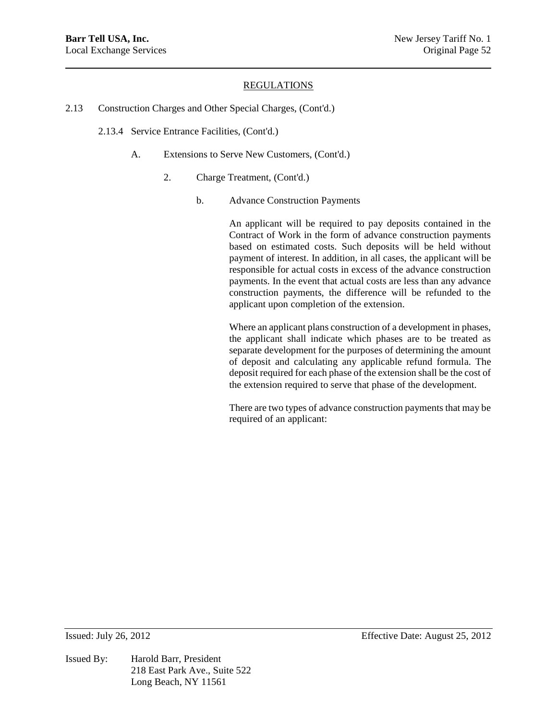- 2.13 Construction Charges and Other Special Charges, (Cont'd.)
	- 2.13.4 Service Entrance Facilities, (Cont'd.)
		- A. Extensions to Serve New Customers, (Cont'd.)
			- 2. Charge Treatment, (Cont'd.)
				- b. Advance Construction Payments

An applicant will be required to pay deposits contained in the Contract of Work in the form of advance construction payments based on estimated costs. Such deposits will be held without payment of interest. In addition, in all cases, the applicant will be responsible for actual costs in excess of the advance construction payments. In the event that actual costs are less than any advance construction payments, the difference will be refunded to the applicant upon completion of the extension.

Where an applicant plans construction of a development in phases, the applicant shall indicate which phases are to be treated as separate development for the purposes of determining the amount of deposit and calculating any applicable refund formula. The deposit required for each phase of the extension shall be the cost of the extension required to serve that phase of the development.

There are two types of advance construction payments that may be required of an applicant:

Issued By: Harold Barr, President 218 East Park Ave., Suite 522 Long Beach, NY 11561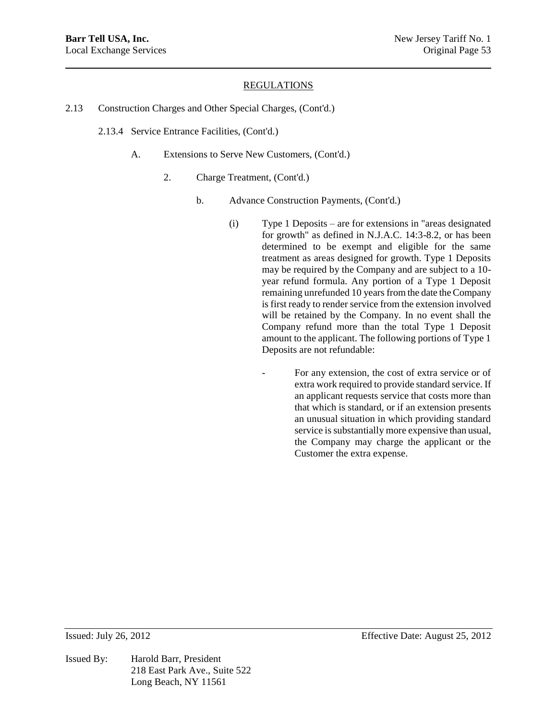- 2.13 Construction Charges and Other Special Charges, (Cont'd.)
	- 2.13.4 Service Entrance Facilities, (Cont'd.)
		- A. Extensions to Serve New Customers, (Cont'd.)
			- 2. Charge Treatment, (Cont'd.)
				- b. Advance Construction Payments, (Cont'd.)
					- (i) Type 1 Deposits are for extensions in "areas designated for growth" as defined in N.J.A.C. 14:3-8.2, or has been determined to be exempt and eligible for the same treatment as areas designed for growth. Type 1 Deposits may be required by the Company and are subject to a 10 year refund formula. Any portion of a Type 1 Deposit remaining unrefunded 10 years from the date the Company is first ready to render service from the extension involved will be retained by the Company. In no event shall the Company refund more than the total Type 1 Deposit amount to the applicant. The following portions of Type 1 Deposits are not refundable:
						- For any extension, the cost of extra service or of extra work required to provide standard service. If an applicant requests service that costs more than that which is standard, or if an extension presents an unusual situation in which providing standard service is substantially more expensive than usual, the Company may charge the applicant or the Customer the extra expense.

Issued By: Harold Barr, President 218 East Park Ave., Suite 522 Long Beach, NY 11561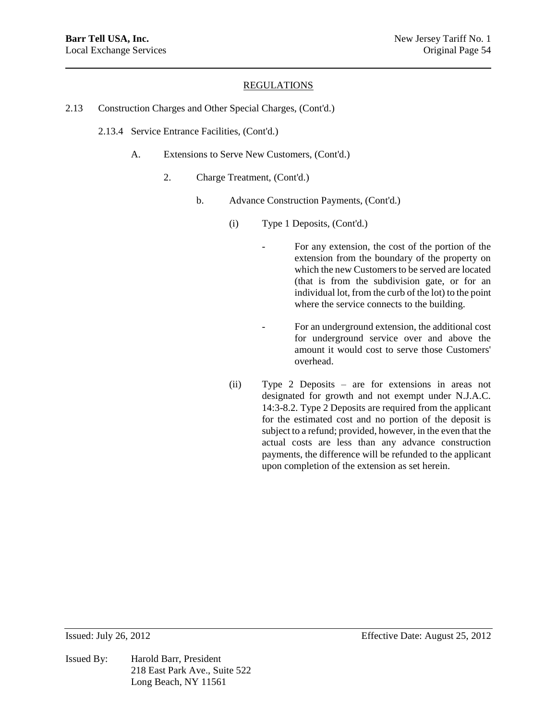- 2.13 Construction Charges and Other Special Charges, (Cont'd.)
	- 2.13.4 Service Entrance Facilities, (Cont'd.)
		- A. Extensions to Serve New Customers, (Cont'd.)
			- 2. Charge Treatment, (Cont'd.)
				- b. Advance Construction Payments, (Cont'd.)
					- (i) Type 1 Deposits, (Cont'd.)
						- For any extension, the cost of the portion of the extension from the boundary of the property on which the new Customers to be served are located (that is from the subdivision gate, or for an individual lot, from the curb of the lot) to the point where the service connects to the building.
						- For an underground extension, the additional cost for underground service over and above the amount it would cost to serve those Customers' overhead.
					- (ii) Type 2 Deposits are for extensions in areas not designated for growth and not exempt under N.J.A.C. 14:3-8.2. Type 2 Deposits are required from the applicant for the estimated cost and no portion of the deposit is subject to a refund; provided, however, in the even that the actual costs are less than any advance construction payments, the difference will be refunded to the applicant upon completion of the extension as set herein.

Issued By: Harold Barr, President 218 East Park Ave., Suite 522 Long Beach, NY 11561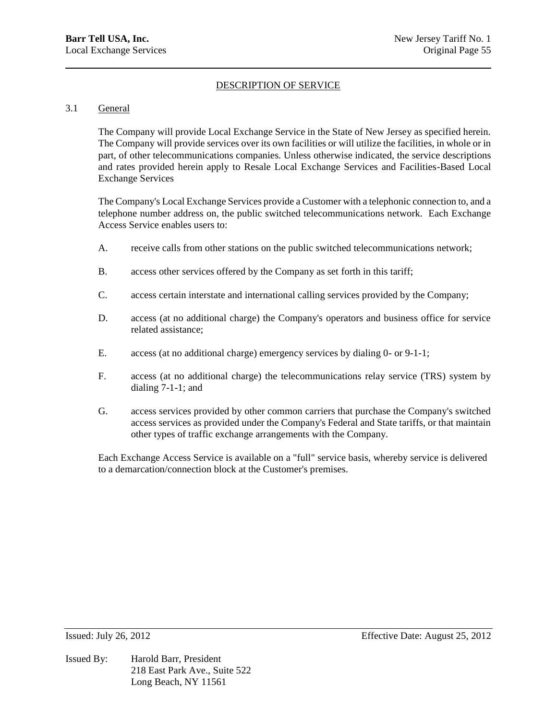### 3.1 General

The Company will provide Local Exchange Service in the State of New Jersey as specified herein. The Company will provide services over its own facilities or will utilize the facilities, in whole or in part, of other telecommunications companies. Unless otherwise indicated, the service descriptions and rates provided herein apply to Resale Local Exchange Services and Facilities-Based Local Exchange Services

The Company's Local Exchange Services provide a Customer with a telephonic connection to, and a telephone number address on, the public switched telecommunications network. Each Exchange Access Service enables users to:

- A. receive calls from other stations on the public switched telecommunications network;
- B. access other services offered by the Company as set forth in this tariff;
- C. access certain interstate and international calling services provided by the Company;
- D. access (at no additional charge) the Company's operators and business office for service related assistance;
- E. access (at no additional charge) emergency services by dialing 0- or 9-1-1;
- F. access (at no additional charge) the telecommunications relay service (TRS) system by dialing 7-1-1; and
- G. access services provided by other common carriers that purchase the Company's switched access services as provided under the Company's Federal and State tariffs, or that maintain other types of traffic exchange arrangements with the Company.

Each Exchange Access Service is available on a "full" service basis, whereby service is delivered to a demarcation/connection block at the Customer's premises.

Issued By: Harold Barr, President 218 East Park Ave., Suite 522 Long Beach, NY 11561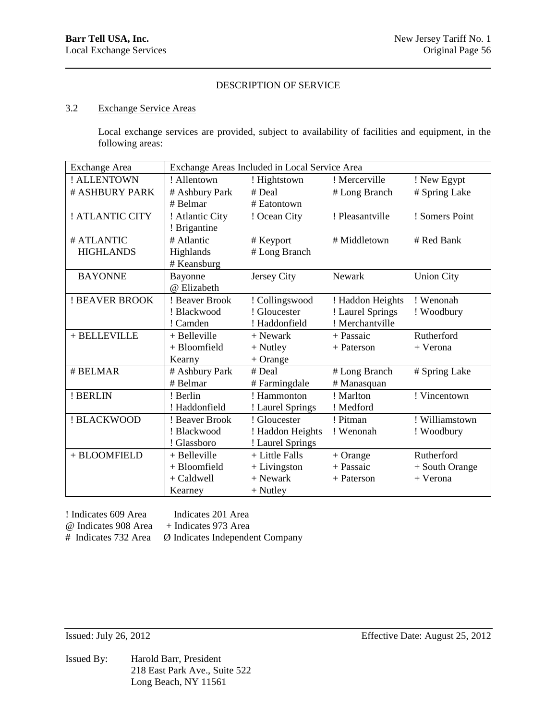### 3.2 Exchange Service Areas

Local exchange services are provided, subject to availability of facilities and equipment, in the following areas:

| <b>Exchange Area</b> | Exchange Areas Included in Local Service Area |                  |                  |                   |
|----------------------|-----------------------------------------------|------------------|------------------|-------------------|
| ! ALLENTOWN          | ! Allentown                                   | ! Hightstown     | ! Mercerville    | ! New Egypt       |
| # ASHBURY PARK       | # Ashbury Park                                | # Deal           | # Long Branch    | # Spring Lake     |
|                      | # Belmar                                      | # Eatontown      |                  |                   |
| ! ATLANTIC CITY      | ! Atlantic City                               | ! Ocean City     | ! Pleasantville  | ! Somers Point    |
|                      | ! Brigantine                                  |                  |                  |                   |
| # ATLANTIC           | # Atlantic                                    | # Keyport        | # Middletown     | # Red Bank        |
| <b>HIGHLANDS</b>     | Highlands                                     | # Long Branch    |                  |                   |
|                      | # Keansburg                                   |                  |                  |                   |
| <b>BAYONNE</b>       | Bayonne                                       | Jersey City      | <b>Newark</b>    | <b>Union City</b> |
|                      | @ Elizabeth                                   |                  |                  |                   |
| ! BEAVER BROOK       | ! Beaver Brook                                | ! Collingswood   | ! Haddon Heights | ! Wenonah         |
|                      | ! Blackwood                                   | ! Gloucester     | ! Laurel Springs | ! Woodbury        |
|                      | ! Camden                                      | ! Haddonfield    | ! Merchantville  |                   |
| + BELLEVILLE         | + Belleville                                  | $+$ Newark       | + Passaic        | Rutherford        |
|                      | + Bloomfield                                  | $+$ Nutley       | + Paterson       | + Verona          |
|                      | Kearny                                        | $+$ Orange       |                  |                   |
| # BELMAR             | # Ashbury Park                                | # Deal           | # Long Branch    | # Spring Lake     |
|                      | # Belmar                                      | # Farmingdale    | # Manasquan      |                   |
| ! BERLIN             | ! Berlin                                      | ! Hammonton      | ! Marlton        | ! Vincentown      |
|                      | ! Haddonfield                                 | ! Laurel Springs | ! Medford        |                   |
| ! BLACKWOOD          | ! Beaver Brook                                | ! Gloucester     | ! Pitman         | ! Williamstown    |
|                      | ! Blackwood                                   | ! Haddon Heights | ! Wenonah        | ! Woodbury        |
|                      | ! Glassboro                                   | ! Laurel Springs |                  |                   |
| + BLOOMFIELD         | + Belleville                                  | + Little Falls   | $+$ Orange       | Rutherford        |
|                      | + Bloomfield                                  | $+$ Livingston   | + Passaic        | + South Orange    |
|                      | + Caldwell                                    | $+$ Newark       | + Paterson       | + Verona          |
|                      | Kearney                                       | $+$ Nutley       |                  |                   |

! Indicates 609 Area Indicates 201 Area

@ Indicates 908 Area + Indicates 973 Area

# Indicates 732 Area Ø Indicates Independent Company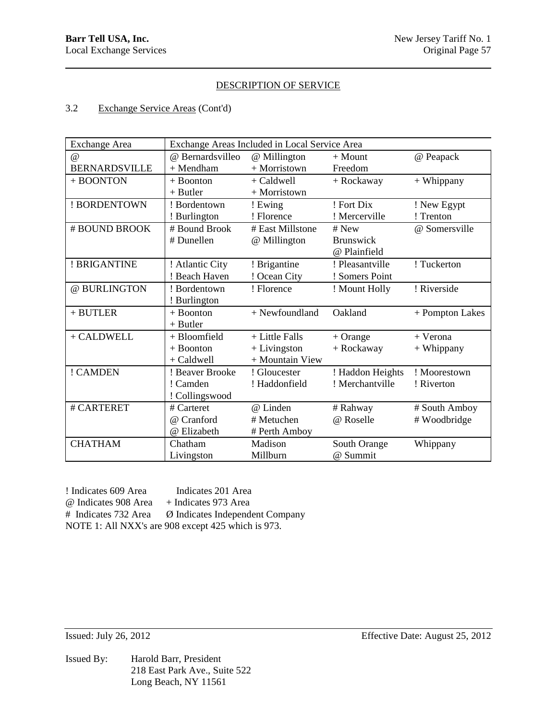### 3.2 Exchange Service Areas (Cont'd)

| <b>Exchange Area</b> | Exchange Areas Included in Local Service Area |                  |                  |                 |  |
|----------------------|-----------------------------------------------|------------------|------------------|-----------------|--|
| @                    | @ Bernardsvilleo                              | @ Millington     | $+$ Mount        | @ Peapack       |  |
| <b>BERNARDSVILLE</b> | $+$ Mendham                                   | + Morristown     | Freedom          |                 |  |
| + BOONTON            | + Boonton                                     | + Caldwell       | + Rockaway       | + Whippany      |  |
|                      | $+$ Butler                                    | + Morristown     |                  |                 |  |
| ! BORDENTOWN         | ! Bordentown                                  | ! Ewing          | ! Fort Dix       | ! New Egypt     |  |
|                      | ! Burlington                                  | ! Florence       | ! Mercerville    | ! Trenton       |  |
| # BOUND BROOK        | # Bound Brook                                 | # East Millstone | # New            | @ Somersville   |  |
|                      | # Dunellen                                    | @ Millington     | <b>Brunswick</b> |                 |  |
|                      |                                               |                  | @ Plainfield     |                 |  |
| ! BRIGANTINE         | ! Atlantic City                               | ! Brigantine     | ! Pleasantville  | ! Tuckerton     |  |
|                      | ! Beach Haven                                 | ! Ocean City     | ! Somers Point   |                 |  |
| @ BURLINGTON         | ! Bordentown                                  | ! Florence       | ! Mount Holly    | ! Riverside     |  |
|                      | ! Burlington                                  |                  |                  |                 |  |
| $+$ BUTLER           | $+$ Boonton                                   | + Newfoundland   | Oakland          | + Pompton Lakes |  |
|                      | $+$ Butler                                    |                  |                  |                 |  |
| + CALDWELL           | + Bloomfield                                  | + Little Falls   | $+$ Orange       | + Verona        |  |
|                      | $+$ Boonton                                   | $+$ Livingston   | + Rockaway       | $+$ Whippany    |  |
|                      | + Caldwell                                    | + Mountain View  |                  |                 |  |
| ! CAMDEN             | ! Beaver Brooke                               | ! Gloucester     | ! Haddon Heights | ! Moorestown    |  |
|                      | ! Camden                                      | ! Haddonfield    | ! Merchantville  | ! Riverton      |  |
|                      | ! Collingswood                                |                  |                  |                 |  |
| # CARTERET           | # Carteret                                    | @ Linden         | # Rahway         | # South Amboy   |  |
|                      | @ Cranford                                    | # Metuchen       | @ Roselle        | # Woodbridge    |  |
|                      | @ Elizabeth                                   | # Perth Amboy    |                  |                 |  |
| <b>CHATHAM</b>       | Chatham                                       | Madison          | South Orange     | Whippany        |  |
|                      | Livingston                                    | Millburn         | @ Summit         |                 |  |

! Indicates 609 Area Indicates 201 Area @ Indicates 908 Area + Indicates 973 Area # Indicates 732 Area Ø Indicates Independent Company NOTE 1: All NXX's are 908 except 425 which is 973.

Issued By: Harold Barr, President 218 East Park Ave., Suite 522 Long Beach, NY 11561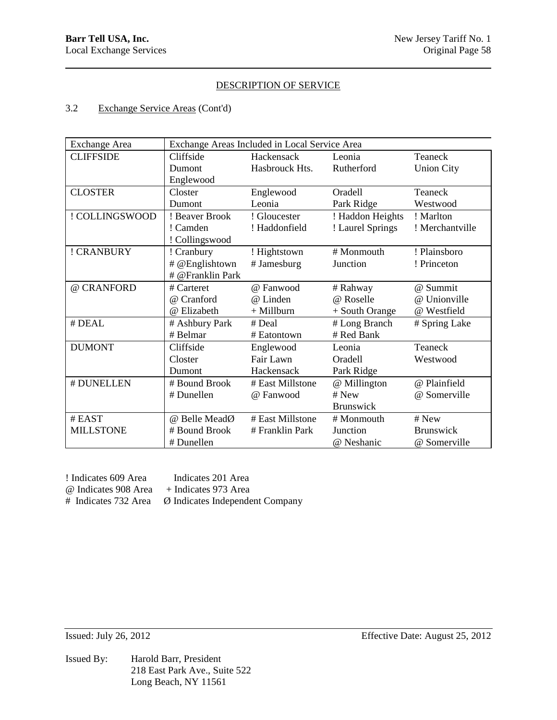# 3.2 Exchange Service Areas (Cont'd)

| <b>Exchange Area</b> | Exchange Areas Included in Local Service Area |                  |                  |                   |
|----------------------|-----------------------------------------------|------------------|------------------|-------------------|
| <b>CLIFFSIDE</b>     | Cliffside                                     | Hackensack       | Leonia           | Teaneck           |
|                      | Dumont                                        | Hasbrouck Hts.   | Rutherford       | <b>Union City</b> |
|                      | Englewood                                     |                  |                  |                   |
| <b>CLOSTER</b>       | Closter                                       | Englewood        | Oradell          | Teaneck           |
|                      | Dumont                                        | Leonia           | Park Ridge       | Westwood          |
| ! COLLINGSWOOD       | ! Beaver Brook                                | ! Gloucester     | ! Haddon Heights | ! Marlton         |
|                      | ! Camden                                      | ! Haddonfield    | ! Laurel Springs | ! Merchantville   |
|                      | ! Collingswood                                |                  |                  |                   |
| ! CRANBURY           | ! Cranbury                                    | ! Hightstown     | # Monmouth       | ! Plainsboro      |
|                      | # @Englishtown                                | # Jamesburg      | Junction         | ! Princeton       |
|                      | # @Franklin Park                              |                  |                  |                   |
| @ CRANFORD           | # Carteret                                    | @ Fanwood        | # Rahway         | @ Summit          |
|                      | @ Cranford                                    | @ Linden         | @ Roselle        | @ Unionville      |
|                      | @ Elizabeth                                   | $+$ Millburn     | + South Orange   | @ Westfield       |
| # DEAL               | # Ashbury Park                                | # Deal           | # Long Branch    | # Spring Lake     |
|                      | $#$ Belmar                                    | # Eatontown      | # Red Bank       |                   |
| <b>DUMONT</b>        | Cliffside                                     | Englewood        | Leonia           | Teaneck           |
|                      | Closter                                       | Fair Lawn        | <b>Oradell</b>   | Westwood          |
|                      | Dumont                                        | Hackensack       | Park Ridge       |                   |
| # DUNELLEN           | # Bound Brook                                 | # East Millstone | @ Millington     | @ Plainfield      |
|                      | # Dunellen                                    | @ Fanwood        | # New            | @ Somerville      |
|                      |                                               |                  | <b>Brunswick</b> |                   |
| # EAST               | @ Belle MeadØ                                 | # East Millstone | # Monmouth       | # New             |
| <b>MILLSTONE</b>     | # Bound Brook                                 | # Franklin Park  | Junction         | <b>Brunswick</b>  |
|                      | # Dunellen                                    |                  | @ Neshanic       | @ Somerville      |

| ! Indicates 609 Area | Indicates 201 Area                                                  |
|----------------------|---------------------------------------------------------------------|
| @ Indicates 908 Area | + Indicates 973 Area                                                |
|                      | $\#$ Indicates 732 Area $\varnothing$ Indicates Independent Company |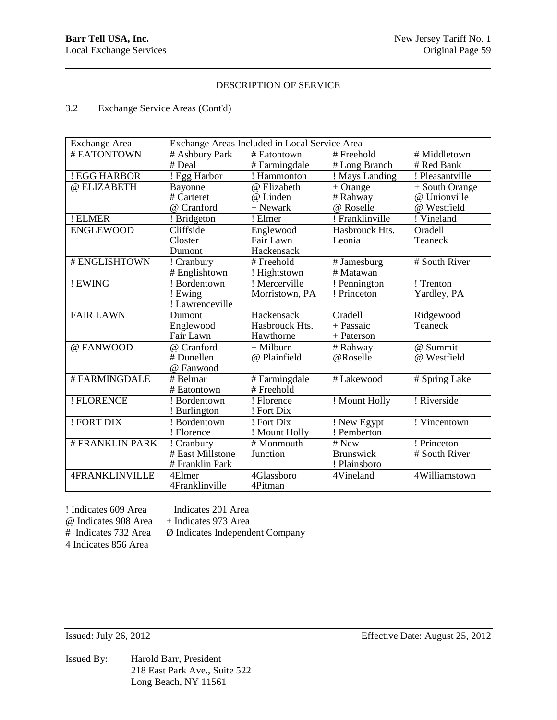### 3.2 Exchange Service Areas (Cont'd)

| Exchange Area         |                  | Exchange Areas Included in Local Service Area |                        |                                  |
|-----------------------|------------------|-----------------------------------------------|------------------------|----------------------------------|
| # EATONTOWN           | # Ashbury Park   | # Eatontown                                   | # Freehold             | # Middletown                     |
|                       | # Deal           | # Farmingdale                                 | # Long Branch          | # Red Bank                       |
| ! EGG HARBOR          | ! Egg Harbor     | ! Hammonton                                   | ! Mays Landing         | ! Pleasantville                  |
| @ ELIZABETH           | Bayonne          | @ Elizabeth                                   | $+$ Orange             | $\overline{+}$ South Orange      |
|                       | # Carteret       | @ Linden                                      | # Rahway               | @ Unionville                     |
|                       | @ Cranford       | + Newark                                      | @ Roselle              | @ Westfield                      |
| ! ELMER               | ! Bridgeton      | ! Elmer                                       | ! Franklinville        | ! Vineland                       |
| <b>ENGLEWOOD</b>      | Cliffside        | Englewood                                     | Hasbrouck Hts.         | Oradell                          |
|                       | Closter          | Fair Lawn                                     | Leonia                 | Teaneck                          |
|                       | Dumont           | Hackensack                                    |                        |                                  |
| # ENGLISHTOWN         | ! Cranbury       | # Freehold                                    | # Jamesburg            | # South River                    |
|                       | # Englishtown    | ! Hightstown                                  | # Matawan              |                                  |
| ! EWING               | ! Bordentown     | ! Mercerville                                 | ! Pennington           | ! Trenton                        |
|                       | ! Ewing          | Morristown, PA                                | ! Princeton            | Yardley, PA                      |
|                       | ! Lawrenceville  |                                               |                        |                                  |
| <b>FAIR LAWN</b>      | Dumont           | Hackensack                                    | Oradell                | Ridgewood                        |
|                       | Englewood        | Hasbrouck Hts.                                | + Passaic              | Teaneck                          |
|                       | Fair Lawn        | Hawthorne                                     | + Paterson             |                                  |
| @ FANWOOD             | @ Cranford       | $+$ Milburn                                   | $\overline{\#}$ Rahway | @ Summit                         |
|                       | # Dunellen       | @ Plainfield                                  | @Roselle               | @ Westfield                      |
|                       | @ Fanwood        |                                               |                        |                                  |
| #FARMINGDALE          | # Belmar         | # Farmingdale                                 | # Lakewood             | # Spring Lake                    |
|                       | # Eatontown      | # Freehold                                    |                        |                                  |
| ! FLORENCE            | ! Bordentown     | ! Florence                                    | ! Mount Holly          | ! Riverside                      |
|                       | ! Burlington     | ! Fort Dix                                    |                        |                                  |
| ! FORT DIX            | ! Bordentown     | ! Fort Dix                                    | ! New Egypt            | $\overline{\text{! Vincentown}}$ |
|                       | ! Florence       | ! Mount Holly                                 | ! Pemberton            |                                  |
| <b>#FRANKLIN PARK</b> | ! Cranbury       | # Monmouth                                    | $\overline{\#}$ New    | ! Princeton                      |
|                       | # East Millstone | Junction                                      | <b>Brunswick</b>       | # South River                    |
|                       | # Franklin Park  |                                               | ! Plainsboro           |                                  |
| <b>4FRANKLINVILLE</b> | 4Elmer           | 4Glassboro                                    | 4Vineland              | 4Williamstown                    |
|                       | 4Franklinville   | 4Pitman                                       |                        |                                  |

! Indicates 609 Area Indicates 201 Area  $\omega$  Indicates 908 Area + Indicates 973 Area<br># Indicates 732 Area  $\varnothing$  Indicates Independent

Ø Indicates Independent Company

4 Indicates 856 Area

Issued By: Harold Barr, President 218 East Park Ave., Suite 522 Long Beach, NY 11561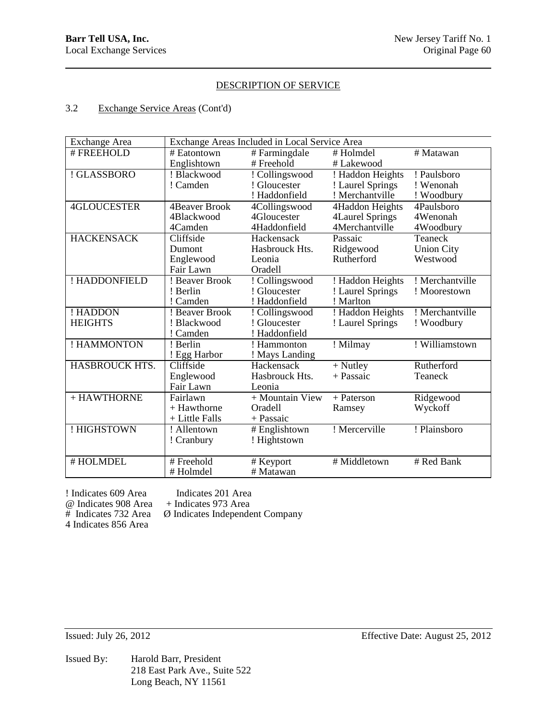### 3.2 Exchange Service Areas (Cont'd)

| Exchange Area      | Exchange Areas Included in Local Service Area |                 |                  |                   |
|--------------------|-----------------------------------------------|-----------------|------------------|-------------------|
| # FREEHOLD         | # Eatontown                                   | # Farmingdale   | # Holmdel        | # Matawan         |
|                    | Englishtown                                   | # Freehold      | # Lakewood       |                   |
| ! GLASSBORO        | ! Blackwood                                   | ! Collingswood  | ! Haddon Heights | ! Paulsboro       |
|                    | ! Camden                                      | ! Gloucester    | ! Laurel Springs | ! Wenonah         |
|                    |                                               | ! Haddonfield   | ! Merchantville  | ! Woodbury        |
| <b>4GLOUCESTER</b> | <b>4Beaver Brook</b>                          | 4Collingswood   | 4Haddon Heights  | 4Paulsboro        |
|                    | 4Blackwood                                    | 4Gloucester     | 4Laurel Springs  | 4Wenonah          |
|                    | 4Camden                                       | 4Haddonfield    | 4Merchantville   | 4Woodbury         |
| <b>HACKENSACK</b>  | Cliffside                                     | Hackensack      | Passaic          | Teaneck           |
|                    | Dumont                                        | Hasbrouck Hts.  | Ridgewood        | <b>Union City</b> |
|                    | Englewood                                     | Leonia          | Rutherford       | Westwood          |
|                    | Fair Lawn                                     | Oradell         |                  |                   |
| ! HADDONFIELD      | ! Beaver Brook                                | ! Collingswood  | ! Haddon Heights | ! Merchantville   |
|                    | ! Berlin                                      | ! Gloucester    | ! Laurel Springs | ! Moorestown      |
|                    | ! Camden                                      | ! Haddonfield   | ! Marlton        |                   |
| ! HADDON           | ! Beaver Brook                                | ! Collingswood  | ! Haddon Heights | ! Merchantville   |
| <b>HEIGHTS</b>     | ! Blackwood                                   | ! Gloucester    | ! Laurel Springs | ! Woodbury        |
|                    | ! Camden                                      | ! Haddonfield   |                  |                   |
| ! HAMMONTON        | ! Berlin                                      | ! Hammonton     | ! Milmay         | ! Williamstown    |
|                    | ! Egg Harbor                                  | ! Mays Landing  |                  |                   |
| HASBROUCK HTS.     | Cliffside                                     | Hackensack      | $+$ Nutley       | Rutherford        |
|                    | Englewood                                     | Hasbrouck Hts.  | + Passaic        | Teaneck           |
|                    | Fair Lawn                                     | Leonia          |                  |                   |
| + HAWTHORNE        | Fairlawn                                      | + Mountain View | $+$ Paterson     | Ridgewood         |
|                    | + Hawthorne                                   | Oradell         | Ramsey           | Wyckoff           |
|                    | + Little Falls                                | + Passaic       |                  |                   |
| ! HIGHSTOWN        | ! Allentown                                   | # Englishtown   | ! Mercerville    | ! Plainsboro      |
|                    | ! Cranbury                                    | ! Hightstown    |                  |                   |
|                    |                                               |                 |                  |                   |
| #HOLMDEL           | # Freehold                                    | # Keyport       | # Middletown     | # Red Bank        |
|                    | #Holmdel                                      | # Matawan       |                  |                   |

! Indicates 609 Area Indicates 201 Area<br>
@ Indicates 908 Area + Indicates 973 Area @ Indicates 908 Area + Indicates 973 Area 4 Indicates 856 Area

Ø Indicates Independent Company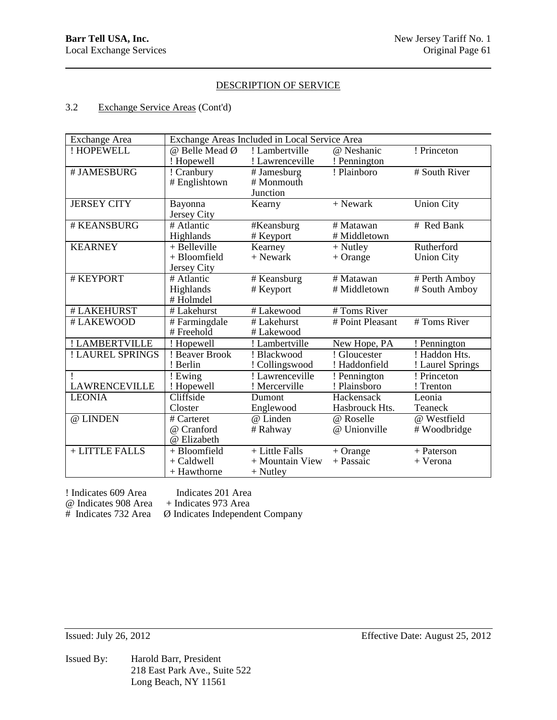# 3.2 Exchange Service Areas (Cont'd)

| <b>Exchange Area</b> | Exchange Areas Included in Local Service Area |                 |                    |                   |
|----------------------|-----------------------------------------------|-----------------|--------------------|-------------------|
| ! HOPEWELL           | @ Belle Mead Ø                                | ! Lambertville  | @ Neshanic         | ! Princeton       |
|                      | ! Hopewell                                    | ! Lawrenceville | ! Pennington       |                   |
| # JAMESBURG          | ! Cranbury                                    | # Jamesburg     | ! Plainboro        | # South River     |
|                      | # Englishtown                                 | # Monmouth      |                    |                   |
|                      |                                               | Junction        |                    |                   |
| <b>JERSEY CITY</b>   | Bayonna                                       | Kearny          | $+$ Newark         | <b>Union City</b> |
|                      | Jersey City                                   |                 |                    |                   |
| # KEANSBURG          | $#$ Atlantic                                  | #Keansburg      | # Matawan          | # Red Bank        |
|                      | Highlands                                     | # Keyport       | # Middletown       |                   |
| <b>KEARNEY</b>       | $+$ Belleville                                | Kearney         | $+$ Nutley         | Rutherford        |
|                      | + Bloomfield                                  | $+$ Newark      | $+$ Orange         | <b>Union City</b> |
|                      | Jersey City                                   |                 |                    |                   |
| # KEYPORT            | # Atlantic                                    | # Keansburg     | # Matawan          | # Perth Amboy     |
|                      | Highlands                                     | # Keyport       | # Middletown       | # South Amboy     |
|                      | #Holmdel                                      |                 |                    |                   |
| # LAKEHURST          | # Lakehurst                                   | # Lakewood      | # Toms River       |                   |
| # LAKEWOOD           | # Farmingdale                                 | $#$ Lakehurst   | $# Point$ Pleasant | # Toms River      |
|                      | # Freehold                                    | # Lakewood      |                    |                   |
| ! LAMBERTVILLE       | ! Hopewell                                    | ! Lambertville  | New Hope, PA       | ! Pennington      |
| ! LAUREL SPRINGS     | ! Beaver Brook                                | ! Blackwood     | ! Gloucester       | ! Haddon Hts.     |
|                      | ! Berlin                                      | ! Collingswood  | ! Haddonfield      | ! Laurel Springs  |
| 1                    | ! Ewing                                       | ! Lawrenceville | ! Pennington       | ! Princeton       |
| <b>LAWRENCEVILLE</b> | ! Hopewell                                    | ! Mercerville   | ! Plainsboro       | ! Trenton         |
| <b>LEONIA</b>        | Cliffside                                     | Dumont          | Hackensack         | Leonia            |
|                      | Closter                                       | Englewood       | Hasbrouck Hts.     | Teaneck           |
| @ LINDEN             | # Carteret                                    | @ Linden        | @ Roselle          | @ Westfield       |
|                      | @ Cranford                                    | # Rahway        | @ Unionville       | # Woodbridge      |
|                      | @ Elizabeth                                   |                 |                    |                   |
| + LITTLE FALLS       | + Bloomfield                                  | + Little Falls  | $+$ Orange         | + Paterson        |
|                      | $+$ Caldwell                                  | + Mountain View | + Passaic          | + Verona          |
|                      | + Hawthorne                                   | $+$ Nutley      |                    |                   |

! Indicates 609 Area Indicates 201 Area<br>
@ Indicates 908 Area + Indicates 973 Area @ Indicates 908 Area + Indicates 973 Area

Ø Indicates Independent Company

Issued By: Harold Barr, President 218 East Park Ave., Suite 522 Long Beach, NY 11561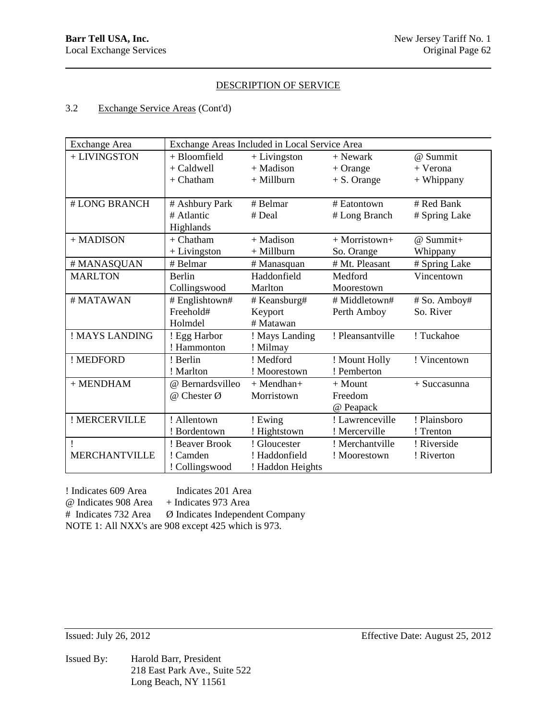# 3.2 Exchange Service Areas (Cont'd)

| <b>Exchange Area</b> | Exchange Areas Included in Local Service Area |                  |                  |                |
|----------------------|-----------------------------------------------|------------------|------------------|----------------|
| + LIVINGSTON         | $+$ Bloomfield                                | $+$ Livingston   | $+$ Newark       | @ Summit       |
|                      | $+$ Caldwell                                  | $+$ Madison      | $+$ Orange       | + Verona       |
|                      | $+$ Chatham                                   | $+$ Millburn     | $+ S.$ Orange    | + Whippany     |
|                      |                                               |                  |                  |                |
| # LONG BRANCH        | # Ashbury Park                                | # Belmar         | # Eatontown      | # Red Bank     |
|                      | # Atlantic                                    | # Deal           | # Long Branch    | # Spring Lake  |
|                      | Highlands                                     |                  |                  |                |
| + MADISON            | $+$ Chatham                                   | $+$ Madison      | $+$ Morristown+  | @ Summit+      |
|                      | $+$ Livingston                                | $+$ Millburn     | So. Orange       | Whippany       |
| # MANASQUAN          | # Belmar                                      | # Manasquan      | # Mt. Pleasant   | # Spring Lake  |
| <b>MARLTON</b>       | <b>Berlin</b>                                 | Haddonfield      | Medford          | Vincentown     |
|                      | Collingswood                                  | Marlton          | Moorestown       |                |
| # MATAWAN            | # Englishtown#                                | # Keansburg#     | # Middletown#    | # So. Amboy#   |
|                      | Freehold#                                     | Keyport          | Perth Amboy      | So. River      |
|                      | Holmdel                                       | # Matawan        |                  |                |
| ! MAYS LANDING       | ! Egg Harbor                                  | ! Mays Landing   | ! Pleansantville | ! Tuckahoe     |
|                      | ! Hammonton                                   | ! Milmay         |                  |                |
| ! MEDFORD            | ! Berlin                                      | ! Medford        | ! Mount Holly    | ! Vincentown   |
|                      | ! Marlton                                     | ! Moorestown     | ! Pemberton      |                |
| $+$ MENDHAM          | @ Bernardsvilleo                              | $+$ Mendhan+     | $+$ Mount        | $+$ Succasunna |
|                      | $@$ Chester $@$                               | Morristown       | Freedom          |                |
|                      |                                               |                  | @ Peapack        |                |
| ! MERCERVILLE        | ! Allentown                                   | ! Ewing          | ! Lawrenceville  | ! Plainsboro   |
|                      | ! Bordentown                                  | ! Hightstown     | ! Mercerville    | ! Trenton      |
|                      | ! Beaver Brook                                | ! Gloucester     | ! Merchantville  | ! Riverside    |
| <b>MERCHANTVILLE</b> | ! Camden                                      | ! Haddonfield    | ! Moorestown     | ! Riverton     |
|                      | ! Collingswood                                | ! Haddon Heights |                  |                |

! Indicates 609 Area Indicates 201 Area @ Indicates 908 Area + Indicates 973 Area # Indicates 732 Area Ø Indicates Independent Company NOTE 1: All NXX's are 908 except 425 which is 973.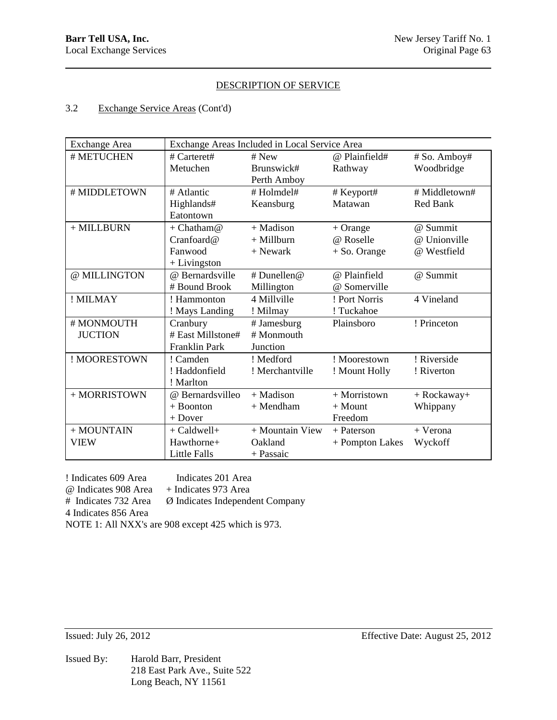### 3.2 Exchange Service Areas (Cont'd)

| <b>Exchange Area</b> | Exchange Areas Included in Local Service Area |                 |                 |                  |
|----------------------|-----------------------------------------------|-----------------|-----------------|------------------|
| # METUCHEN           | # $Carteret#$                                 | $#$ New         | @ Plainfield#   | # So. Amboy#     |
|                      | Metuchen                                      | Brunswick#      | Rathway         | Woodbridge       |
|                      |                                               | Perth Amboy     |                 |                  |
| # MIDDLETOWN         | # Atlantic                                    | #Holmdel#       | # Keyport#      | # Middletown#    |
|                      | Highlands#                                    | Keansburg       | Matawan         | Red Bank         |
|                      | Eatontown                                     |                 |                 |                  |
| $+$ MILLBURN         | + Chatham $@$                                 | $+$ Madison     | $+$ Orange      | @ Summit         |
|                      | Cranfoard@                                    | $+$ Millburn    | @ Roselle       | @ Unionville     |
|                      | Fanwood                                       | + Newark        | $+$ So. Orange  | @ Westfield      |
|                      | $+$ Livingston                                |                 |                 |                  |
| @ MILLINGTON         | @ Bernardsville                               | # Dunellen@     | @ Plainfield    | @ Summit         |
|                      | # Bound Brook                                 | Millington      | @ Somerville    |                  |
| ! MILMAY             | ! Hammonton                                   | 4 Millville     | ! Port Norris   | 4 Vineland       |
|                      | ! Mays Landing                                | ! Milmay        | ! Tuckahoe      |                  |
| # MONMOUTH           | Cranbury                                      | # Jamesburg     | Plainsboro      | ! Princeton      |
| <b>JUCTION</b>       | # East Millstone#                             | # Monmouth      |                 |                  |
|                      | Franklin Park                                 | Junction        |                 |                  |
| ! MOORESTOWN         | ! Camden                                      | ! Medford       | ! Moorestown    | ! Riverside      |
|                      | ! Haddonfield                                 | ! Merchantville | ! Mount Holly   | ! Riverton       |
|                      | ! Marlton                                     |                 |                 |                  |
| + MORRISTOWN         | @ Bernardsvilleo                              | $+$ Madison     | $+$ Morristown  | $+$ Rockaway $+$ |
|                      | $+$ Boonton                                   | $+$ Mendham     | $+$ Mount       | Whippany         |
|                      | $+$ Dover                                     |                 | Freedom         |                  |
| + MOUNTAIN           | + Caldwell+                                   | + Mountain View | + Paterson      | + Verona         |
| <b>VIEW</b>          | Hawthorne+                                    | Oakland         | + Pompton Lakes | Wyckoff          |
|                      | <b>Little Falls</b>                           | + Passaic       |                 |                  |

! Indicates 609 Area Indicates 201 Area @ Indicates 908 Area + Indicates 973 Area # Indicates 732 Area Ø Indicates Independent Company 4 Indicates 856 Area NOTE 1: All NXX's are 908 except 425 which is 973.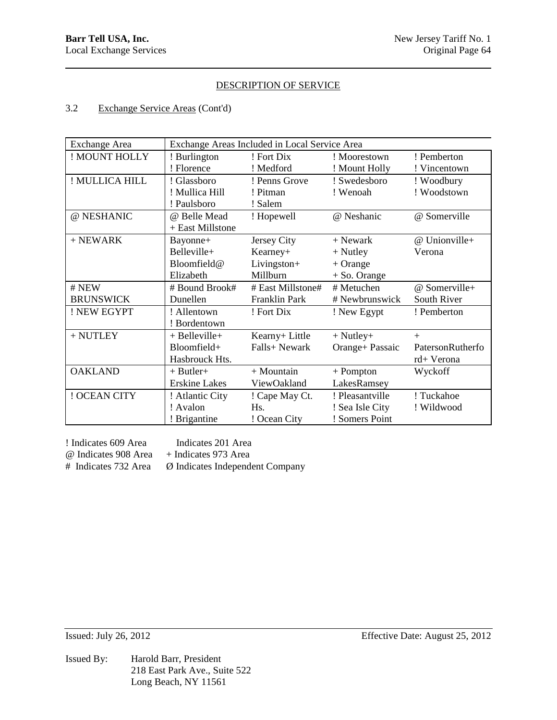## 3.2 Exchange Service Areas (Cont'd)

| <b>Exchange Area</b> | Exchange Areas Included in Local Service Area |                   |                 |                  |
|----------------------|-----------------------------------------------|-------------------|-----------------|------------------|
| ! MOUNT HOLLY        | ! Burlington                                  | ! Fort Dix        | ! Moorestown    | ! Pemberton      |
|                      | ! Florence                                    | ! Medford         | ! Mount Holly   | ! Vincentown     |
| ! MULLICA HILL       | ! Glassboro                                   | ! Penns Grove     | ! Swedesboro    | ! Woodbury       |
|                      | ! Mullica Hill                                | ! Pitman          | ! Wenoah        | ! Woodstown      |
|                      | ! Paulsboro                                   | ! Salem           |                 |                  |
| @ NESHANIC           | @ Belle Mead                                  | ! Hopewell        | @ Neshanic      | @ Somerville     |
|                      | + East Millstone                              |                   |                 |                  |
| $+$ NEWARK           | Bayonne+                                      | Jersey City       | $+$ Newark      | @ Unionville+    |
|                      | Belleville+                                   | Kearney+          | $+$ Nutley      | Verona           |
|                      | Bloomfield@                                   | Livingston+       | $+$ Orange      |                  |
|                      | Elizabeth                                     | Millburn          | $+$ So. Orange  |                  |
|                      |                                               |                   |                 |                  |
| # NEW                | # Bound Brook#                                | # East Millstone# | # Metuchen      | @ Somerville+    |
| <b>BRUNSWICK</b>     | Dunellen                                      | Franklin Park     | # Newbrunswick  | South River      |
| ! NEW EGYPT          | ! Allentown                                   | ! Fort Dix        | ! New Egypt     | ! Pemberton      |
|                      | ! Bordentown                                  |                   |                 |                  |
| $+$ NUTLEY           | $+$ Belleville $+$                            | Kearny+ Little    | $+$ Nutley $+$  | $+$              |
|                      | Bloomfield+                                   | Falls+ Newark     | Orange+ Passaic | PatersonRutherfo |
|                      | Hasbrouck Hts.                                |                   |                 | rd+ Verona       |
| <b>OAKLAND</b>       | $+$ Butler $+$                                | $+$ Mountain      | $+$ Pompton     | Wyckoff          |
|                      | <b>Erskine Lakes</b>                          | ViewOakland       | LakesRamsey     |                  |
| ! OCEAN CITY         | ! Atlantic City                               | ! Cape May Ct.    | ! Pleasantville | ! Tuckahoe       |
|                      | ! Avalon                                      | H <sub>s</sub> .  | ! Sea Isle City | ! Wildwood       |

! Indicates 609 Area Indicates 201 Area @ Indicates 908 Area + Indicates 973 Area

# Indicates 732 Area Ø Indicates Independent Company

Issued By: Harold Barr, President 218 East Park Ave., Suite 522 Long Beach, NY 11561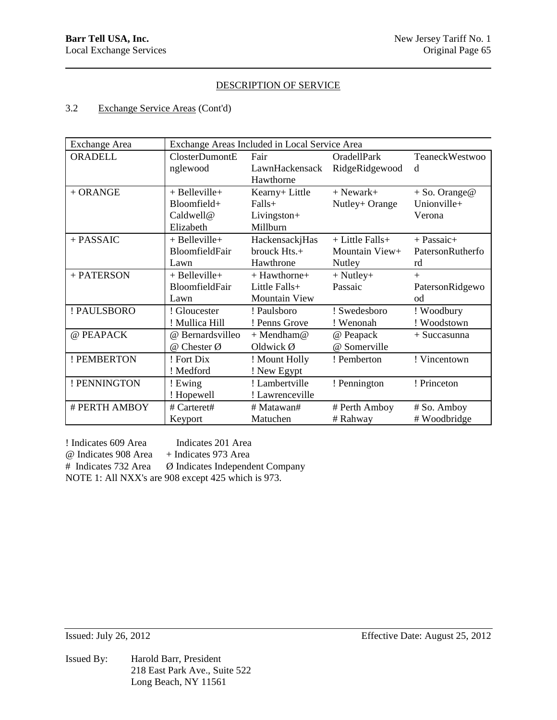# 3.2 Exchange Service Areas (Cont'd)

| <b>Exchange Area</b> | Exchange Areas Included in Local Service Area |                      |                      |                  |
|----------------------|-----------------------------------------------|----------------------|----------------------|------------------|
| <b>ORADELL</b>       | ClosterDumontE                                | Fair                 | OradellPark          | TeaneckWestwoo   |
|                      | nglewood                                      | LawnHackensack       | RidgeRidgewood       | d                |
|                      |                                               | Hawthorne            |                      |                  |
| $+ ORANGE$           | $+$ Belleville $+$                            | Kearny+ Little       | $+$ Newark $+$       | $+$ So. Orange@  |
|                      | Bloomfield+                                   | Falls+               | Nutley+ Orange       | Unionville+      |
|                      | Caldwell@                                     | Livingston+          |                      | Verona           |
|                      | Elizabeth                                     | Millburn             |                      |                  |
| + PASSAIC            | $+$ Belleville $+$                            | HackensackjHas       | $+$ Little Falls $+$ | + Passaic+       |
|                      | BloomfieldFair                                | brouck Hts.+         | Mountain View+       | PatersonRutherfo |
|                      | Lawn                                          | Hawthrone            | Nutley               | rd               |
| + PATERSON           | $+$ Belleville $+$                            | + Hawthorne+         | $+$ Nutley $+$       | $+$              |
|                      | BloomfieldFair                                | Little Falls+        | Passaic              | PatersonRidgewo  |
|                      | Lawn                                          | <b>Mountain View</b> |                      | od               |
| ! PAULSBORO          | ! Gloucester                                  | ! Paulsboro          | ! Swedesboro         | ! Woodbury       |
|                      | ! Mullica Hill                                | ! Penns Grove        | ! Wenonah            | ! Woodstown      |
| @ PEAPACK            | @ Bernardsvilleo                              | $+$ Mendham $@$      | @ Peapack            | $+$ Succasunna   |
|                      | @ Chester Ø                                   | Oldwick $\emptyset$  | @ Somerville         |                  |
| ! PEMBERTON          | ! Fort Dix                                    | ! Mount Holly        | ! Pemberton          | ! Vincentown     |
|                      | ! Medford                                     | ! New Egypt          |                      |                  |
| ! PENNINGTON         | ! Ewing                                       | ! Lambertville       | ! Pennington         | ! Princeton      |
|                      | ! Hopewell                                    | ! Lawrenceville      |                      |                  |
| # PERTH AMBOY        | # Carteret#                                   | # Matawan#           | # Perth Amboy        | # So. Amboy      |
|                      | Keyport                                       | Matuchen             | # Rahway             | # Woodbridge     |

! Indicates 609 Area Indicates 201 Area @ Indicates 908 Area + Indicates 973 Area # Indicates 732 Area Ø Indicates Independent Company NOTE 1: All NXX's are 908 except 425 which is 973.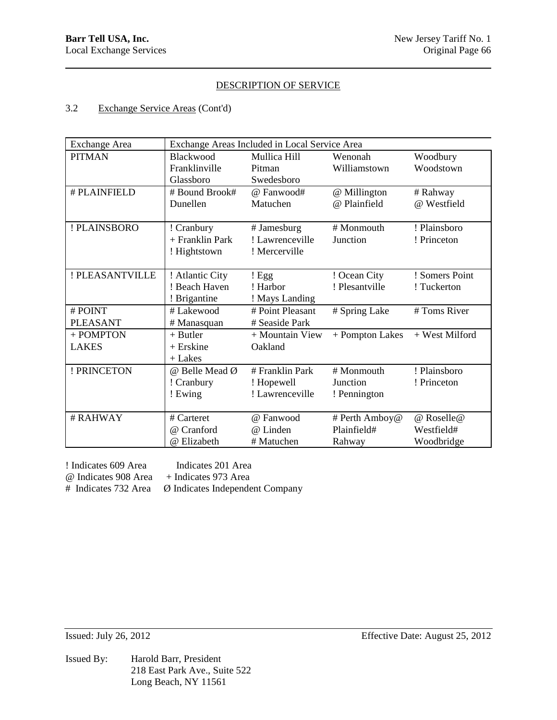# 3.2 Exchange Service Areas (Cont'd)

| <b>Exchange Area</b> | Exchange Areas Included in Local Service Area |                  |                 |                |
|----------------------|-----------------------------------------------|------------------|-----------------|----------------|
| <b>PITMAN</b>        | Blackwood                                     | Mullica Hill     | Wenonah         | Woodbury       |
|                      | Franklinville                                 | Pitman           | Williamstown    | Woodstown      |
|                      | Glassboro                                     | Swedesboro       |                 |                |
| # PLAINFIELD         | # Bound Brook#                                | @ Fanwood#       | @ Millington    | # Rahway       |
|                      | Dunellen                                      | Matuchen         | @ Plainfield    | @ Westfield    |
|                      |                                               |                  |                 |                |
| ! PLAINSBORO         | ! Cranbury                                    | # Jamesburg      | # Monmouth      | ! Plainsboro   |
|                      | + Franklin Park                               | ! Lawrenceville  | Junction        | ! Princeton    |
|                      | ! Hightstown                                  | ! Mercerville    |                 |                |
|                      |                                               |                  |                 |                |
| ! PLEASANTVILLE      | ! Atlantic City                               | ! Egg            | ! Ocean City    | ! Somers Point |
|                      | ! Beach Haven                                 | ! Harbor         | ! Plesantville  | ! Tuckerton    |
|                      | ! Brigantine                                  | ! Mays Landing   |                 |                |
| #POINT               | # Lakewood                                    | # Point Pleasant | # Spring Lake   | # Toms River   |
| <b>PLEASANT</b>      | # Manasquan                                   | # Seaside Park   |                 |                |
| + POMPTON            | $+$ Butler                                    | + Mountain View  | + Pompton Lakes | + West Milford |
| <b>LAKES</b>         | $+$ Erskine                                   | Oakland          |                 |                |
|                      | $+$ Lakes                                     |                  |                 |                |
| ! PRINCETON          | @ Belle Mead Ø                                | # Franklin Park  | # Monmouth      | ! Plainsboro   |
|                      | ! Cranbury                                    | ! Hopewell       | Junction        | ! Princeton    |
|                      | ! Ewing                                       | ! Lawrenceville  | ! Pennington    |                |
|                      |                                               |                  |                 |                |
| # RAHWAY             | # Carteret                                    | @ Fanwood        | # Perth Amboy@  | @ Roselle@     |
|                      | Cranford<br>$\omega$                          | @ Linden         | Plainfield#     | Westfield#     |
|                      | @ Elizabeth                                   | # Matuchen       | Rahway          | Woodbridge     |

! Indicates 609 Area Indicates 201 Area @ Indicates 908 Area + Indicates 973 Area

# Indicates 732 Area Ø Indicates Independent Company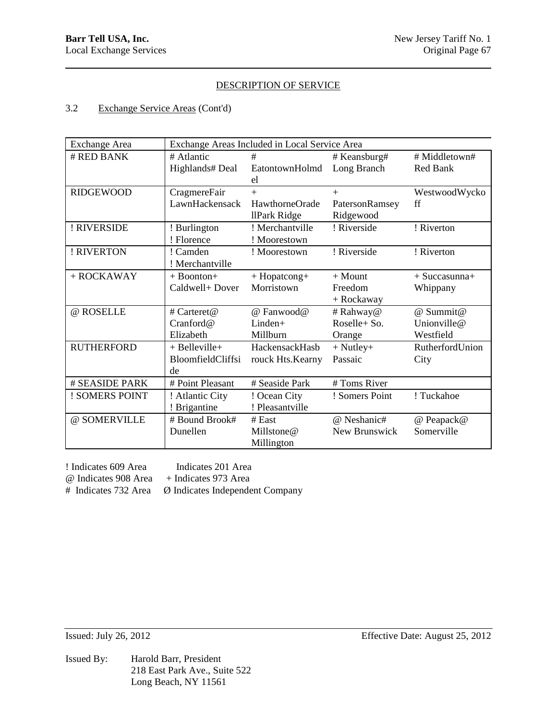## 3.2 Exchange Service Areas (Cont'd)

| <b>Exchange Area</b> | Exchange Areas Included in Local Service Area |                       |                |                 |
|----------------------|-----------------------------------------------|-----------------------|----------------|-----------------|
| # RED BANK           | # Atlantic                                    | #                     | # Keansburg#   | # Middletown#   |
|                      | Highlands# Deal                               | EatontownHolmd        | Long Branch    | Red Bank        |
|                      |                                               | el                    |                |                 |
| <b>RIDGEWOOD</b>     | CragmereFair                                  | $+$                   | $+$            | WestwoodWycko   |
|                      | LawnHackensack                                | <b>HawthorneOrade</b> | PatersonRamsey | ff              |
|                      |                                               | llPark Ridge          | Ridgewood      |                 |
| ! RIVERSIDE          | ! Burlington                                  | ! Merchantville       | ! Riverside    | ! Riverton      |
|                      | ! Florence                                    | ! Moorestown          |                |                 |
| ! RIVERTON           | ! Camden                                      | ! Moorestown          | ! Riverside    | ! Riverton      |
|                      | ! Merchantville                               |                       |                |                 |
| $+$ ROCKAWAY         | $+$ Boonton $+$                               | + Hopatcong+          | $+$ Mount      | $+$ Succasunna+ |
|                      | Caldwell+ Dover                               | Morristown            | Freedom        | Whippany        |
|                      |                                               |                       | + Rockaway     |                 |
| @ ROSELLE            | # Carteret@                                   | @ Fanwood@            | # Rahway@      | @ Summit@       |
|                      | Cranford@                                     | $Linden+$             | Roselle+ So.   | Unionville@     |
|                      | Elizabeth                                     | Millburn              | Orange         | Westfield       |
| <b>RUTHERFORD</b>    | $+$ Belleville $+$                            | HackensackHasb        | $+$ Nutley $+$ | RutherfordUnion |
|                      | BloomfieldCliffsi                             | rouck Hts.Kearny      | Passaic        | City            |
|                      | de                                            |                       |                |                 |
| # SEASIDE PARK       | # Point Pleasant                              | # Seaside Park        | # Toms River   |                 |
| ! SOMERS POINT       | ! Atlantic City                               | ! Ocean City          | ! Somers Point | ! Tuckahoe      |
|                      | ! Brigantine                                  | ! Pleasantville       |                |                 |
| @ SOMERVILLE         | # Bound Brook#                                | # East                | @ Neshanic#    | @ Peapack@      |
|                      | Dunellen                                      | Millstone@            | New Brunswick  | Somerville      |
|                      |                                               | Millington            |                |                 |

! Indicates 609 Area Indicates 201 Area @ Indicates 908 Area + Indicates 973 Area

# Indicates 732 Area Ø Indicates Independent Company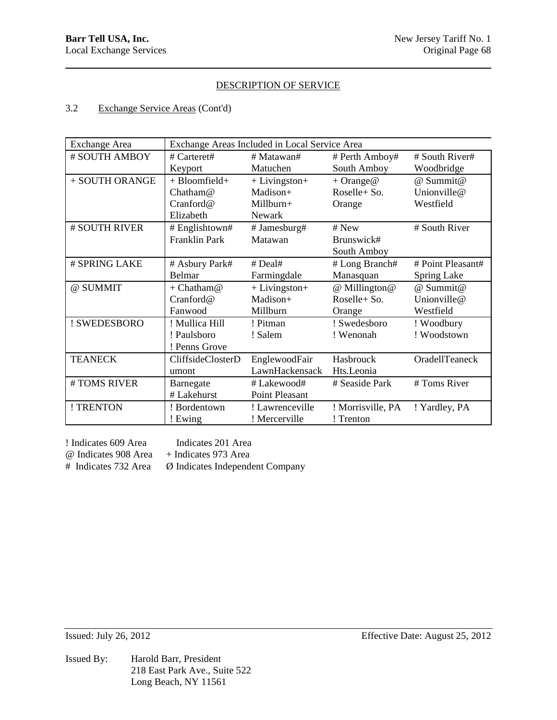# 3.2 Exchange Service Areas (Cont'd)

| <b>Exchange Area</b> | Exchange Areas Included in Local Service Area |                 |                     |                   |
|----------------------|-----------------------------------------------|-----------------|---------------------|-------------------|
| # SOUTH AMBOY        | # Carteret#                                   | # Matawan#      | # Perth Amboy#      | # South River#    |
|                      | Keyport                                       | Matuchen        | South Amboy         | Woodbridge        |
| + SOUTH ORANGE       | +Bloomfield+                                  | $+$ Livingston+ | $+ \text{Orange} @$ | @ Summit@         |
|                      | Chatham@                                      | Madison+        | Roselle+ So.        | Unionville@       |
|                      | Cranford@                                     | $Millburn+$     | Orange              | Westfield         |
|                      | Elizabeth                                     | Newark          |                     |                   |
| # SOUTH RIVER        | # Englishtown#                                | # Jamesburg#    | # New               | # South River     |
|                      | <b>Franklin Park</b>                          | Matawan         | Brunswick#          |                   |
|                      |                                               |                 | South Amboy         |                   |
| # SPRING LAKE        | # Asbury Park#                                | # Deal#         | # Long Branch#      | # Point Pleasant# |
|                      | Belmar                                        | Farmingdale     | Manasquan           | Spring Lake       |
| @ SUMMIT             | $+ Chatham@$                                  | $+$ Livingston+ | @ Millington@       | @ Summit@         |
|                      | Cranford@                                     | Madison+        | Roselle+ So.        | Unionville@       |
|                      | Fanwood                                       | Millburn        | Orange              | Westfield         |
| ! SWEDESBORO         | ! Mullica Hill                                | ! Pitman        | ! Swedesboro        | ! Woodbury        |
|                      | ! Paulsboro                                   | ! Salem         | ! Wenonah           | ! Woodstown       |
|                      | ! Penns Grove                                 |                 |                     |                   |
| <b>TEANECK</b>       | CliffsideClosterD                             | EnglewoodFair   | Hasbrouck           | OradellTeaneck    |
|                      | umont                                         | LawnHackensack  | Hts.Leonia          |                   |
| #TOMS RIVER          | Barnegate                                     | # Lakewood#     | # Seaside Park      | # Toms River      |
|                      | # Lakehurst                                   | Point Pleasant  |                     |                   |
| ! TRENTON            | ! Bordentown                                  | ! Lawrenceville | ! Morrisville, PA   | ! Yardley, PA     |
|                      | ! Ewing                                       | ! Mercerville   | ! Trenton           |                   |

! Indicates 609 Area Indicates 201 Area

@ Indicates 908 Area + Indicates 973 Area

# Indicates 732 Area Ø Indicates Independent Company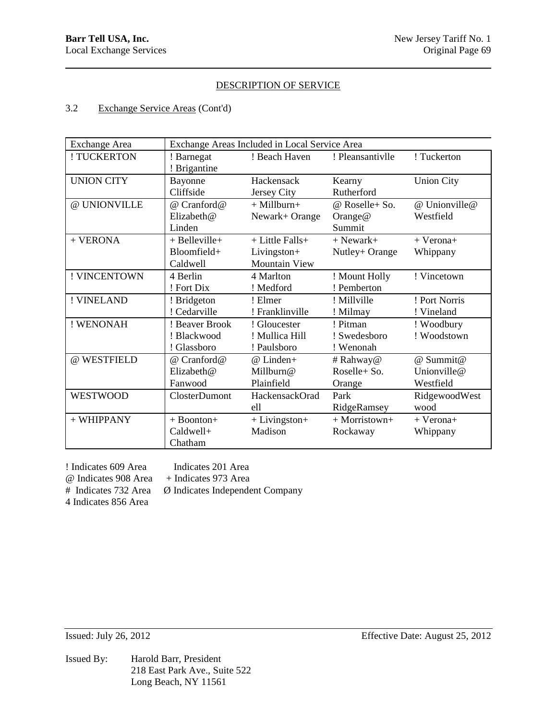# 3.2 Exchange Service Areas (Cont'd)

| <b>Exchange Area</b> |                    | Exchange Areas Included in Local Service Area |                  |                   |
|----------------------|--------------------|-----------------------------------------------|------------------|-------------------|
| ! TUCKERTON          | ! Barnegat         | ! Beach Haven                                 | ! Pleansantivlle | ! Tuckerton       |
|                      | ! Brigantine       |                                               |                  |                   |
| <b>UNION CITY</b>    | Bayonne            | Hackensack                                    | Kearny           | <b>Union City</b> |
|                      | Cliffside          | Jersey City                                   | Rutherford       |                   |
| @ UNIONVILLE         | @ Cranford@        | $+$ Millburn $+$                              | @ Roselle+ So.   | @ Unionville@     |
|                      | Elizabeth@         | Newark+ Orange                                | Orange $@$       | Westfield         |
|                      | Linden             |                                               | Summit           |                   |
| + VERONA             | $+$ Belleville $+$ | + Little Falls+                               | $+$ Newark+      | $+$ Verona+       |
|                      | $B$ loomfield+     | Livingston+                                   | Nutley+ Orange   | Whippany          |
|                      | Caldwell           | Mountain View                                 |                  |                   |
| ! VINCENTOWN         | 4 Berlin           | 4 Marlton                                     | ! Mount Holly    | ! Vincetown       |
|                      | ! Fort Dix         | ! Medford                                     | ! Pemberton      |                   |
| ! VINELAND           | ! Bridgeton        | ! Elmer                                       | ! Millville      | ! Port Norris     |
|                      | ! Cedarville       | ! Franklinville                               | ! Milmay         | ! Vineland        |
| ! WENONAH            | ! Beaver Brook     | ! Gloucester                                  | ! Pitman         | ! Woodbury        |
|                      | ! Blackwood        | ! Mullica Hill                                | ! Swedesboro     | ! Woodstown       |
|                      | ! Glassboro        | ! Paulsboro                                   | ! Wenonah        |                   |
| @ WESTFIELD          | @ Cranford@        | $@$ Linden+                                   | # Rahway@        | @ Summit@         |
|                      | Elizabeth@         | Millburn@                                     | Roselle+ So.     | Unionville@       |
|                      | Fanwood            | Plainfield                                    | Orange           | Westfield         |
| <b>WESTWOOD</b>      | ClosterDumont      | HackensackOrad                                | Park             | RidgewoodWest     |
|                      |                    | ell                                           | RidgeRamsey      | wood              |
| + WHIPPANY           | $+$ Boonton+       | $+$ Livingston $+$                            | $+$ Morristown+  | $+$ Verona+       |
|                      | Caldwell+          | Madison                                       | Rockaway         | Whippany          |
|                      | Chatham            |                                               |                  |                   |

! Indicates 609 Area Indicates 201 Area @ Indicates 908 Area + Indicates 973 Area 4 Indicates 856 Area

Ø Indicates Independent Company

Issued By: Harold Barr, President 218 East Park Ave., Suite 522 Long Beach, NY 11561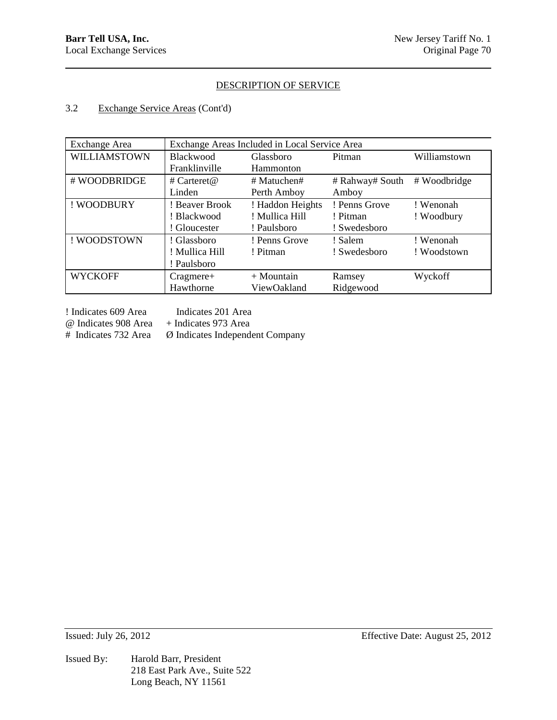## 3.2 Exchange Service Areas (Cont'd)

| <b>Exchange Area</b> | Exchange Areas Included in Local Service Area |                  |                 |              |
|----------------------|-----------------------------------------------|------------------|-----------------|--------------|
| WILLIAMSTOWN         | <b>Blackwood</b>                              | Glassboro        | Pitman          | Williamstown |
|                      | Franklinville                                 | Hammonton        |                 |              |
| # WOODBRIDGE         | # Carteret@                                   | $#$ Matuchen#    | # Rahway# South | # Woodbridge |
|                      | Linden                                        | Perth Amboy      | Amboy           |              |
| ! WOODBURY           | ! Beaver Brook                                | ! Haddon Heights | ! Penns Grove   | ! Wenonah    |
|                      | ! Blackwood                                   | ! Mullica Hill   | ! Pitman        | ! Woodbury   |
|                      | ! Gloucester                                  | ! Paulsboro      | ! Swedesboro    |              |
| ! WOODSTOWN          | ! Glassboro                                   | ! Penns Grove    | ! Salem         | ! Wenonah    |
|                      | ! Mullica Hill                                | ! Pitman         | ! Swedesboro    | ! Woodstown  |
|                      | ! Paulsboro                                   |                  |                 |              |
| <b>WYCKOFF</b>       | $Cragmere+$                                   | $+$ Mountain     | Ramsey          | Wyckoff      |
|                      | Hawthorne                                     | ViewOakland      | Ridgewood       |              |

! Indicates 609 Area Indicates 201 Area

 $\omega$  Indicates 908 Area + Indicates 973 Area<br># Indicates 732 Area  $\varnothing$  Indicates Independent

Ø Indicates Independent Company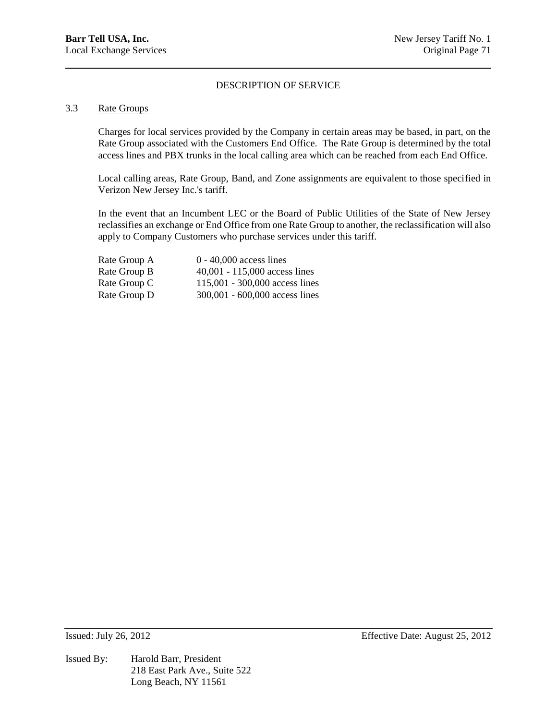### 3.3 Rate Groups

Charges for local services provided by the Company in certain areas may be based, in part, on the Rate Group associated with the Customers End Office. The Rate Group is determined by the total access lines and PBX trunks in the local calling area which can be reached from each End Office.

Local calling areas, Rate Group, Band, and Zone assignments are equivalent to those specified in Verizon New Jersey Inc.'s tariff.

In the event that an Incumbent LEC or the Board of Public Utilities of the State of New Jersey reclassifies an exchange or End Office from one Rate Group to another, the reclassification will also apply to Company Customers who purchase services under this tariff.

| Rate Group A | $0 - 40,000$ access lines       |
|--------------|---------------------------------|
| Rate Group B | $40,001 - 115,000$ access lines |
| Rate Group C | 115,001 - 300,000 access lines  |
| Rate Group D | 300,001 - 600,000 access lines  |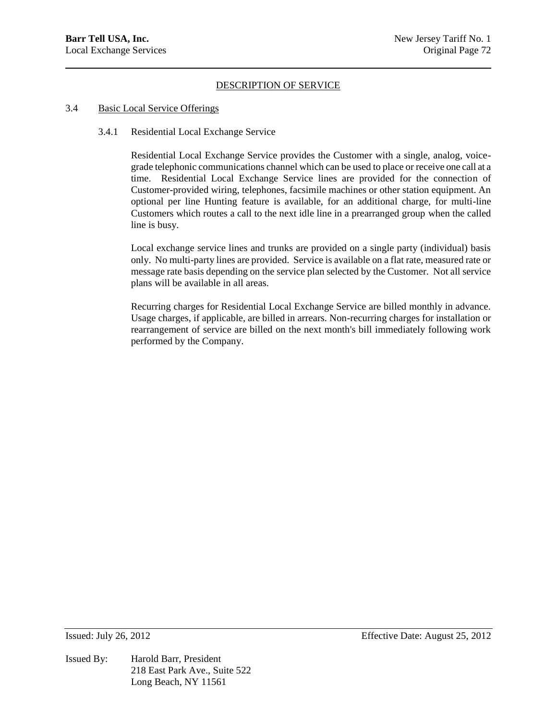#### 3.4 Basic Local Service Offerings

#### 3.4.1 Residential Local Exchange Service

Residential Local Exchange Service provides the Customer with a single, analog, voicegrade telephonic communications channel which can be used to place or receive one call at a time. Residential Local Exchange Service lines are provided for the connection of Customer-provided wiring, telephones, facsimile machines or other station equipment. An optional per line Hunting feature is available, for an additional charge, for multi-line Customers which routes a call to the next idle line in a prearranged group when the called line is busy.

Local exchange service lines and trunks are provided on a single party (individual) basis only. No multi-party lines are provided. Service is available on a flat rate, measured rate or message rate basis depending on the service plan selected by the Customer. Not all service plans will be available in all areas.

Recurring charges for Residential Local Exchange Service are billed monthly in advance. Usage charges, if applicable, are billed in arrears. Non-recurring charges for installation or rearrangement of service are billed on the next month's bill immediately following work performed by the Company.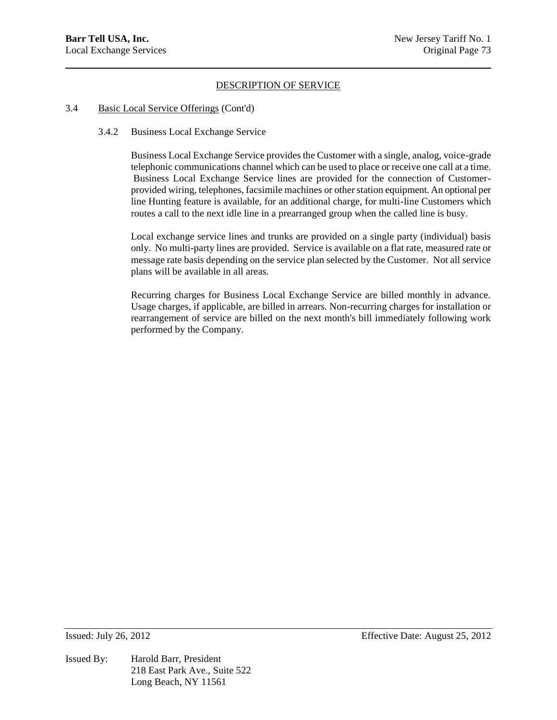#### 3.4 Basic Local Service Offerings (Cont'd)

#### 3.4.2 Business Local Exchange Service

Business Local Exchange Service provides the Customer with a single, analog, voice-grade telephonic communications channel which can be used to place or receive one call at a time. Business Local Exchange Service lines are provided for the connection of Customerprovided wiring, telephones, facsimile machines or other station equipment. An optional per line Hunting feature is available, for an additional charge, for multi-line Customers which routes a call to the next idle line in a prearranged group when the called line is busy.

Local exchange service lines and trunks are provided on a single party (individual) basis only. No multi-party lines are provided. Service is available on a flat rate, measured rate or message rate basis depending on the service plan selected by the Customer. Not all service plans will be available in all areas.

Recurring charges for Business Local Exchange Service are billed monthly in advance. Usage charges, if applicable, are billed in arrears. Non-recurring charges for installation or rearrangement of service are billed on the next month's bill immediately following work performed by the Company.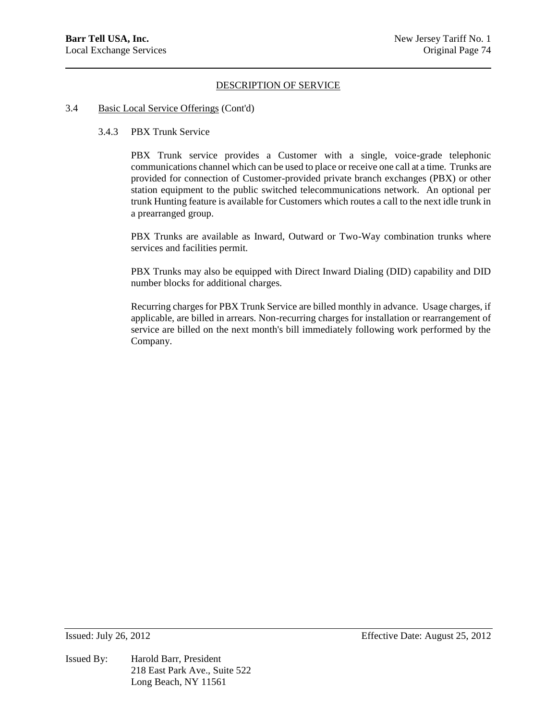#### 3.4 Basic Local Service Offerings (Cont'd)

### 3.4.3 PBX Trunk Service

PBX Trunk service provides a Customer with a single, voice-grade telephonic communications channel which can be used to place or receive one call at a time. Trunks are provided for connection of Customer-provided private branch exchanges (PBX) or other station equipment to the public switched telecommunications network. An optional per trunk Hunting feature is available for Customers which routes a call to the next idle trunk in a prearranged group.

PBX Trunks are available as Inward, Outward or Two-Way combination trunks where services and facilities permit.

PBX Trunks may also be equipped with Direct Inward Dialing (DID) capability and DID number blocks for additional charges.

Recurring charges for PBX Trunk Service are billed monthly in advance. Usage charges, if applicable, are billed in arrears. Non-recurring charges for installation or rearrangement of service are billed on the next month's bill immediately following work performed by the Company.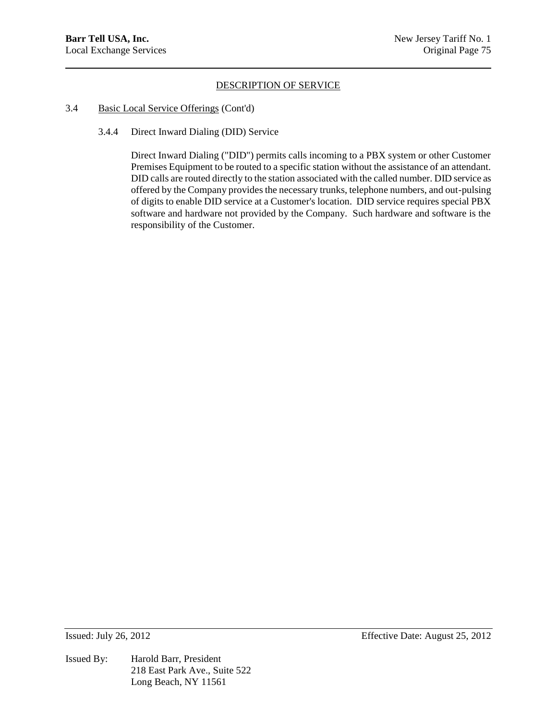#### 3.4 Basic Local Service Offerings (Cont'd)

### 3.4.4 Direct Inward Dialing (DID) Service

Direct Inward Dialing ("DID") permits calls incoming to a PBX system or other Customer Premises Equipment to be routed to a specific station without the assistance of an attendant. DID calls are routed directly to the station associated with the called number. DID service as offered by the Company provides the necessary trunks, telephone numbers, and out-pulsing of digits to enable DID service at a Customer's location. DID service requires special PBX software and hardware not provided by the Company. Such hardware and software is the responsibility of the Customer.

Issued By: Harold Barr, President 218 East Park Ave., Suite 522 Long Beach, NY 11561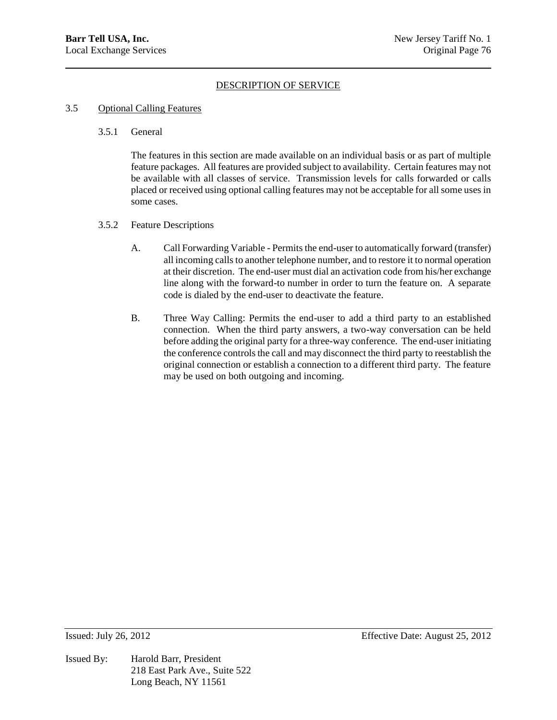## 3.5 Optional Calling Features

# 3.5.1 General

The features in this section are made available on an individual basis or as part of multiple feature packages. All features are provided subject to availability. Certain features may not be available with all classes of service. Transmission levels for calls forwarded or calls placed or received using optional calling features may not be acceptable for all some uses in some cases.

## 3.5.2 Feature Descriptions

- A. Call Forwarding Variable Permits the end-user to automatically forward (transfer) all incoming calls to another telephone number, and to restore it to normal operation at their discretion. The end-user must dial an activation code from his/her exchange line along with the forward-to number in order to turn the feature on. A separate code is dialed by the end-user to deactivate the feature.
- B. Three Way Calling: Permits the end-user to add a third party to an established connection. When the third party answers, a two-way conversation can be held before adding the original party for a three-way conference. The end-user initiating the conference controls the call and may disconnect the third party to reestablish the original connection or establish a connection to a different third party. The feature may be used on both outgoing and incoming.

Issued By: Harold Barr, President 218 East Park Ave., Suite 522 Long Beach, NY 11561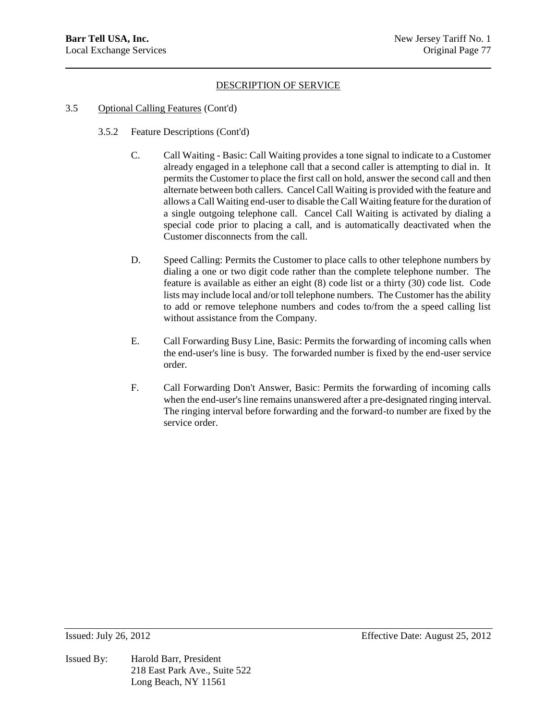## 3.5 Optional Calling Features (Cont'd)

- 3.5.2 Feature Descriptions (Cont'd)
	- C. Call Waiting Basic: Call Waiting provides a tone signal to indicate to a Customer already engaged in a telephone call that a second caller is attempting to dial in. It permits the Customer to place the first call on hold, answer the second call and then alternate between both callers. Cancel Call Waiting is provided with the feature and allows a Call Waiting end-user to disable the Call Waiting feature for the duration of a single outgoing telephone call. Cancel Call Waiting is activated by dialing a special code prior to placing a call, and is automatically deactivated when the Customer disconnects from the call.
	- D. Speed Calling: Permits the Customer to place calls to other telephone numbers by dialing a one or two digit code rather than the complete telephone number. The feature is available as either an eight (8) code list or a thirty (30) code list. Code lists may include local and/or toll telephone numbers. The Customer has the ability to add or remove telephone numbers and codes to/from the a speed calling list without assistance from the Company.
	- E. Call Forwarding Busy Line, Basic: Permits the forwarding of incoming calls when the end-user's line is busy. The forwarded number is fixed by the end-user service order.
	- F. Call Forwarding Don't Answer, Basic: Permits the forwarding of incoming calls when the end-user's line remains unanswered after a pre-designated ringing interval. The ringing interval before forwarding and the forward-to number are fixed by the service order.

Issued By: Harold Barr, President 218 East Park Ave., Suite 522 Long Beach, NY 11561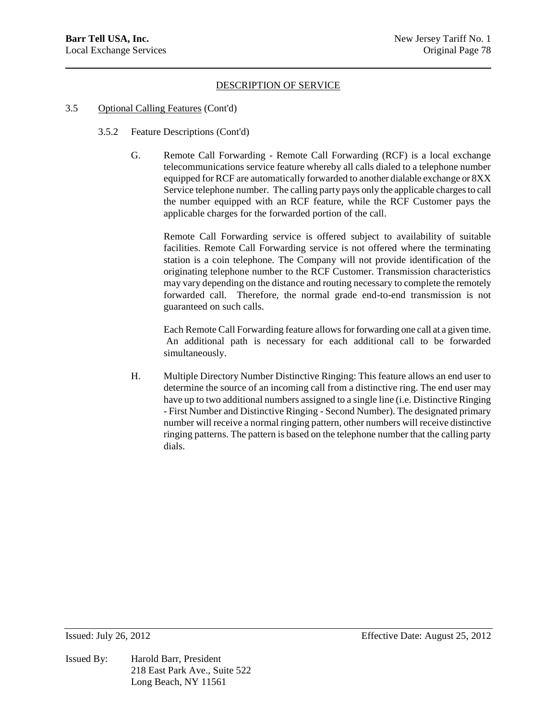#### 3.5 Optional Calling Features (Cont'd)

- 3.5.2 Feature Descriptions (Cont'd)
	- G. Remote Call Forwarding Remote Call Forwarding (RCF) is a local exchange telecommunications service feature whereby all calls dialed to a telephone number equipped for RCF are automatically forwarded to another dialable exchange or 8XX Service telephone number. The calling party pays only the applicable charges to call the number equipped with an RCF feature, while the RCF Customer pays the applicable charges for the forwarded portion of the call.

Remote Call Forwarding service is offered subject to availability of suitable facilities. Remote Call Forwarding service is not offered where the terminating station is a coin telephone. The Company will not provide identification of the originating telephone number to the RCF Customer. Transmission characteristics may vary depending on the distance and routing necessary to complete the remotely forwarded call. Therefore, the normal grade end-to-end transmission is not guaranteed on such calls.

Each Remote Call Forwarding feature allows for forwarding one call at a given time. An additional path is necessary for each additional call to be forwarded simultaneously.

H. Multiple Directory Number Distinctive Ringing: This feature allows an end user to determine the source of an incoming call from a distinctive ring. The end user may have up to two additional numbers assigned to a single line (i.e. Distinctive Ringing - First Number and Distinctive Ringing - Second Number). The designated primary number will receive a normal ringing pattern, other numbers will receive distinctive ringing patterns. The pattern is based on the telephone number that the calling party dials.

Issued By: Harold Barr, President 218 East Park Ave., Suite 522 Long Beach, NY 11561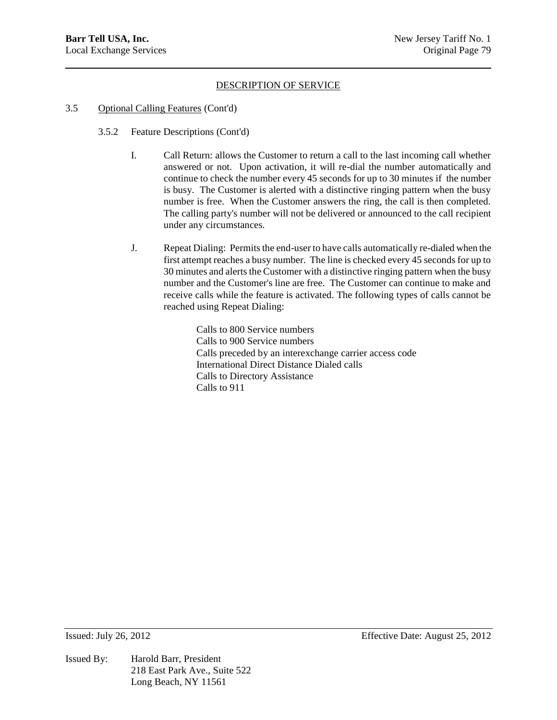### 3.5 Optional Calling Features (Cont'd)

- 3.5.2 Feature Descriptions (Cont'd)
	- I. Call Return: allows the Customer to return a call to the last incoming call whether answered or not. Upon activation, it will re-dial the number automatically and continue to check the number every 45 seconds for up to 30 minutes if the number is busy. The Customer is alerted with a distinctive ringing pattern when the busy number is free. When the Customer answers the ring, the call is then completed. The calling party's number will not be delivered or announced to the call recipient under any circumstances.
	- J. Repeat Dialing: Permits the end-user to have calls automatically re-dialed when the first attempt reaches a busy number. The line is checked every 45 seconds for up to 30 minutes and alerts the Customer with a distinctive ringing pattern when the busy number and the Customer's line are free. The Customer can continue to make and receive calls while the feature is activated. The following types of calls cannot be reached using Repeat Dialing:

Calls to 800 Service numbers Calls to 900 Service numbers Calls preceded by an interexchange carrier access code International Direct Distance Dialed calls Calls to Directory Assistance Calls to 911

Issued By: Harold Barr, President 218 East Park Ave., Suite 522 Long Beach, NY 11561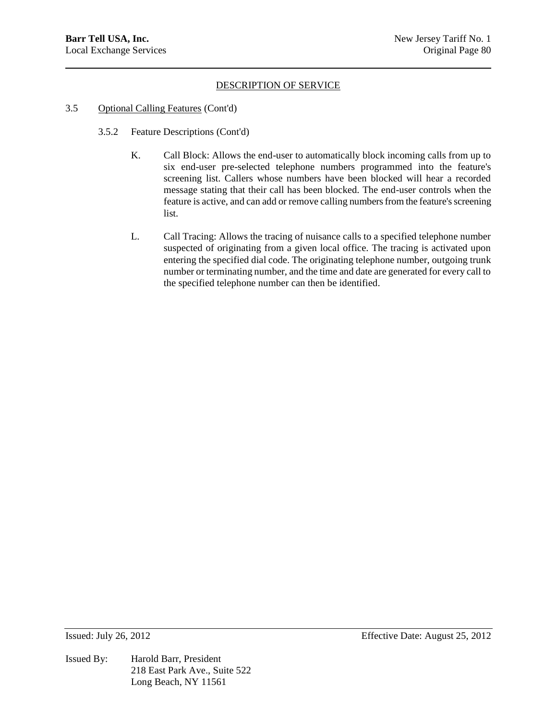### 3.5 Optional Calling Features (Cont'd)

- 3.5.2 Feature Descriptions (Cont'd)
	- K. Call Block: Allows the end-user to automatically block incoming calls from up to six end-user pre-selected telephone numbers programmed into the feature's screening list. Callers whose numbers have been blocked will hear a recorded message stating that their call has been blocked. The end-user controls when the feature is active, and can add or remove calling numbers from the feature's screening list.
	- L. Call Tracing: Allows the tracing of nuisance calls to a specified telephone number suspected of originating from a given local office. The tracing is activated upon entering the specified dial code. The originating telephone number, outgoing trunk number or terminating number, and the time and date are generated for every call to the specified telephone number can then be identified.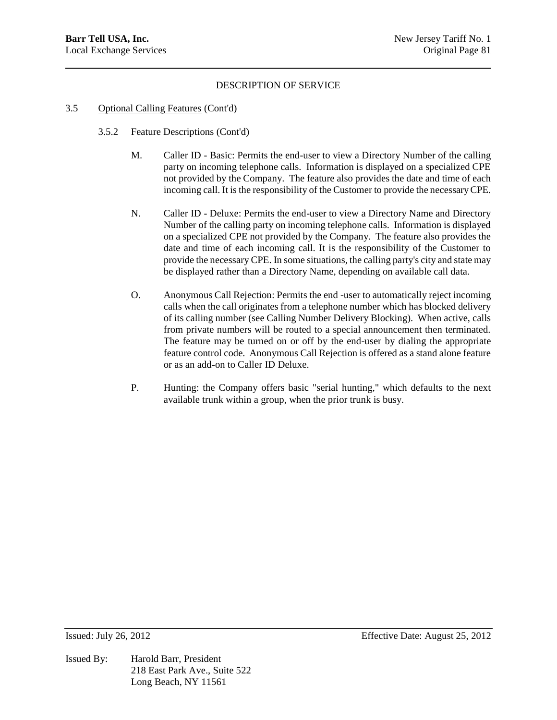## 3.5 Optional Calling Features (Cont'd)

- 3.5.2 Feature Descriptions (Cont'd)
	- M. Caller ID Basic: Permits the end-user to view a Directory Number of the calling party on incoming telephone calls. Information is displayed on a specialized CPE not provided by the Company. The feature also provides the date and time of each incoming call. It is the responsibility of the Customer to provide the necessary CPE.
	- N. Caller ID Deluxe: Permits the end-user to view a Directory Name and Directory Number of the calling party on incoming telephone calls. Information is displayed on a specialized CPE not provided by the Company. The feature also provides the date and time of each incoming call. It is the responsibility of the Customer to provide the necessary CPE. In some situations, the calling party's city and state may be displayed rather than a Directory Name, depending on available call data.
	- O. Anonymous Call Rejection: Permits the end -user to automatically reject incoming calls when the call originates from a telephone number which has blocked delivery of its calling number (see Calling Number Delivery Blocking). When active, calls from private numbers will be routed to a special announcement then terminated. The feature may be turned on or off by the end-user by dialing the appropriate feature control code. Anonymous Call Rejection is offered as a stand alone feature or as an add-on to Caller ID Deluxe.
	- P. Hunting: the Company offers basic "serial hunting," which defaults to the next available trunk within a group, when the prior trunk is busy.

Issued By: Harold Barr, President 218 East Park Ave., Suite 522 Long Beach, NY 11561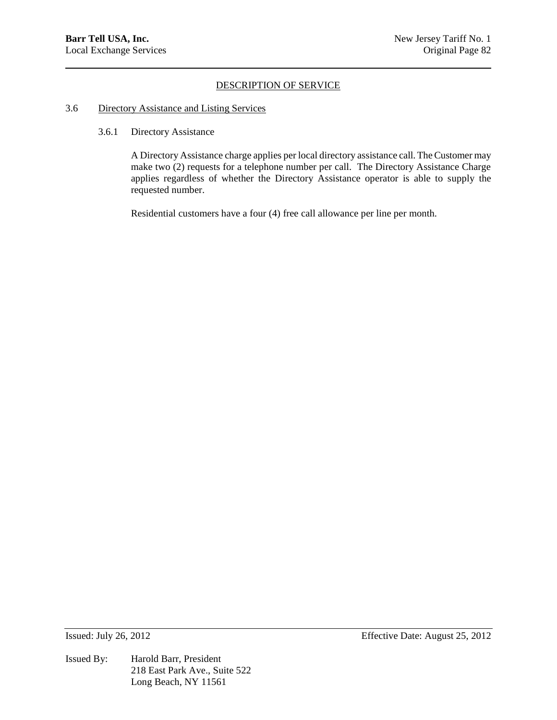#### 3.6 Directory Assistance and Listing Services

## 3.6.1 Directory Assistance

A Directory Assistance charge applies per local directory assistance call. The Customer may make two (2) requests for a telephone number per call. The Directory Assistance Charge applies regardless of whether the Directory Assistance operator is able to supply the requested number.

Residential customers have a four (4) free call allowance per line per month.

Issued By: Harold Barr, President 218 East Park Ave., Suite 522 Long Beach, NY 11561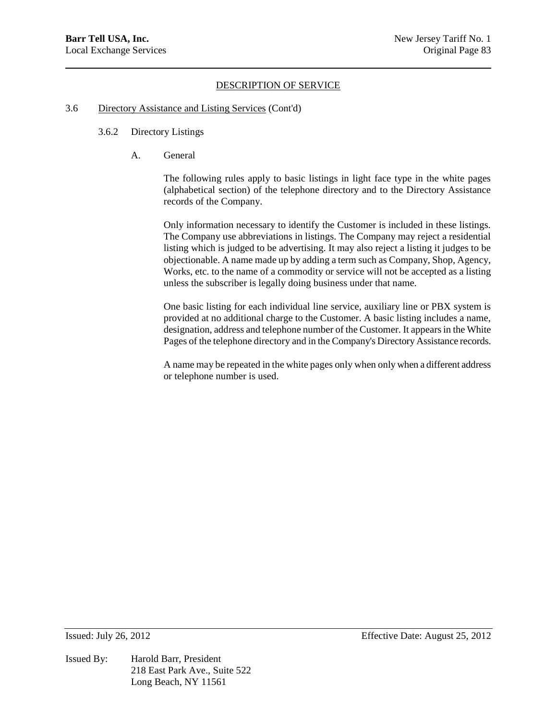#### 3.6 Directory Assistance and Listing Services (Cont'd)

### 3.6.2 Directory Listings

A. General

The following rules apply to basic listings in light face type in the white pages (alphabetical section) of the telephone directory and to the Directory Assistance records of the Company.

Only information necessary to identify the Customer is included in these listings. The Company use abbreviations in listings. The Company may reject a residential listing which is judged to be advertising. It may also reject a listing it judges to be objectionable. A name made up by adding a term such as Company, Shop, Agency, Works, etc. to the name of a commodity or service will not be accepted as a listing unless the subscriber is legally doing business under that name.

One basic listing for each individual line service, auxiliary line or PBX system is provided at no additional charge to the Customer. A basic listing includes a name, designation, address and telephone number of the Customer. It appears in the White Pages of the telephone directory and in the Company's Directory Assistance records.

A name may be repeated in the white pages only when only when a different address or telephone number is used.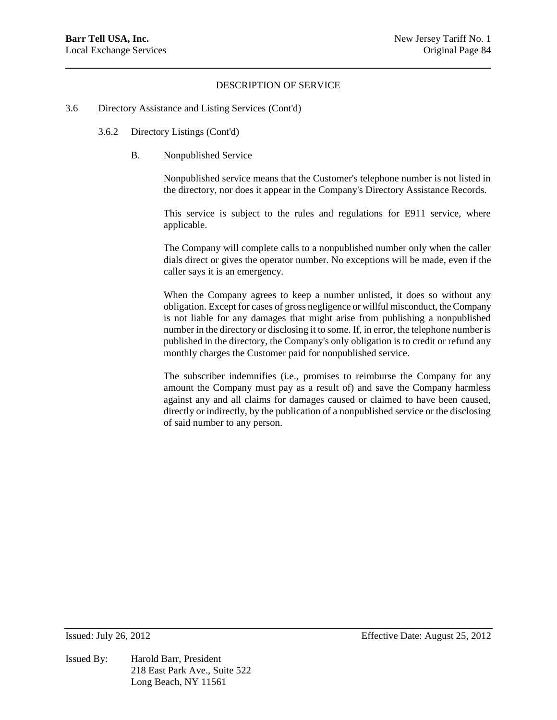#### 3.6 Directory Assistance and Listing Services (Cont'd)

- 3.6.2 Directory Listings (Cont'd)
	- B. Nonpublished Service

Nonpublished service means that the Customer's telephone number is not listed in the directory, nor does it appear in the Company's Directory Assistance Records.

This service is subject to the rules and regulations for E911 service, where applicable.

The Company will complete calls to a nonpublished number only when the caller dials direct or gives the operator number. No exceptions will be made, even if the caller says it is an emergency.

When the Company agrees to keep a number unlisted, it does so without any obligation. Except for cases of gross negligence or willful misconduct, the Company is not liable for any damages that might arise from publishing a nonpublished number in the directory or disclosing it to some. If, in error, the telephone number is published in the directory, the Company's only obligation is to credit or refund any monthly charges the Customer paid for nonpublished service.

The subscriber indemnifies (i.e., promises to reimburse the Company for any amount the Company must pay as a result of) and save the Company harmless against any and all claims for damages caused or claimed to have been caused, directly or indirectly, by the publication of a nonpublished service or the disclosing of said number to any person.

Issued By: Harold Barr, President 218 East Park Ave., Suite 522 Long Beach, NY 11561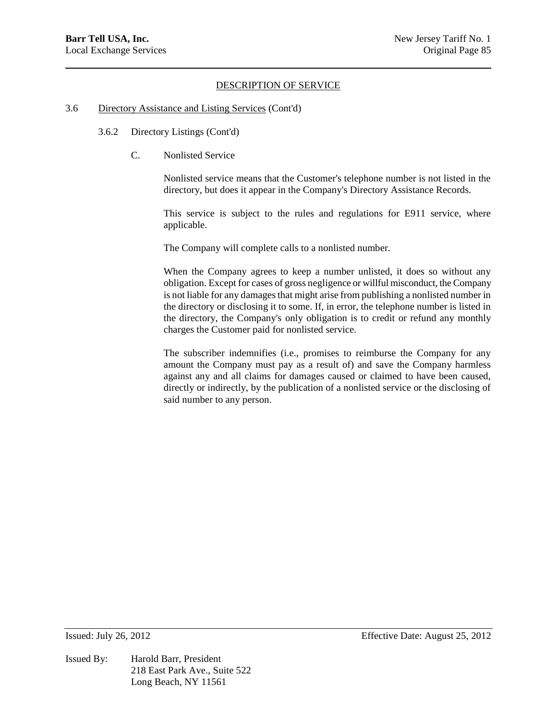#### 3.6 Directory Assistance and Listing Services (Cont'd)

- 3.6.2 Directory Listings (Cont'd)
	- C. Nonlisted Service

Nonlisted service means that the Customer's telephone number is not listed in the directory, but does it appear in the Company's Directory Assistance Records.

This service is subject to the rules and regulations for E911 service, where applicable.

The Company will complete calls to a nonlisted number.

When the Company agrees to keep a number unlisted, it does so without any obligation. Except for cases of gross negligence or willful misconduct, the Company is not liable for any damages that might arise from publishing a nonlisted number in the directory or disclosing it to some. If, in error, the telephone number is listed in the directory, the Company's only obligation is to credit or refund any monthly charges the Customer paid for nonlisted service.

The subscriber indemnifies (i.e., promises to reimburse the Company for any amount the Company must pay as a result of) and save the Company harmless against any and all claims for damages caused or claimed to have been caused, directly or indirectly, by the publication of a nonlisted service or the disclosing of said number to any person.

Issued By: Harold Barr, President 218 East Park Ave., Suite 522 Long Beach, NY 11561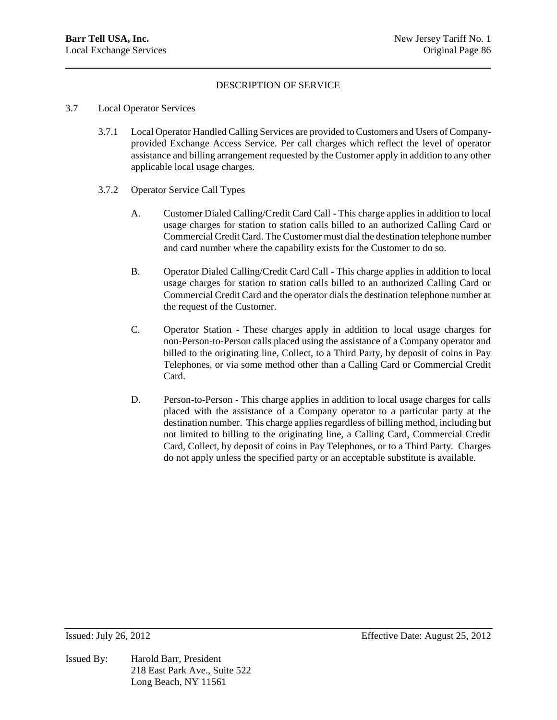## 3.7 Local Operator Services

- 3.7.1 Local Operator Handled Calling Services are provided to Customers and Users of Companyprovided Exchange Access Service. Per call charges which reflect the level of operator assistance and billing arrangement requested by the Customer apply in addition to any other applicable local usage charges.
- 3.7.2 Operator Service Call Types
	- A. Customer Dialed Calling/Credit Card Call This charge applies in addition to local usage charges for station to station calls billed to an authorized Calling Card or Commercial Credit Card. The Customer must dial the destination telephone number and card number where the capability exists for the Customer to do so.
	- B. Operator Dialed Calling/Credit Card Call This charge applies in addition to local usage charges for station to station calls billed to an authorized Calling Card or Commercial Credit Card and the operator dials the destination telephone number at the request of the Customer.
	- C. Operator Station These charges apply in addition to local usage charges for non-Person-to-Person calls placed using the assistance of a Company operator and billed to the originating line, Collect, to a Third Party, by deposit of coins in Pay Telephones, or via some method other than a Calling Card or Commercial Credit Card.
	- D. Person-to-Person This charge applies in addition to local usage charges for calls placed with the assistance of a Company operator to a particular party at the destination number. This charge applies regardless of billing method, including but not limited to billing to the originating line, a Calling Card, Commercial Credit Card, Collect, by deposit of coins in Pay Telephones, or to a Third Party. Charges do not apply unless the specified party or an acceptable substitute is available.

Issued By: Harold Barr, President 218 East Park Ave., Suite 522 Long Beach, NY 11561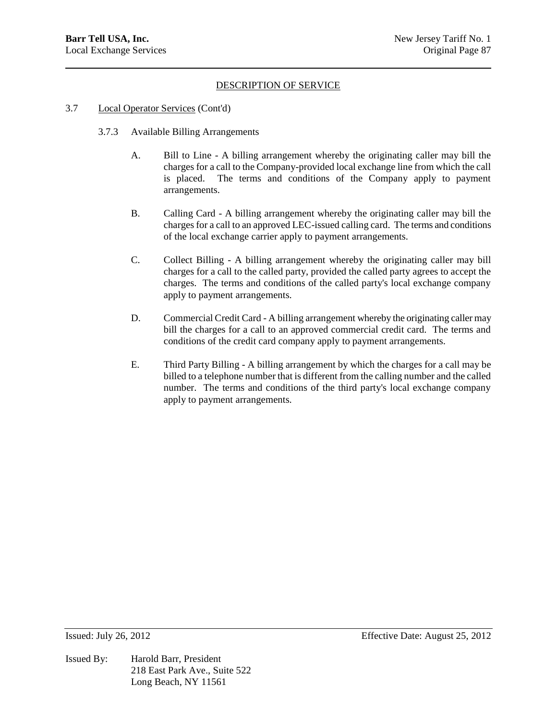- 3.7 Local Operator Services (Cont'd)
	- 3.7.3 Available Billing Arrangements
		- A. Bill to Line A billing arrangement whereby the originating caller may bill the charges for a call to the Company-provided local exchange line from which the call is placed. The terms and conditions of the Company apply to payment arrangements.
		- B. Calling Card A billing arrangement whereby the originating caller may bill the charges for a call to an approved LEC-issued calling card. The terms and conditions of the local exchange carrier apply to payment arrangements.
		- C. Collect Billing A billing arrangement whereby the originating caller may bill charges for a call to the called party, provided the called party agrees to accept the charges. The terms and conditions of the called party's local exchange company apply to payment arrangements.
		- D. Commercial Credit Card A billing arrangement whereby the originating caller may bill the charges for a call to an approved commercial credit card. The terms and conditions of the credit card company apply to payment arrangements.
		- E. Third Party Billing A billing arrangement by which the charges for a call may be billed to a telephone number that is different from the calling number and the called number. The terms and conditions of the third party's local exchange company apply to payment arrangements.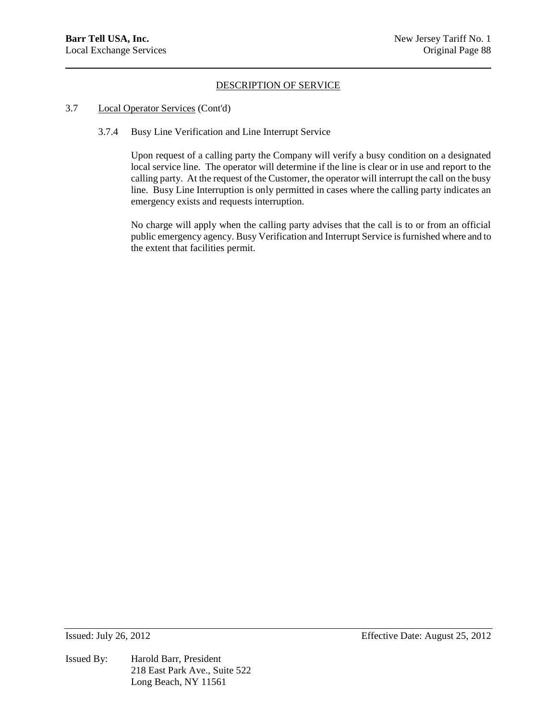### 3.7 Local Operator Services (Cont'd)

3.7.4 Busy Line Verification and Line Interrupt Service

Upon request of a calling party the Company will verify a busy condition on a designated local service line. The operator will determine if the line is clear or in use and report to the calling party. At the request of the Customer, the operator will interrupt the call on the busy line. Busy Line Interruption is only permitted in cases where the calling party indicates an emergency exists and requests interruption.

No charge will apply when the calling party advises that the call is to or from an official public emergency agency. Busy Verification and Interrupt Service is furnished where and to the extent that facilities permit.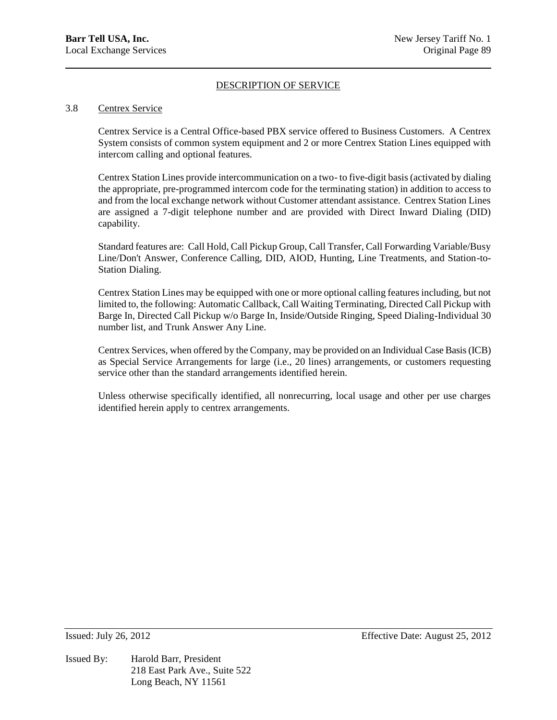#### 3.8 Centrex Service

Centrex Service is a Central Office-based PBX service offered to Business Customers. A Centrex System consists of common system equipment and 2 or more Centrex Station Lines equipped with intercom calling and optional features.

Centrex Station Lines provide intercommunication on a two- to five-digit basis (activated by dialing the appropriate, pre-programmed intercom code for the terminating station) in addition to access to and from the local exchange network without Customer attendant assistance. Centrex Station Lines are assigned a 7-digit telephone number and are provided with Direct Inward Dialing (DID) capability.

Standard features are: Call Hold, Call Pickup Group, Call Transfer, Call Forwarding Variable/Busy Line/Don't Answer, Conference Calling, DID, AIOD, Hunting, Line Treatments, and Station-to-Station Dialing.

Centrex Station Lines may be equipped with one or more optional calling features including, but not limited to, the following: Automatic Callback, Call Waiting Terminating, Directed Call Pickup with Barge In, Directed Call Pickup w/o Barge In, Inside/Outside Ringing, Speed Dialing-Individual 30 number list, and Trunk Answer Any Line.

Centrex Services, when offered by the Company, may be provided on an Individual Case Basis (ICB) as Special Service Arrangements for large (i.e., 20 lines) arrangements, or customers requesting service other than the standard arrangements identified herein.

Unless otherwise specifically identified, all nonrecurring, local usage and other per use charges identified herein apply to centrex arrangements.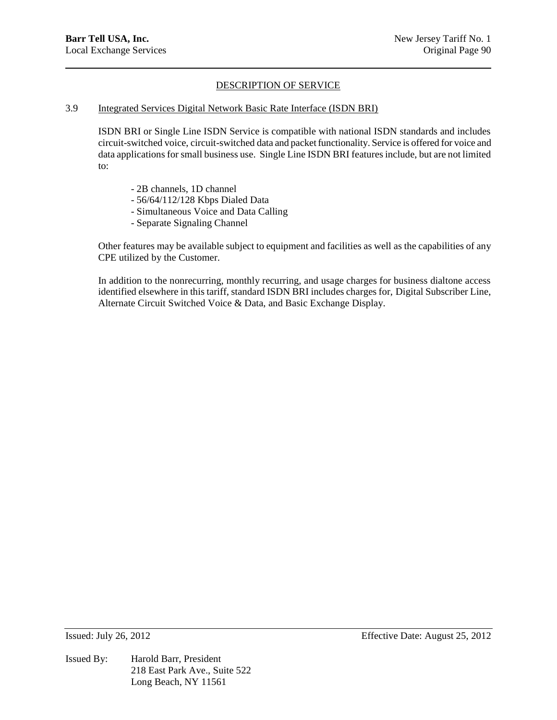### 3.9 Integrated Services Digital Network Basic Rate Interface (ISDN BRI)

ISDN BRI or Single Line ISDN Service is compatible with national ISDN standards and includes circuit-switched voice, circuit-switched data and packet functionality. Service is offered for voice and data applications for small business use. Single Line ISDN BRI features include, but are not limited to:

- 2B channels, 1D channel
- 56/64/112/128 Kbps Dialed Data
- Simultaneous Voice and Data Calling
- Separate Signaling Channel

Other features may be available subject to equipment and facilities as well as the capabilities of any CPE utilized by the Customer.

In addition to the nonrecurring, monthly recurring, and usage charges for business dialtone access identified elsewhere in this tariff, standard ISDN BRI includes charges for, Digital Subscriber Line, Alternate Circuit Switched Voice & Data, and Basic Exchange Display.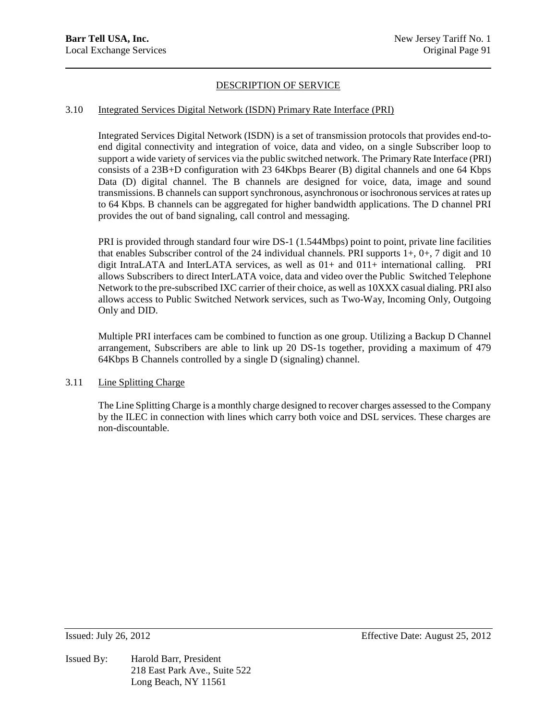## 3.10 Integrated Services Digital Network (ISDN) Primary Rate Interface (PRI)

Integrated Services Digital Network (ISDN) is a set of transmission protocols that provides end-toend digital connectivity and integration of voice, data and video, on a single Subscriber loop to support a wide variety of services via the public switched network. The Primary Rate Interface (PRI) consists of a 23B+D configuration with 23 64Kbps Bearer (B) digital channels and one 64 Kbps Data (D) digital channel. The B channels are designed for voice, data, image and sound transmissions. B channels can support synchronous, asynchronous or isochronousservices at rates up to 64 Kbps. B channels can be aggregated for higher bandwidth applications. The D channel PRI provides the out of band signaling, call control and messaging.

PRI is provided through standard four wire DS-1 (1.544Mbps) point to point, private line facilities that enables Subscriber control of the 24 individual channels. PRI supports  $1+, 0+, 7$  digit and 10 digit IntraLATA and InterLATA services, as well as 01+ and 011+ international calling. PRI allows Subscribers to direct InterLATA voice, data and video over the Public Switched Telephone Network to the pre-subscribed IXC carrier of their choice, as well as 10XXX casual dialing. PRI also allows access to Public Switched Network services, such as Two-Way, Incoming Only, Outgoing Only and DID.

Multiple PRI interfaces cam be combined to function as one group. Utilizing a Backup D Channel arrangement, Subscribers are able to link up 20 DS-1s together, providing a maximum of 479 64Kbps B Channels controlled by a single D (signaling) channel.

# 3.11 Line Splitting Charge

The Line Splitting Charge is a monthly charge designed to recover charges assessed to the Company by the ILEC in connection with lines which carry both voice and DSL services. These charges are non-discountable.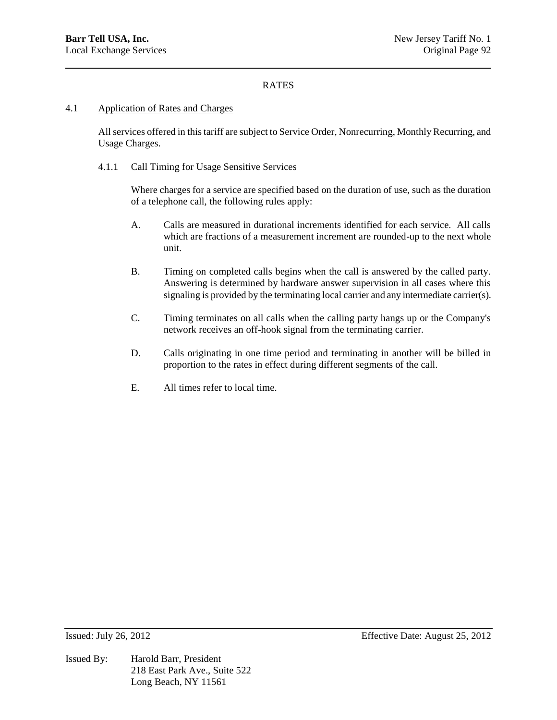### 4.1 Application of Rates and Charges

All services offered in this tariff are subject to Service Order, Nonrecurring, Monthly Recurring, and Usage Charges.

4.1.1 Call Timing for Usage Sensitive Services

Where charges for a service are specified based on the duration of use, such as the duration of a telephone call, the following rules apply:

- A. Calls are measured in durational increments identified for each service. All calls which are fractions of a measurement increment are rounded-up to the next whole unit.
- B. Timing on completed calls begins when the call is answered by the called party. Answering is determined by hardware answer supervision in all cases where this signaling is provided by the terminating local carrier and any intermediate carrier(s).
- C. Timing terminates on all calls when the calling party hangs up or the Company's network receives an off-hook signal from the terminating carrier.
- D. Calls originating in one time period and terminating in another will be billed in proportion to the rates in effect during different segments of the call.
- E. All times refer to local time.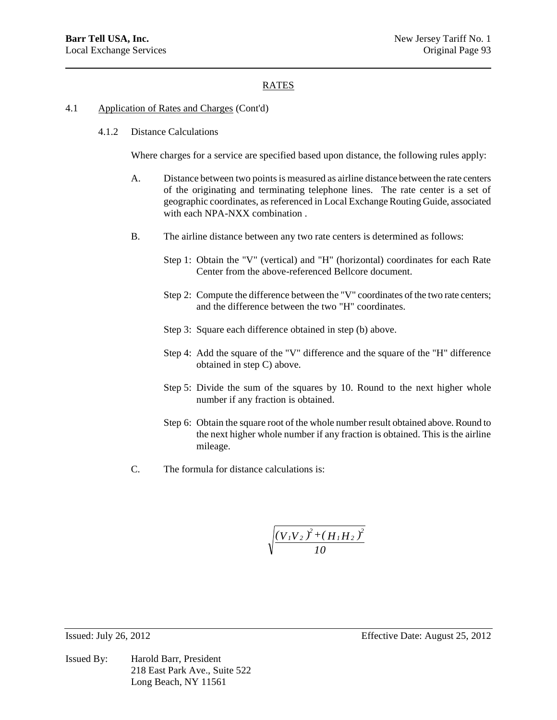### 4.1 Application of Rates and Charges (Cont'd)

4.1.2 Distance Calculations

Where charges for a service are specified based upon distance, the following rules apply:

- A. Distance between two points is measured as airline distance between the rate centers of the originating and terminating telephone lines. The rate center is a set of geographic coordinates, as referenced in Local Exchange Routing Guide, associated with each NPA-NXX combination .
- B. The airline distance between any two rate centers is determined as follows:
	- Step 1: Obtain the "V" (vertical) and "H" (horizontal) coordinates for each Rate Center from the above-referenced Bellcore document.
	- Step 2: Compute the difference between the "V" coordinates of the two rate centers; and the difference between the two "H" coordinates.
	- Step 3: Square each difference obtained in step (b) above.
	- Step 4: Add the square of the "V" difference and the square of the "H" difference obtained in step C) above.
	- Step 5: Divide the sum of the squares by 10. Round to the next higher whole number if any fraction is obtained.
	- Step 6: Obtain the square root of the whole number result obtained above. Round to the next higher whole number if any fraction is obtained. This is the airline mileage.
- C. The formula for distance calculations is:

$$
\sqrt{\frac{\left(V_{1}V_{2}\right)^{2}+\left(H_{1}H_{2}\right)^{2}}{10}}
$$

Issued By: Harold Barr, President 218 East Park Ave., Suite 522 Long Beach, NY 11561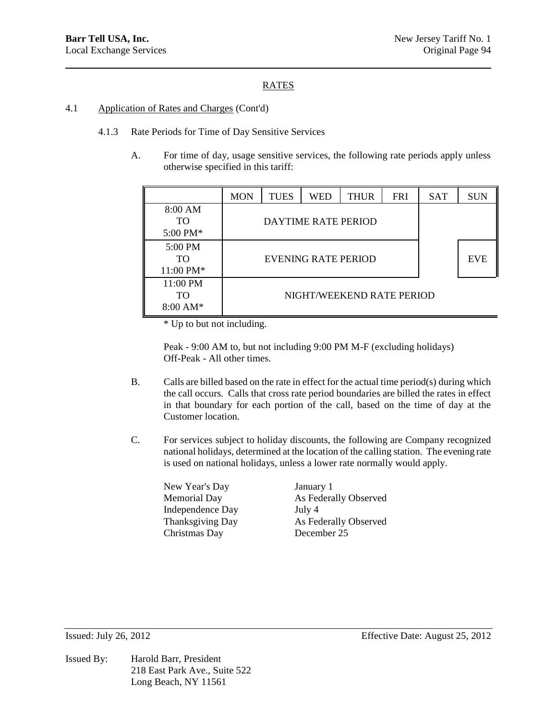## 4.1 Application of Rates and Charges (Cont'd)

- 4.1.3 Rate Periods for Time of Day Sensitive Services
	- A. For time of day, usage sensitive services, the following rate periods apply unless otherwise specified in this tariff:

|                                             | <b>MON</b> | <b>TUES</b> | WED                 | <b>THUR</b>               | <b>FRI</b> | <b>SAT</b> | <b>SUN</b> |
|---------------------------------------------|------------|-------------|---------------------|---------------------------|------------|------------|------------|
| 8:00 AM<br><b>TO</b><br>5:00 PM $*$         |            |             | DAYTIME RATE PERIOD |                           |            |            |            |
| 5:00 PM<br>TO<br>11:00 PM*                  |            |             | EVENING RATE PERIOD |                           |            |            | <b>EVE</b> |
| 11:00 PM<br><b>TO</b><br>$8:00 \text{ AM*}$ |            |             |                     | NIGHT/WEEKEND RATE PERIOD |            |            |            |

\* Up to but not including.

Peak - 9:00 AM to, but not including 9:00 PM M-F (excluding holidays) Off-Peak - All other times.

- B. Calls are billed based on the rate in effect for the actual time period(s) during which the call occurs. Calls that cross rate period boundaries are billed the rates in effect in that boundary for each portion of the call, based on the time of day at the Customer location.
- C. For services subject to holiday discounts, the following are Company recognized national holidays, determined at the location of the calling station. The evening rate is used on national holidays, unless a lower rate normally would apply.

New Year's Day January 1 Independence Day July 4 Christmas Day December 25

Memorial Day As Federally Observed Thanksgiving Day As Federally Observed

Issued By: Harold Barr, President 218 East Park Ave., Suite 522 Long Beach, NY 11561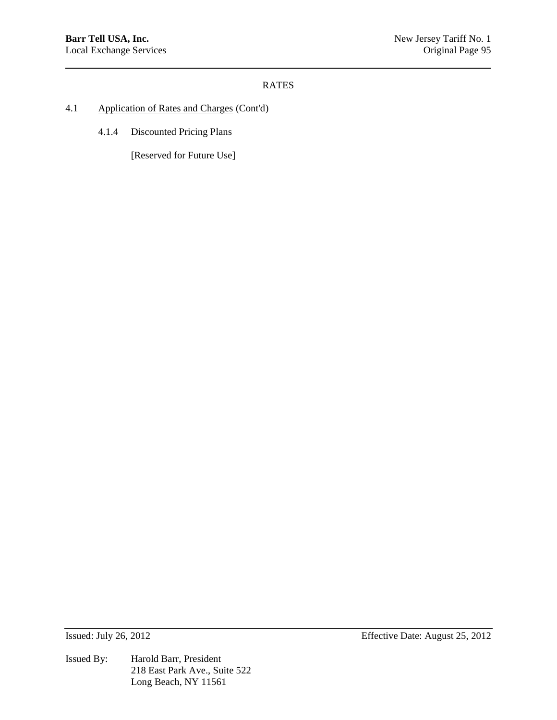- 4.1 Application of Rates and Charges (Cont'd)
	- 4.1.4 Discounted Pricing Plans

[Reserved for Future Use]

Issued By: Harold Barr, President 218 East Park Ave., Suite 522 Long Beach, NY 11561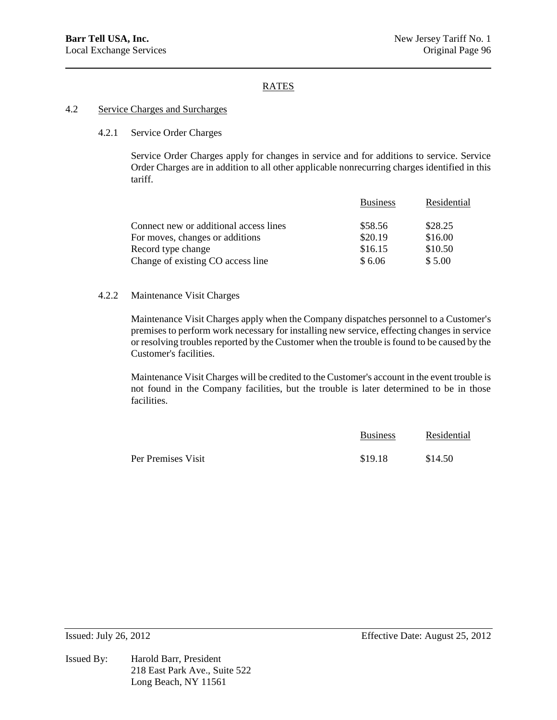### 4.2 Service Charges and Surcharges

### 4.2.1 Service Order Charges

Service Order Charges apply for changes in service and for additions to service. Service Order Charges are in addition to all other applicable nonrecurring charges identified in this tariff.

|                                        | <b>Business</b> | Residential |
|----------------------------------------|-----------------|-------------|
| Connect new or additional access lines | \$58.56         | \$28.25     |
| For moves, changes or additions        | \$20.19         | \$16.00     |
| Record type change                     | \$16.15         | \$10.50     |
| Change of existing CO access line      | \$6.06          | \$5.00      |

### 4.2.2 Maintenance Visit Charges

Maintenance Visit Charges apply when the Company dispatches personnel to a Customer's premises to perform work necessary for installing new service, effecting changes in service or resolving troubles reported by the Customer when the trouble is found to be caused by the Customer's facilities.

Maintenance Visit Charges will be credited to the Customer's account in the event trouble is not found in the Company facilities, but the trouble is later determined to be in those facilities.

|                    | <b>Business</b> | Residential |
|--------------------|-----------------|-------------|
| Per Premises Visit | \$19.18         | \$14.50     |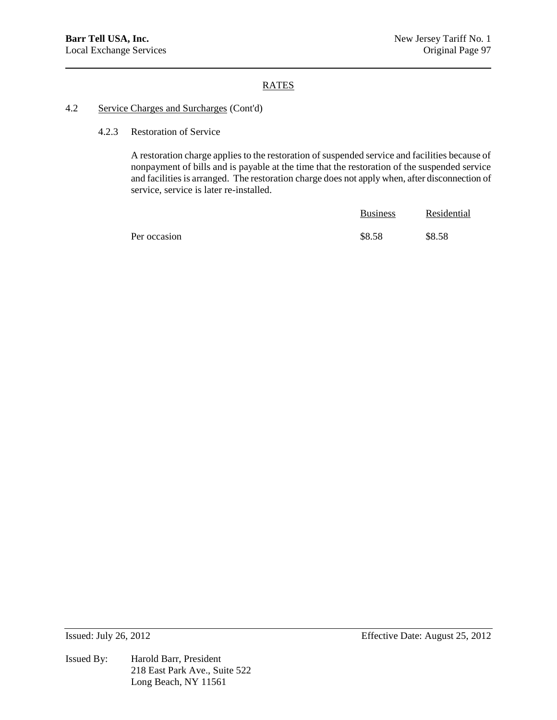# 4.2 Service Charges and Surcharges (Cont'd)

4.2.3 Restoration of Service

A restoration charge applies to the restoration of suspended service and facilities because of nonpayment of bills and is payable at the time that the restoration of the suspended service and facilities is arranged. The restoration charge does not apply when, after disconnection of service, service is later re-installed.

|              | <b>Business</b> | Residential |
|--------------|-----------------|-------------|
| Per occasion | \$8.58          | \$8.58      |

Issued By: Harold Barr, President 218 East Park Ave., Suite 522 Long Beach, NY 11561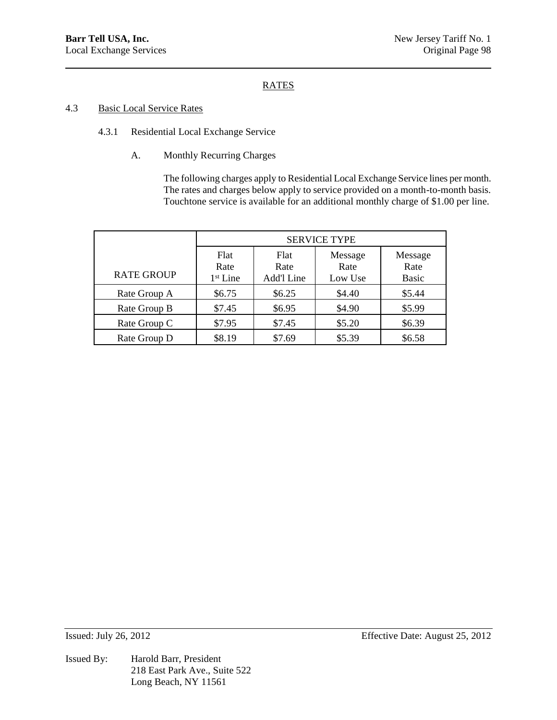# 4.3 Basic Local Service Rates

- 4.3.1 Residential Local Exchange Service
	- A. Monthly Recurring Charges

The following charges apply to Residential Local Exchange Service lines per month. The rates and charges below apply to service provided on a month-to-month basis. Touchtone service is available for an additional monthly charge of \$1.00 per line.

|                   | <b>SERVICE TYPE</b>                  |                            |                            |                                 |
|-------------------|--------------------------------------|----------------------------|----------------------------|---------------------------------|
| <b>RATE GROUP</b> | Flat<br>Rate<br>1 <sup>st</sup> Line | Flat<br>Rate<br>Add'l Line | Message<br>Rate<br>Low Use | Message<br>Rate<br><b>Basic</b> |
| Rate Group A      | \$6.75                               | \$6.25                     | \$4.40                     | \$5.44                          |
| Rate Group B      | \$7.45                               | \$6.95                     | \$4.90                     | \$5.99                          |
| Rate Group C      | \$7.95                               | \$7.45                     | \$5.20                     | \$6.39                          |
| Rate Group D      | \$8.19                               | \$7.69                     | \$5.39                     | \$6.58                          |

Issued By: Harold Barr, President 218 East Park Ave., Suite 522 Long Beach, NY 11561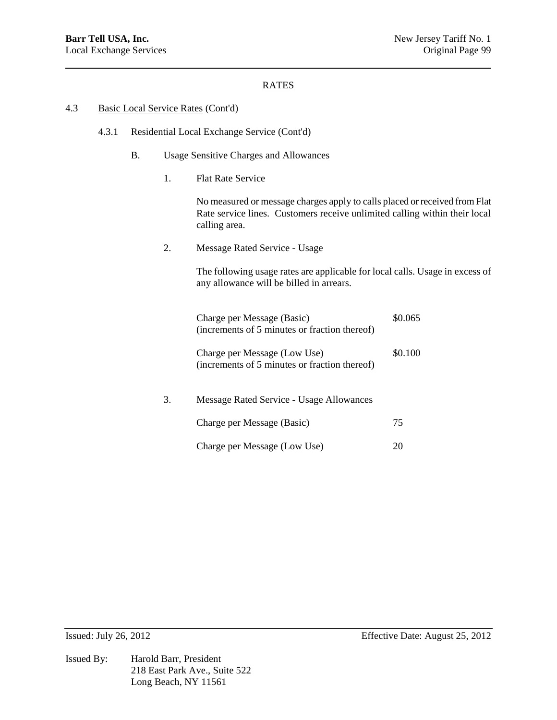#### 4.3 Basic Local Service Rates (Cont'd)

- 4.3.1 Residential Local Exchange Service (Cont'd)
	- B. Usage Sensitive Charges and Allowances
		- 1. Flat Rate Service

No measured or message charges apply to calls placed or received from Flat Rate service lines. Customers receive unlimited calling within their local calling area.

2. Message Rated Service - Usage

The following usage rates are applicable for local calls. Usage in excess of any allowance will be billed in arrears.

|    | Charge per Message (Basic)<br>(increments of 5 minutes or fraction thereof)   | \$0.065 |
|----|-------------------------------------------------------------------------------|---------|
|    | Charge per Message (Low Use)<br>(increments of 5 minutes or fraction thereof) | \$0.100 |
| 3. | Message Rated Service - Usage Allowances                                      |         |
|    | Charge per Message (Basic)                                                    | 75      |
|    | Charge per Message (Low Use)                                                  |         |

Issued By: Harold Barr, President 218 East Park Ave., Suite 522 Long Beach, NY 11561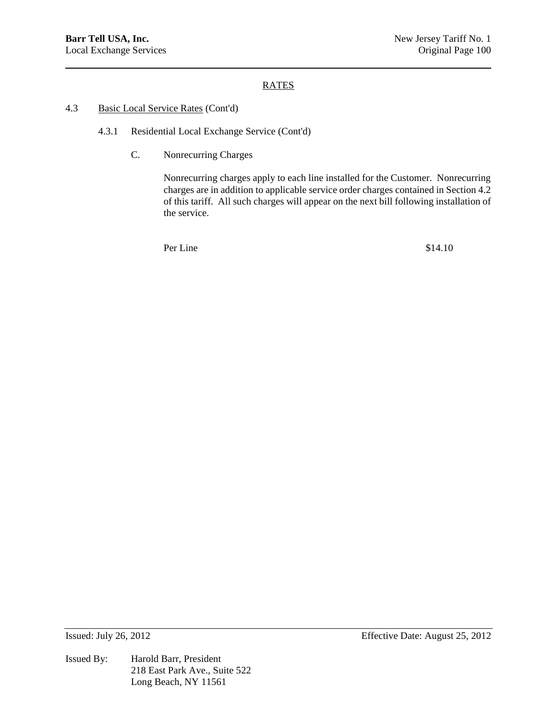## 4.3 Basic Local Service Rates (Cont'd)

- 4.3.1 Residential Local Exchange Service (Cont'd)
	- C. Nonrecurring Charges

Nonrecurring charges apply to each line installed for the Customer. Nonrecurring charges are in addition to applicable service order charges contained in Section 4.2 of this tariff. All such charges will appear on the next bill following installation of the service.

Per Line  $$14.10$ 

Issued By: Harold Barr, President 218 East Park Ave., Suite 522 Long Beach, NY 11561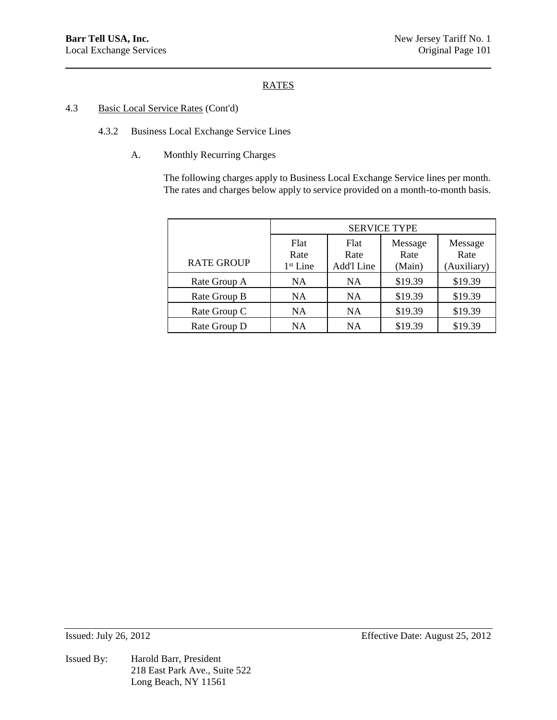## 4.3 Basic Local Service Rates (Cont'd)

- 4.3.2 Business Local Exchange Service Lines
	- A. Monthly Recurring Charges

The following charges apply to Business Local Exchange Service lines per month. The rates and charges below apply to service provided on a month-to-month basis.

|                   | <b>SERVICE TYPE</b>                  |                            |                           |                                |
|-------------------|--------------------------------------|----------------------------|---------------------------|--------------------------------|
| <b>RATE GROUP</b> | Flat<br>Rate<br>1 <sup>st</sup> Line | Flat<br>Rate<br>Add'l Line | Message<br>Rate<br>(Main) | Message<br>Rate<br>(Auxiliary) |
| Rate Group A      | NA.                                  | <b>NA</b>                  | \$19.39                   | \$19.39                        |
| Rate Group B      | NA                                   | <b>NA</b>                  | \$19.39                   | \$19.39                        |
| Rate Group C      | <b>NA</b>                            | <b>NA</b>                  | \$19.39                   | \$19.39                        |
| Rate Group D      | NA                                   | <b>NA</b>                  | \$19.39                   | \$19.39                        |

Issued By: Harold Barr, President 218 East Park Ave., Suite 522 Long Beach, NY 11561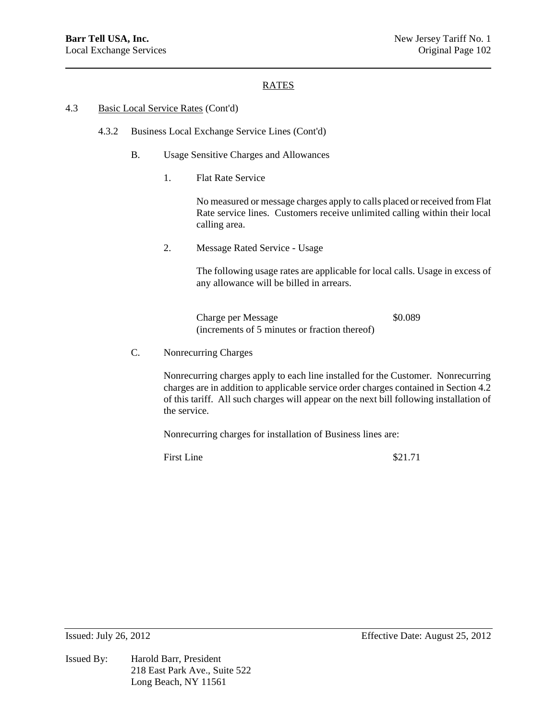### 4.3 Basic Local Service Rates (Cont'd)

- 4.3.2 Business Local Exchange Service Lines (Cont'd)
	- B. Usage Sensitive Charges and Allowances
		- 1. Flat Rate Service

No measured or message charges apply to calls placed or received from Flat Rate service lines. Customers receive unlimited calling within their local calling area.

2. Message Rated Service - Usage

The following usage rates are applicable for local calls. Usage in excess of any allowance will be billed in arrears.

Charge per Message  $$0.089$ (increments of 5 minutes or fraction thereof)

C. Nonrecurring Charges

Nonrecurring charges apply to each line installed for the Customer. Nonrecurring charges are in addition to applicable service order charges contained in Section 4.2 of this tariff. All such charges will appear on the next bill following installation of the service.

Nonrecurring charges for installation of Business lines are:

First Line \$21.71

Issued By: Harold Barr, President 218 East Park Ave., Suite 522 Long Beach, NY 11561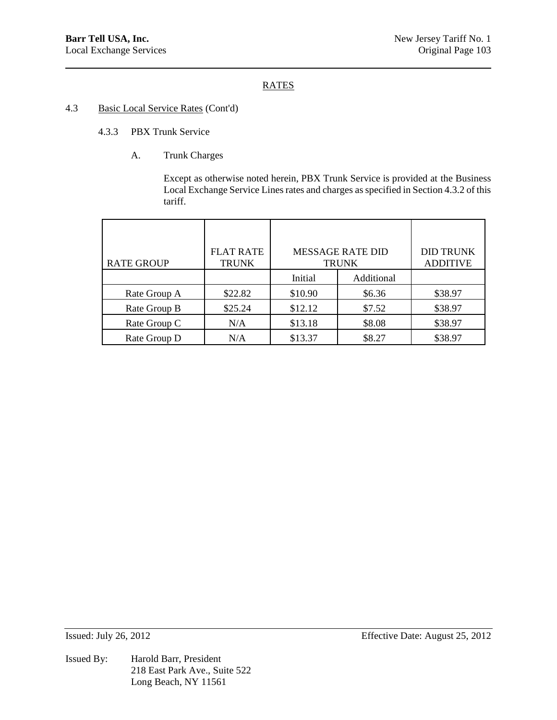## 4.3 Basic Local Service Rates (Cont'd)

- 4.3.3 PBX Trunk Service
	- A. Trunk Charges

Except as otherwise noted herein, PBX Trunk Service is provided at the Business Local Exchange Service Lines rates and charges as specified in Section 4.3.2 of this tariff.

| <b>RATE GROUP</b> | <b>FLAT RATE</b><br><b>TRUNK</b> |         | <b>MESSAGE RATE DID</b><br><b>TRUNK</b> | <b>DID TRUNK</b><br><b>ADDITIVE</b> |
|-------------------|----------------------------------|---------|-----------------------------------------|-------------------------------------|
|                   |                                  | Initial | Additional                              |                                     |
| Rate Group A      | \$22.82                          | \$10.90 | \$6.36                                  | \$38.97                             |
| Rate Group B      | \$25.24                          | \$12.12 | \$7.52                                  | \$38.97                             |
| Rate Group C      | N/A                              | \$13.18 | \$8.08                                  | \$38.97                             |
| Rate Group D      | N/A                              | \$13.37 | \$8.27                                  | \$38.97                             |

Issued By: Harold Barr, President 218 East Park Ave., Suite 522 Long Beach, NY 11561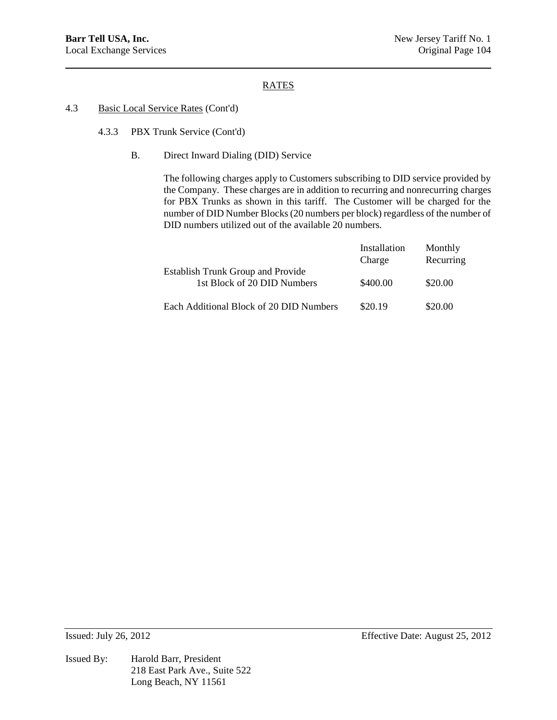## 4.3 Basic Local Service Rates (Cont'd)

- 4.3.3 PBX Trunk Service (Cont'd)
	- B. Direct Inward Dialing (DID) Service

The following charges apply to Customers subscribing to DID service provided by the Company. These charges are in addition to recurring and nonrecurring charges for PBX Trunks as shown in this tariff. The Customer will be charged for the number of DID Number Blocks (20 numbers per block) regardless of the number of DID numbers utilized out of the available 20 numbers.

|                                                                         | Installation<br>Charge | Monthly<br>Recurring |
|-------------------------------------------------------------------------|------------------------|----------------------|
| <b>Establish Trunk Group and Provide</b><br>1st Block of 20 DID Numbers | \$400.00               | \$20.00              |
| Each Additional Block of 20 DID Numbers                                 | \$20.19                | \$20.00              |

Issued By: Harold Barr, President 218 East Park Ave., Suite 522 Long Beach, NY 11561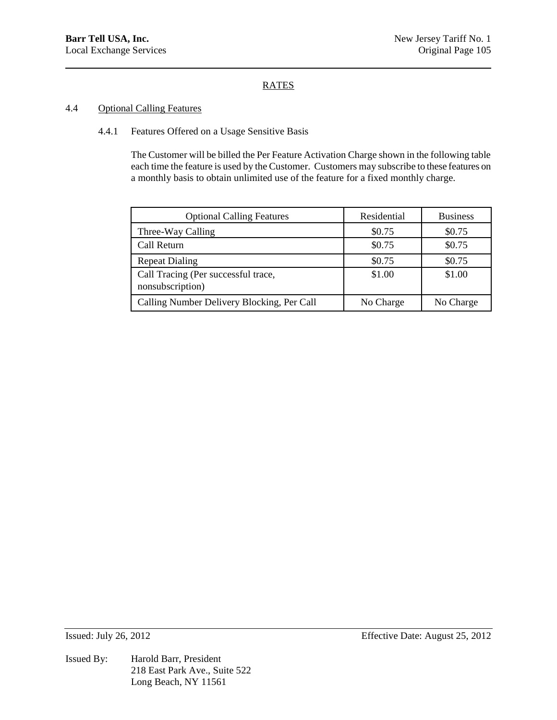## 4.4 Optional Calling Features

# 4.4.1 Features Offered on a Usage Sensitive Basis

The Customer will be billed the Per Feature Activation Charge shown in the following table each time the feature is used by the Customer. Customers may subscribe to these features on a monthly basis to obtain unlimited use of the feature for a fixed monthly charge.

| <b>Optional Calling Features</b>                        | Residential | <b>Business</b> |
|---------------------------------------------------------|-------------|-----------------|
| Three-Way Calling                                       | \$0.75      | \$0.75          |
| Call Return                                             | \$0.75      | \$0.75          |
| <b>Repeat Dialing</b>                                   | \$0.75      | \$0.75          |
| Call Tracing (Per successful trace,<br>nonsubscription) | \$1.00      | \$1.00          |
| Calling Number Delivery Blocking, Per Call              | No Charge   | No Charge       |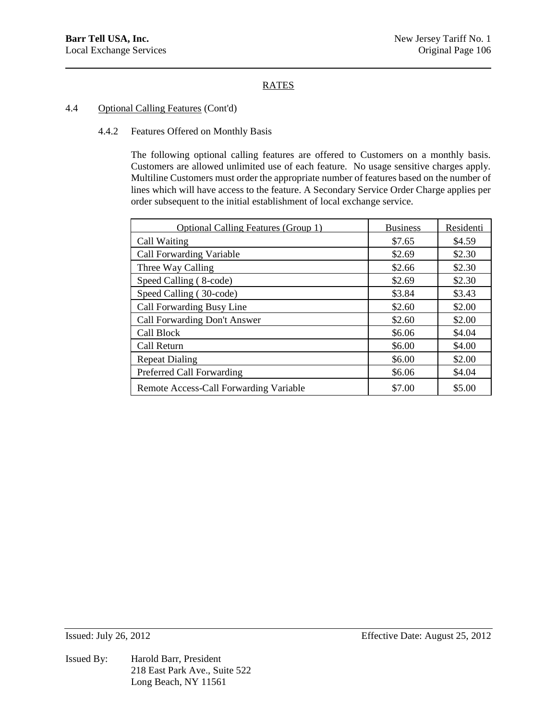# 4.4 Optional Calling Features (Cont'd)

### 4.4.2 Features Offered on Monthly Basis

The following optional calling features are offered to Customers on a monthly basis. Customers are allowed unlimited use of each feature. No usage sensitive charges apply. Multiline Customers must order the appropriate number of features based on the number of lines which will have access to the feature. A Secondary Service Order Charge applies per order subsequent to the initial establishment of local exchange service.

| <b>Optional Calling Features (Group 1)</b> | <b>Business</b> | Residenti |
|--------------------------------------------|-----------------|-----------|
| Call Waiting                               | \$7.65          | \$4.59    |
| <b>Call Forwarding Variable</b>            | \$2.69          | \$2.30    |
| Three Way Calling                          | \$2.66          | \$2.30    |
| Speed Calling (8-code)                     | \$2.69          | \$2.30    |
| Speed Calling (30-code)                    | \$3.84          | \$3.43    |
| Call Forwarding Busy Line                  | \$2.60          | \$2.00    |
| Call Forwarding Don't Answer               | \$2.60          | \$2.00    |
| Call Block                                 | \$6.06          | \$4.04    |
| Call Return                                | \$6.00          | \$4.00    |
| <b>Repeat Dialing</b>                      | \$6.00          | \$2.00    |
| Preferred Call Forwarding                  | \$6.06          | \$4.04    |
| Remote Access-Call Forwarding Variable     | \$7.00          | \$5.00    |

Issued By: Harold Barr, President 218 East Park Ave., Suite 522 Long Beach, NY 11561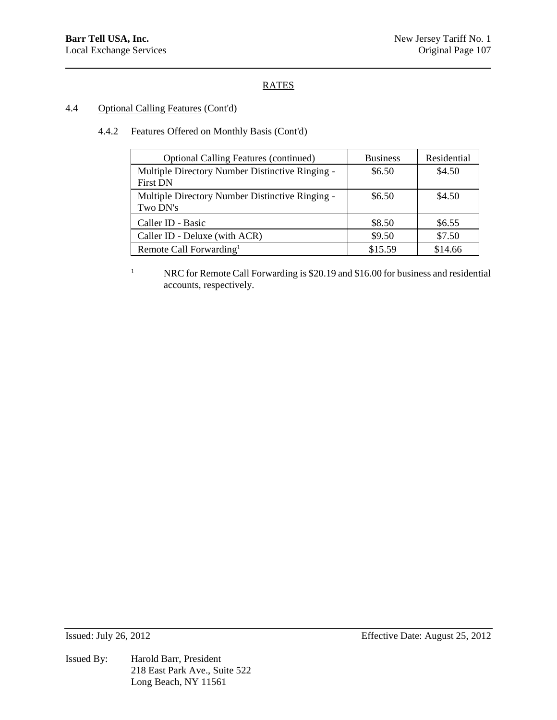## 4.4 Optional Calling Features (Cont'd)

# 4.4.2 Features Offered on Monthly Basis (Cont'd)

| <b>Optional Calling Features (continued)</b>                       | <b>Business</b> | Residential |
|--------------------------------------------------------------------|-----------------|-------------|
| Multiple Directory Number Distinctive Ringing -<br><b>First DN</b> | \$6.50          | \$4.50      |
| Multiple Directory Number Distinctive Ringing -<br>Two DN's        | \$6.50          | \$4.50      |
| Caller ID - Basic                                                  | \$8.50          | \$6.55      |
| Caller ID - Deluxe (with ACR)                                      | \$9.50          | \$7.50      |
| Remote Call Forwarding <sup>1</sup>                                | \$15.59         | \$14.66     |

<sup>1</sup> NRC for Remote Call Forwarding is \$20.19 and \$16.00 for business and residential accounts, respectively.

Issued By: Harold Barr, President 218 East Park Ave., Suite 522 Long Beach, NY 11561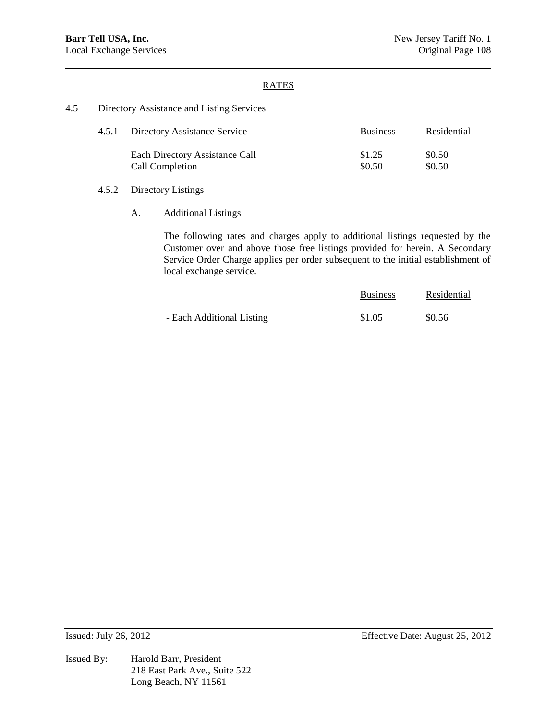## RATES

### 4.5 Directory Assistance and Listing Services

| 4.5.1 Directory Assistance Service | <b>Business</b> | Residential |
|------------------------------------|-----------------|-------------|
| Each Directory Assistance Call     | \$1.25          | \$0.50      |
| Call Completion                    | \$0.50          | \$0.50      |

## 4.5.2 Directory Listings

## A. Additional Listings

The following rates and charges apply to additional listings requested by the Customer over and above those free listings provided for herein. A Secondary Service Order Charge applies per order subsequent to the initial establishment of local exchange service.

|                           | <b>Business</b> | Residential |
|---------------------------|-----------------|-------------|
| - Each Additional Listing | \$1.05          | \$0.56      |

Issued By: Harold Barr, President 218 East Park Ave., Suite 522 Long Beach, NY 11561

Issued: July 26, 2012 Effective Date: August 25, 2012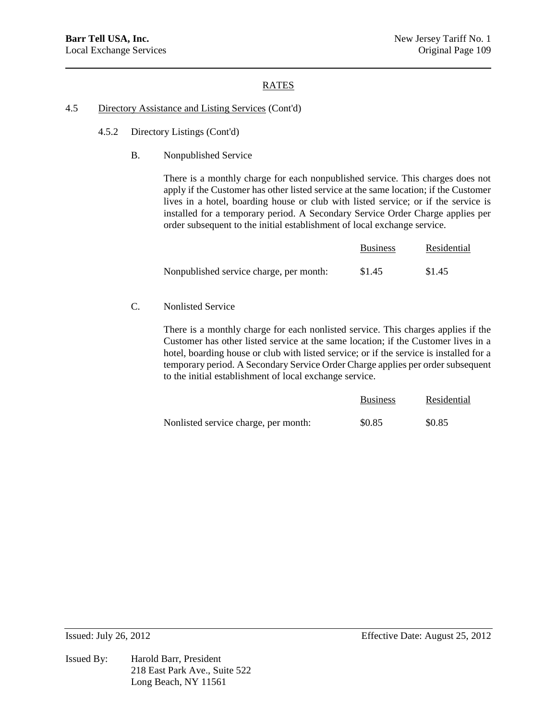# RATES

## 4.5 Directory Assistance and Listing Services (Cont'd)

- 4.5.2 Directory Listings (Cont'd)
	- B. Nonpublished Service

There is a monthly charge for each nonpublished service. This charges does not apply if the Customer has other listed service at the same location; if the Customer lives in a hotel, boarding house or club with listed service; or if the service is installed for a temporary period. A Secondary Service Order Charge applies per order subsequent to the initial establishment of local exchange service.

|                                         | <b>Business</b> | Residential |
|-----------------------------------------|-----------------|-------------|
| Nonpublished service charge, per month: | \$1.45          | \$1.45      |

C. Nonlisted Service

There is a monthly charge for each nonlisted service. This charges applies if the Customer has other listed service at the same location; if the Customer lives in a hotel, boarding house or club with listed service; or if the service is installed for a temporary period. A Secondary Service Order Charge applies per order subsequent to the initial establishment of local exchange service.

|                                      | <b>Business</b> | Residential |
|--------------------------------------|-----------------|-------------|
| Nonlisted service charge, per month: | \$0.85          | \$0.85      |

Issued By: Harold Barr, President 218 East Park Ave., Suite 522 Long Beach, NY 11561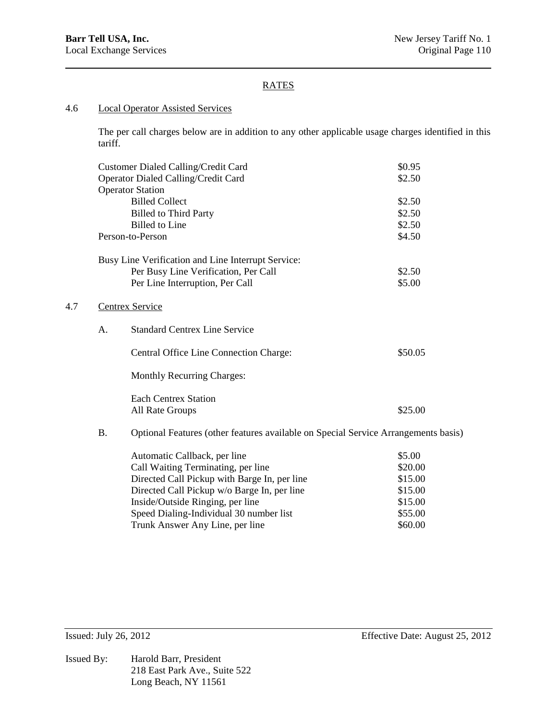$4.7$ 

# RATES

## 4.6 Local Operator Assisted Services

The per call charges below are in addition to any other applicable usage charges identified in this tariff.

|           | Customer Dialed Calling/Credit Card                                                | \$0.95  |
|-----------|------------------------------------------------------------------------------------|---------|
|           | Operator Dialed Calling/Credit Card                                                | \$2.50  |
|           | <b>Operator Station</b>                                                            |         |
|           | <b>Billed Collect</b>                                                              | \$2.50  |
|           | <b>Billed to Third Party</b>                                                       | \$2.50  |
|           | <b>Billed</b> to Line                                                              | \$2.50  |
|           | Person-to-Person                                                                   | \$4.50  |
|           | Busy Line Verification and Line Interrupt Service:                                 |         |
|           | Per Busy Line Verification, Per Call                                               | \$2.50  |
|           | Per Line Interruption, Per Call                                                    | \$5.00  |
|           | <b>Centrex Service</b>                                                             |         |
| A.        | <b>Standard Centrex Line Service</b>                                               |         |
|           | Central Office Line Connection Charge:                                             | \$50.05 |
|           | Monthly Recurring Charges:                                                         |         |
|           | <b>Each Centrex Station</b>                                                        |         |
|           | All Rate Groups                                                                    | \$25.00 |
| <b>B.</b> | Optional Features (other features available on Special Service Arrangements basis) |         |
|           | Automatic Callback, per line                                                       | \$5.00  |
|           | Call Waiting Terminating, per line                                                 | \$20.00 |
|           | Directed Call Pickup with Barge In, per line                                       | \$15.00 |
|           | Directed Call Pickup w/o Barge In, per line                                        | \$15.00 |
|           | Inside/Outside Ringing, per line                                                   | \$15.00 |

Speed Dialing-Individual 30 number list \$55.00 Trunk Answer Any Line, per line \$60.00

Issued By: Harold Barr, President 218 East Park Ave., Suite 522 Long Beach, NY 11561

Issued: July 26, 2012 Effective Date: August 25, 2012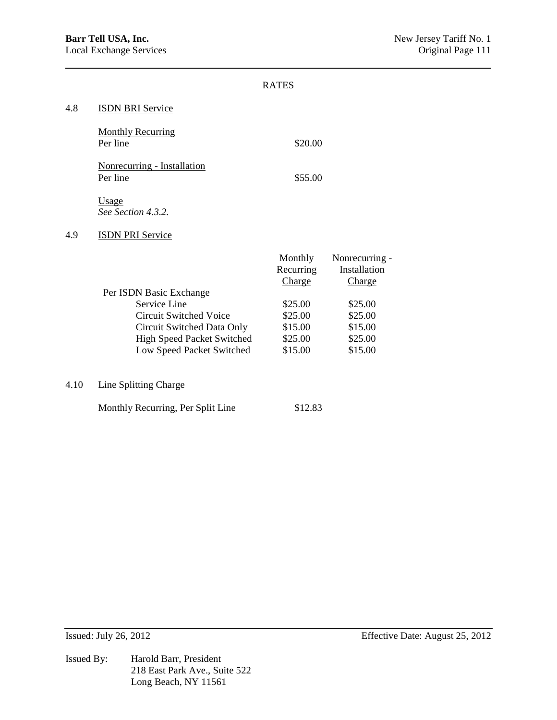|                                              | <b>RATES</b>                   |                                          |
|----------------------------------------------|--------------------------------|------------------------------------------|
| <b>ISDN BRI Service</b>                      |                                |                                          |
| <b>Monthly Recurring</b><br>Per line         | \$20.00                        |                                          |
| Nonrecurring - Installation<br>Per line      | \$55.00                        |                                          |
| <u>Usage</u><br>See Section 4.3.2.           |                                |                                          |
| <b>ISDN PRI Service</b>                      |                                |                                          |
|                                              | Monthly<br>Recurring<br>Charge | Nonrecurring -<br>Installation<br>Charge |
| Per ISDN Basic Exchange                      |                                |                                          |
| Service Line                                 | \$25.00                        | \$25.00                                  |
| <b>Circuit Switched Voice</b>                | \$25.00                        | \$25.00                                  |
| Circuit Switched Data Only                   | \$15.00                        | \$15.00                                  |
| <b>High Speed Packet Switched</b>            | \$25.00                        | \$25.00                                  |
| Low Speed Packet Switched                    | \$15.00                        | \$15.00                                  |
| $\Lambda$ 10 $\Lambda$ Line Splitting Charge |                                |                                          |

 $$12.83$ 

4.10 Line Splitting Charge

| Monthly Recurring, Per Split Line |  |
|-----------------------------------|--|
|-----------------------------------|--|

Issued By: Harold Barr, President 218 East Park Ave., Suite 522 Long Beach, NY 11561

Issued: July 26, 2012 Effective Date: August 25, 2012